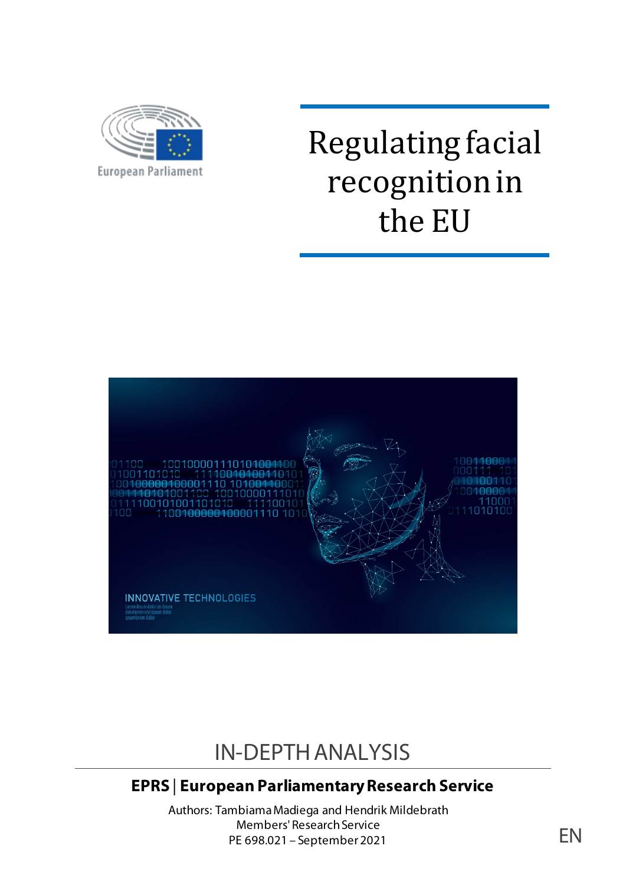

# Regulating facial recognition in the EU



## IN-DEPTH ANALYSIS

## **EPRS** | **European Parliamentary Research Service**

Authors: Tambiama Madiega and Hendrik Mildebrath Members' Research Service PE 698.021 – September 2021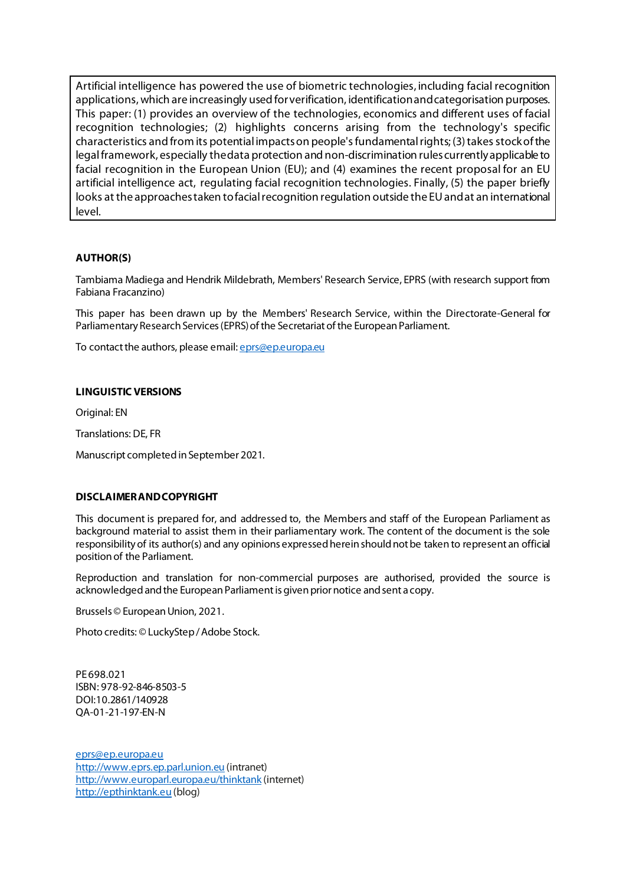Artificial intelligence has powered the use of biometric technologies, including facial recognition applications, which are increasingly used for verification, identification and categorisation purposes. This paper: (1) provides an overview of the technologies, economics and different uses of facial recognition technologies; (2) highlights concerns arising from the technology's specific characteristics and from its potential impacts on people's fundamental rights; (3) takes stock of the legal framework, especially the data protection and non-discrimination rules currently applicable to facial recognition in the European Union (EU); and (4) examines the recent proposal for an EU artificial intelligence act, regulating facial recognition technologies. Finally, (5) the paper briefly looks at the approaches taken to facial recognition regulation outside the EU and at an international level.

#### **AUTHOR(S)**

Tambiama Madiega and Hendrik Mildebrath, Members' Research Service, EPRS (with research support from Fabiana Fracanzino)

This paper has been drawn up by the Members' Research Service, within the Directorate-General for Parliamentary Research Services (EPRS) of the Secretariat of the European Parliament.

To contact the authors, please email: eprs@ep.europa.eu

#### **LINGUISTIC VERSIONS**

Original: EN

Translations: DE, FR

Manuscript completed in September 2021.

#### **DISCLAIMER AND COPYRIGHT**

This document is prepared for, and addressed to, the Members and staff of the European Parliament as background material to assist them in their parliamentary work. The content of the document is the sole responsibility of its author(s) and any opinions expressed herein should not be taken to represent an official position of the Parliament.

Reproduction and translation for non-commercial purposes are authorised, provided the source is acknowledged and the European Parliament is given prior notice and sent a copy.

Brussels © European Union, 2021.

Photo credits: © LuckyStep / Adobe Stock.

PE698.021 ISBN: 978-92-846-8503-5 DOI:10.2861/140928 QA-01-21-197-EN-N

[eprs@ep.europa.eu](mailto:eprs@ep.europa.eu) [http://www.eprs.ep.parl.union.eu](http://www.eprs.ep.parl.union.eu/) (intranet) <http://www.europarl.europa.eu/thinktank> (internet) [http://epthinktank.eu](http://epthinktank.eu/) (blog)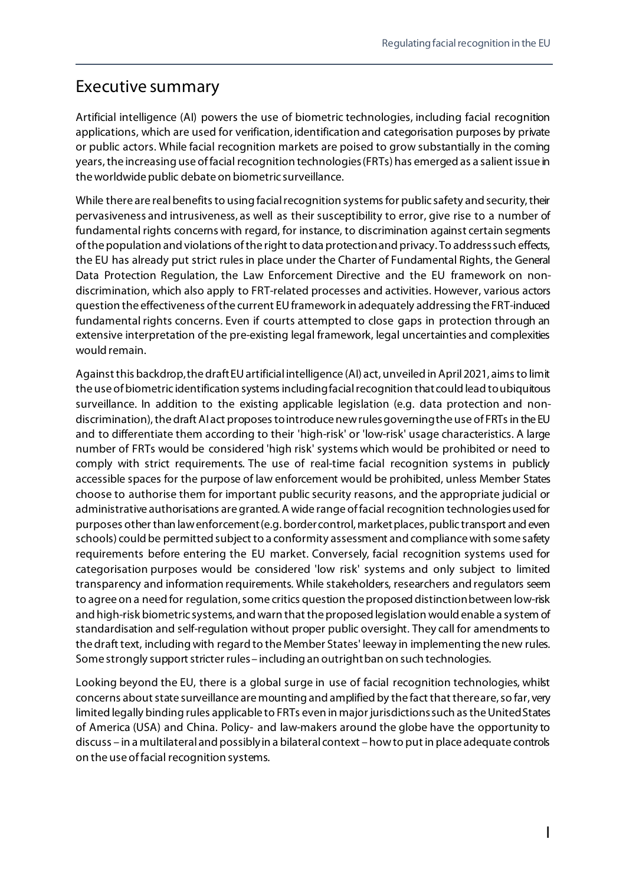#### Executive summary

Artificial intelligence (AI) powers the use of biometric technologies, including facial recognition applications, which are used for verification, identification and categorisation purposes by private or public actors. While facial recognition markets are poised to grow substantially in the coming years, the increasing use of facial recognition technologies (FRTs) has emerged as a salient issue in the worldwide public debate on biometric surveillance.

While there are real benefits to using facial recognition systems for public safety and security, their pervasiveness and intrusiveness, as well as their susceptibility to error, give rise to a number of fundamental rights concerns with regard, for instance, to discrimination against certain segments of the population and violations of the right to data protection and privacy. To address such effects, the EU has already put strict rules in place under the Charter of Fundamental Rights, the General Data Protection Regulation, the Law Enforcement Directive and the EU framework on nondiscrimination, which also apply to FRT-related processes and activities. However, various actors question the effectiveness of the current EU framework in adequately addressing the FRT-induced fundamental rights concerns. Even if courts attempted to close gaps in protection through an extensive interpretation of the pre-existing legal framework, legal uncertainties and complexities would remain.

Against this backdrop, the draft EU artificial intelligence (AI) act, unveiled in April2021, aims to limit the use of biometric identification systems including facial recognition that could lead to ubiquitous surveillance. In addition to the existing applicable legislation (e.g. data protection and nondiscrimination), the draft AI act proposes to introduce new rules governing the use of FRTs in the EU and to differentiate them according to their 'high-risk' or 'low-risk' usage characteristics. A large number of FRTs would be considered 'high risk' systems which would be prohibited or need to comply with strict requirements. The use of real-time facial recognition systems in publicly accessible spaces for the purpose of law enforcement would be prohibited, unless Member States choose to authorise them for important public security reasons, and the appropriate judicial or administrative authorisations are granted. A wide range of facial recognition technologiesused for purposes other than law enforcement (e.g. border control, market places, public transport and even schools) could be permitted subject to a conformity assessment and compliance with some safety requirements before entering the EU market. Conversely, facial recognition systems used for categorisation purposes would be considered 'low risk' systems and only subject to limited transparency and information requirements. While stakeholders, researchers and regulators seem to agree on a need for regulation, some critics question the proposed distinction between low-risk and high-risk biometric systems, and warn that the proposed legislation would enable a system of standardisation and self-regulation without proper public oversight. They call for amendments to the draft text, including with regard to the Member States' leeway in implementing the new rules. Some strongly support stricter rules – including an outright ban on such technologies.

Looking beyond the EU, there is a global surge in use of facial recognition technologies, whilst concerns about state surveillance are mounting and amplified by the fact that there are, so far, very limited legally binding rules applicable to FRTs even in major jurisdictions such as the United States of America (USA) and China. Policy- and law-makers around the globe have the opportunity to discuss – in a multilateral and possibly in a bilateral context – how to put in place adequate controls on the use of facial recognition systems.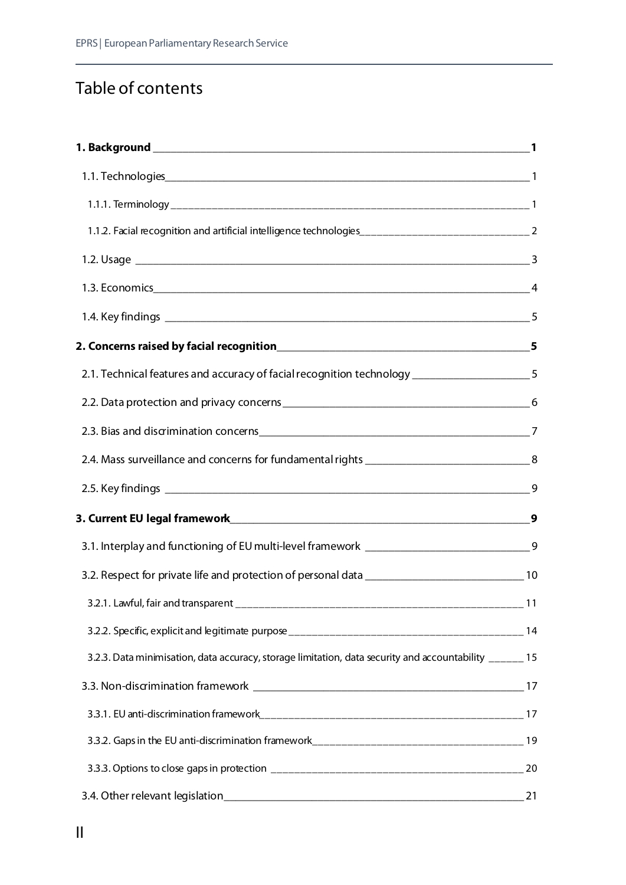## Table of contents

| 2.1. Technical features and accuracy of facial recognition technology __________________5               |                  |
|---------------------------------------------------------------------------------------------------------|------------------|
|                                                                                                         |                  |
|                                                                                                         |                  |
| 2.4. Mass surveillance and concerns for fundamental rights __________________________________8          |                  |
|                                                                                                         |                  |
|                                                                                                         | $\boldsymbol{9}$ |
| 3.1. Interplay and functioning of EU multi-level framework _________________________________9           |                  |
|                                                                                                         |                  |
|                                                                                                         |                  |
|                                                                                                         |                  |
| 3.2.3. Data minimisation, data accuracy, storage limitation, data security and accountability ______ 15 |                  |
|                                                                                                         |                  |
|                                                                                                         |                  |
|                                                                                                         |                  |
|                                                                                                         |                  |
| 3.4. Other relevant legislation_                                                                        | 21               |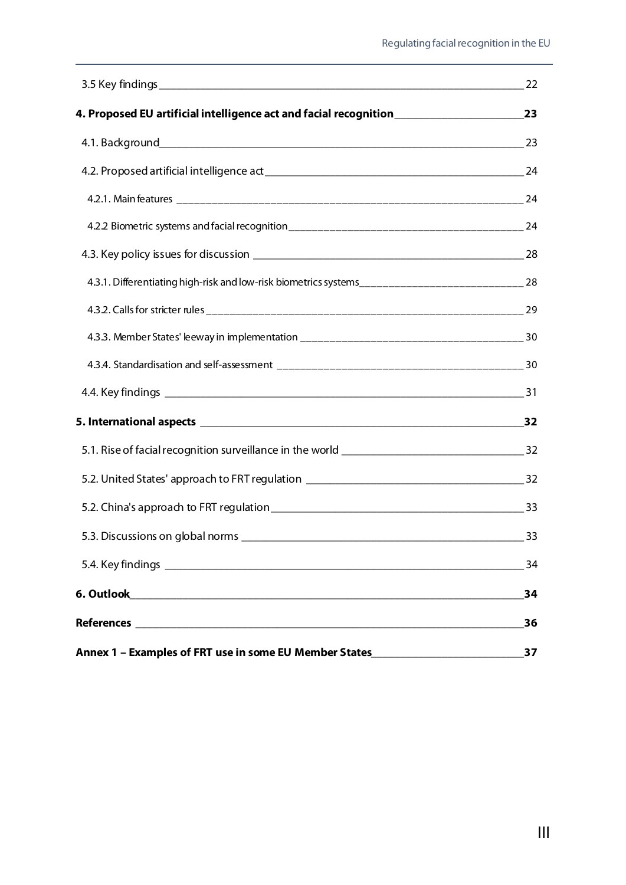|                                                                                                       | 22 |
|-------------------------------------------------------------------------------------------------------|----|
|                                                                                                       |    |
|                                                                                                       |    |
|                                                                                                       |    |
|                                                                                                       |    |
|                                                                                                       |    |
|                                                                                                       |    |
| 4.3.1. Differentiating high-risk and low-risk biometrics systems__________________________________ 28 |    |
|                                                                                                       |    |
|                                                                                                       |    |
|                                                                                                       |    |
|                                                                                                       |    |
|                                                                                                       |    |
|                                                                                                       |    |
|                                                                                                       |    |
|                                                                                                       |    |
| 5.3. Discussions on global norms                                                                      | 33 |
|                                                                                                       | 34 |
|                                                                                                       | 34 |
|                                                                                                       | 36 |
| Annex 1 - Examples of FRT use in some EU Member States__________________________                      | 37 |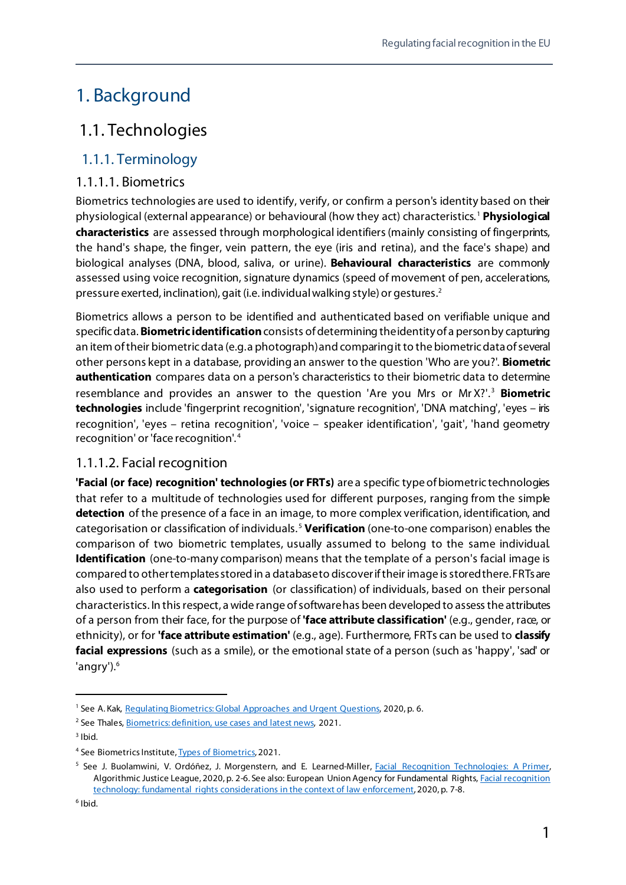## <span id="page-6-0"></span>1. Background

## <span id="page-6-1"></span>1.1. Technologies

#### <span id="page-6-2"></span>1.1.1. Terminology

#### 1.1.1.1. Biometrics

Biometrics technologies are used to identify, verify, or confirm a person's identity based on their physiological (external appearance) or behavioural (how they act) characteristics. [1](#page-6-3) **Physiological characteristics** are assessed through morphological identifiers (mainly consisting of fingerprints, the hand's shape, the finger, vein pattern, the eye (iris and retina), and the face's shape) and biological analyses (DNA, blood, saliva, or urine). **Behavioural characteristics** are commonly assessed using voice recognition, signature dynamics (speed of movement of pen, accelerations, pressure exerted, inclination), gait (i.e. individual walking style) or gestures.[2](#page-6-4)

Biometrics allows a person to be identified and authenticated based on verifiable unique and specificdata. **Biometric identification**consists of determining the identity of a person by capturing an item of their biometric data (e.g. a photograph) and comparingit to the biometric data of several other persons kept in a database, providing an answer to the question 'Who are you?'. **Biometric authentication** compares data on a person's characteristics to their biometric data to determine resemblance and provides an answer to the question 'Are you Mrs or Mr X?'. [3](#page-6-5) **Biometric technologies** include 'fingerprint recognition', 'signature recognition', 'DNA matching', 'eyes – iris recognition', 'eyes – retina recognition', 'voice – speaker identification', 'gait', 'hand geometry recognition' or 'face recognition'. [4](#page-6-6)

#### 1.1.1.2. Facial recognition

**'Facial (or face) recognition' technologies (or FRTs)** are a specific type of biometric technologies that refer to a multitude of technologies used for different purposes, ranging from the simple **detection** of the presence of a face in an image, to more complex verification, identification, and categorisation or classification of individuals. [5](#page-6-7) **Verification** (one-to-one comparison) enables the comparison of two biometric templates, usually assumed to belong to the same individual. **Identification** (one-to-many comparison) means that the template of a person's facial image is compared to other templates stored in a database to discover if their image is stored there. FRTs are also used to perform a **categorisation** (or classification) of individuals, based on their personal characteristics. In this respect, a wide range of software has been developed to assess the attributes of a person from their face, for the purpose of **'face attribute classification'** (e.g., gender, race, or ethnicity), or for **'face attribute estimation'** (e.g., age). Furthermore, FRTs can be used to **classify facial expressions** (such as a smile), or the emotional state of a person (such as 'happy', 'sad' or 'angry').<sup>6</sup>

<span id="page-6-3"></span><sup>&</sup>lt;sup>1</sup> See A. Kak[, Regulating Biometrics: Global Approaches and Urgent Questions,](https://ainowinstitute.org/regulatingbiometrics.pdf) 2020, p. 6.

<span id="page-6-4"></span><sup>&</sup>lt;sup>2</sup> See Thales, [Biometrics: definition, use cases and latest news,](https://www.thalesgroup.com/en/markets/digital-identity-and-security/government/inspired/biometrics) 2021.

<span id="page-6-5"></span> $3$  Ibid.

<span id="page-6-6"></span><sup>4</sup> See Biometrics Institut[e, Types of Biometrics,](https://www.biometricsinstitute.org/what-is-biometrics/types-of-biometrics/) 2021.

<span id="page-6-8"></span><span id="page-6-7"></span><sup>&</sup>lt;sup>5</sup> See J. Buolamwini, V. Ordóñez, J. Morgenstern, and E. Learned-Miller, **Facial Recognition Technologies: A Primer**, Algorithmic Justice League, 2020, p. 2-6. See also: European Union Agency for Fundamental Rights[, Facial recognition](https://fra.europa.eu/sites/default/files/fra_uploads/fra-2019-facial-recognition-technology-focus-paper-1_en.pdf)  [technology: fundamental rights considerations in the context of law enforcement,](https://fra.europa.eu/sites/default/files/fra_uploads/fra-2019-facial-recognition-technology-focus-paper-1_en.pdf) 2020, p. 7-8.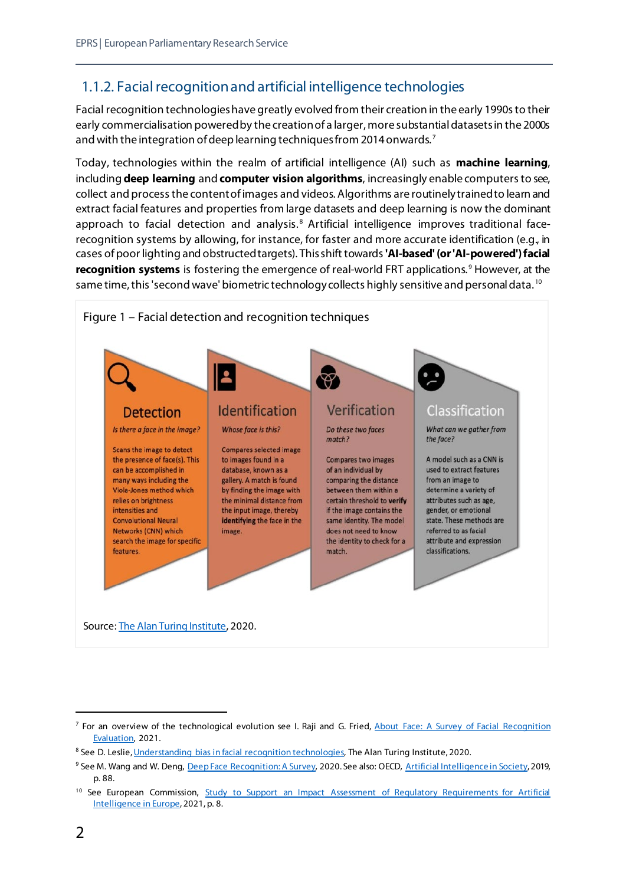#### <span id="page-7-0"></span>1.1.2. Facial recognition and artificial intelligence technologies

Facial recognition technologies have greatly evolved from their creation in the early 1990s to their early commercialisation powered by the creation of a larger, more substantial datasets in the 2000s and with the integration of deep learning techniques from 2014 onwards.<sup>[7](#page-7-1)</sup>

Today, technologies within the realm of artificial intelligence (AI) such as **machine learning**, including **deep learning** and **computer vision algorithms**, increasingly enable computers to see, collect and process the content of images and videos. Algorithms are routinely trained to learn and extract facial features and properties from large datasets and deep learning is now the dominant approach to facial detection and analysis.<sup>[8](#page-7-2)</sup> Artificial intelligence improves traditional facerecognition systems by allowing, for instance, for faster and more accurate identification (e.g., in cases of poor lighting and obstructed targets). This shift towards **'AI-based'(or 'AI-powered') facial recognition systems** is fostering the emergence of real-world FRT applications. [9](#page-7-3) However, at the same time, this 'second wave' biometric technology collects highly sensitive and personal data.<sup>[10](#page-7-4)</sup>



Source[: The Alan Turing Institute,](https://zenodo.org/record/4050457#.YO2aECTisox) 2020.

<span id="page-7-1"></span><sup>&</sup>lt;sup>7</sup> For an overview of the technological evolution see I. Raji and G. Fried, About Face: A Survey of Facial Recognition [Evaluation,](https://arxiv.org/pdf/2102.00813.pdf) 2021.

<span id="page-7-2"></span><sup>&</sup>lt;sup>8</sup> See D. Leslie[, Understanding bias in facial recognition technologies,](https://zenodo.org/record/4050457#.YH7RdTHivD4) The Alan Turing Institute, 2020.

<span id="page-7-3"></span><sup>&</sup>lt;sup>9</sup> See M. Wang and W. Deng[, Deep Face Recognition: A Survey,](https://arxiv.org/pdf/1804.06655.pdf) 2020. See also: OECD, [Artificial Intelligence in Society,](https://doi.org/10.1787/eedfee77-en) 2019, p. 88.

<span id="page-7-4"></span><sup>&</sup>lt;sup>10</sup> See European Commission, Study to Support an Impact Assessment of Regulatory Requirements for Artificial [Intelligence in Europe,](https://digital-strategy.ec.europa.eu/en/library/study-supporting-impact-assessment-ai-regulation) 2021, p. 8.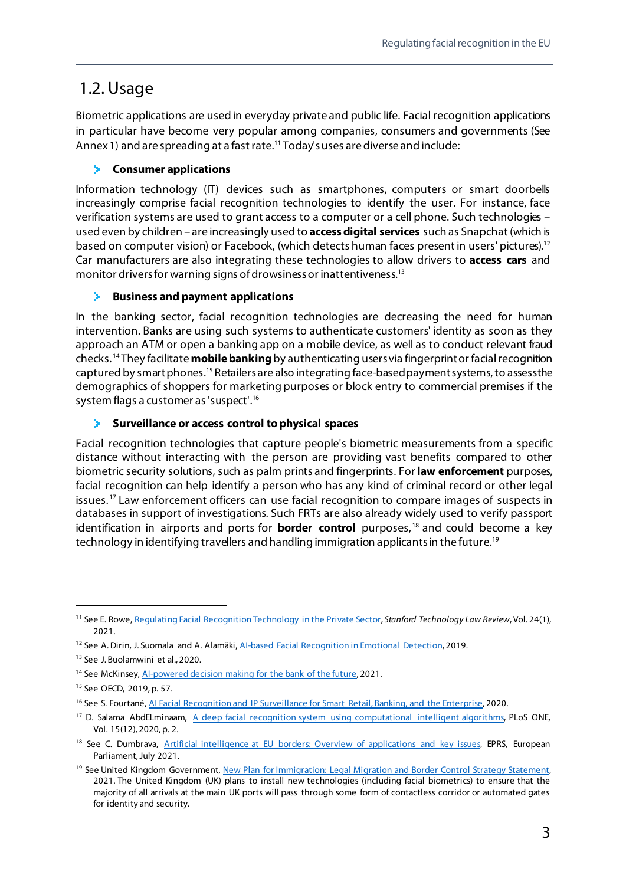## <span id="page-8-0"></span>1.2. Usage

Biometric applications are used in everyday private and public life. Facial recognition applications in particular have become very popular among companies, consumers and governments (See Annex 1) and are spreading at a fast rate.<sup>[11](#page-8-1)</sup> Today's uses are diverse and include:

#### **Consumer applications**

Information technology (IT) devices such as smartphones, computers or smart doorbells increasingly comprise facial recognition technologies to identify the user. For instance, face verification systems are used to grant access to a computer or a cell phone. Such technologies – used even by children – are increasingly used to **access digital services** such as Snapchat (which is based on computer vision) or Facebook, (which detects human faces present in users' pictures).<sup>[12](#page-8-2)</sup> Car manufacturers are also integrating these technologies to allow drivers to **access cars** and monitor drivers for warning signs of drowsiness or inattentiveness[.13](#page-8-3)

#### **Business and payment applications**

In the banking sector, facial recognition technologies are decreasing the need for human intervention. Banks are using such systems to authenticate customers' identity as soon as they approach an ATM or open a banking app on a mobile device, as well as to conduct relevant fraud checks. [14](#page-8-4) They facilitate **mobile banking**by authenticating users via fingerprint or facial recognition captured by smart phones.<sup>[15](#page-8-5)</sup> Retailers are also integrating face-based payment systems, to assess the demographics of shoppers for marketing purposes or block entry to commercial premises if the system flags a customer as 'suspect'. [16](#page-8-6)

#### **Surveillance or access control to physical spaces** S.

Facial recognition technologies that capture people's biometric measurements from a specific distance without interacting with the person are providing vast benefits compared to other biometric security solutions, such as palm prints and fingerprints. For **law enforcement** purposes, facial recognition can help identify a person who has any kind of criminal record or other legal issues.<sup>[17](#page-8-7)</sup> Law enforcement officers can use facial recognition to compare images of suspects in databases in support of investigations. Such FRTs are also already widely used to verify passport identification in airports and ports for **border control** purposes, [18](#page-8-8) and could become a key technology in identifying travellers and handling immigration applicants in the future.<sup>[19](#page-8-9)</sup>

<span id="page-8-1"></span> <sup>11</sup> See E. Rowe[, Regulating Facial Recognition Technology in the Private Sector,](https://law.stanford.edu/publications/regulating-facial-recognition-technology-in-the-private-sector/) *Stanford Technology Law Review*, Vol. 24(1), 2021.

<span id="page-8-2"></span><sup>&</sup>lt;sup>12</sup> See A. Dirin, J. Suomala and A. Alamäki, Al-based Facial Recognition in Emotional Detection, 2019.

<span id="page-8-3"></span><sup>&</sup>lt;sup>13</sup> See J. Buolamwini et al., 2020.

<span id="page-8-4"></span><sup>&</sup>lt;sup>14</sup> See McKinsey, Al-powered decision making for the bank of the future, 2021.

<span id="page-8-5"></span><sup>15</sup> See OECD, 2019, p. 57.

<span id="page-8-6"></span><sup>&</sup>lt;sup>16</sup> See S. Fourtané[, AI Facial Recognition and IP Surveillance for Smart Retail, Banking, and the Enterprise,](https://interestingengineering.com/ai-facial-recognition-and-ip-surveillance-for-smart-retail-banking-and-the-enterprise) 2020.

<span id="page-8-7"></span><sup>&</sup>lt;sup>17</sup> D. Salama AbdELminaam, [A deep facial recognition system using computational intelligent algorithms,](https://journals.plos.org/plosone/article?id=10.1371/journal.pone.0242269) PLoS ONE, Vol. 15(12), 2020, p. 2.

<span id="page-8-8"></span><sup>&</sup>lt;sup>18</sup> See C. Dumbrava, [Artificial intelligence at EU borders: Overview of applications and key issues,](https://www.europarl.europa.eu/thinktank/en/document.html?reference=EPRS_IDA(2021)690706) EPRS, European Parliament, July 2021.

<span id="page-8-9"></span><sup>&</sup>lt;sup>19</sup> See United Kingdom Government, New Plan for Immigration: Legal Migration and Border Control Strategy Statement, 2021. The United Kingdom (UK) plans to install new technologies (including facial biometrics) to ensure that the majority of all arrivals at the main UK ports will pass through some form of contactless corridor or automated gates for identity and security.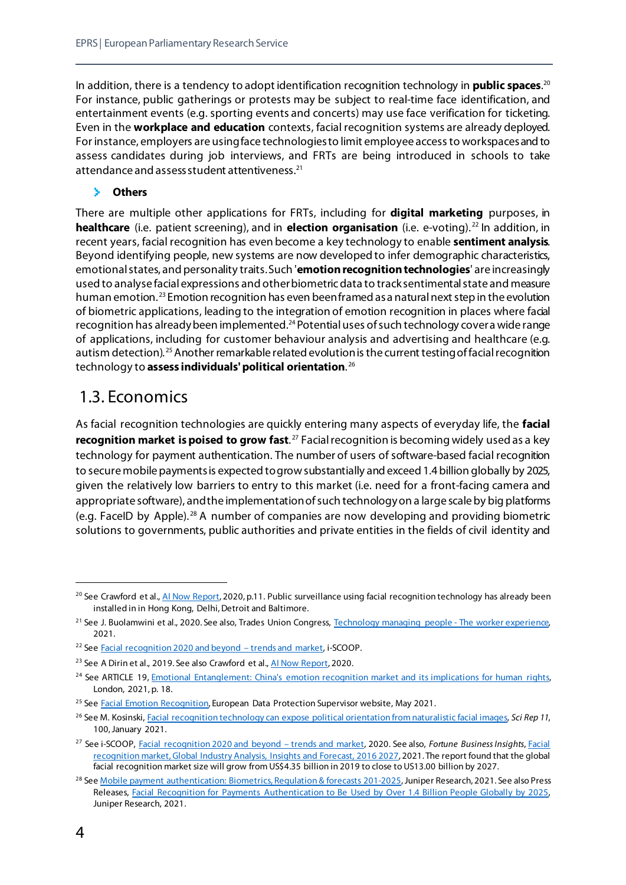In addition, there is a tendency to adopt identification recognition technology in **public spaces**. [20](#page-9-1) For instance, public gatherings or protests may be subject to real-time face identification, and entertainment events (e.g. sporting events and concerts) may use face verification for ticketing. Even in the **workplace and education** contexts, facial recognition systems are already deployed. For instance, employers are using face technologies to limit employee access to workspaces and to assess candidates during job interviews, and FRTs are being introduced in schools to take attendance and assess student attentiveness.<sup>[21](#page-9-2)</sup>

#### ×. **Others**

There are multiple other applications for FRTs, including for **digital marketing** purposes, in **healthcare** (i.e. patient screening), and in **election organisation** (i.e. e-voting). [22](#page-9-3) In addition, in recent years, facial recognition has even become a key technology to enable **sentiment analysis**. Beyond identifying people, new systems are now developed to infer demographic characteristics, emotional states, and personality traits. Such '**emotion recognition technologies**' are increasingly used to analyse facial expressions and other biometric data to track sentimental state and measure human emotion. [23](#page-9-4) Emotion recognition has even beenframed as a natural next step in the evolution of biometric applications, leading to the integration of emotion recognition in places where facial recognition has already been implemented.<sup>24</sup> Potential uses of such technology cover a wide range of applications, including for customer behaviour analysis and advertising and healthcare (e.g. autism detection).<sup>[25](#page-9-6)</sup> Another remarkable related evolution is the current testing of facial recognition technology to **assess individuals' political orientation**. [26](#page-9-7)

## <span id="page-9-0"></span>1.3. Economics

As facial recognition technologies are quickly entering many aspects of everyday life, the **facial recognition market is poised to grow fast**.<sup>[27](#page-9-8)</sup> Facial recognition is becoming widely used as a key technology for payment authentication. The number of users of software-based facial recognition to secure mobile payments is expected to grow substantially and exceed 1.4billion globally by 2025, given the relatively low barriers to entry to this market (i.e. need for a front-facing camera and appropriate software), and the implementation of such technology on a large scale by big platforms (e.g. FaceID by Apple). [28](#page-9-9) A number of companies are now developing and providing biometric solutions to governments, public authorities and private entities in the fields of civil identity and

<span id="page-9-1"></span><sup>&</sup>lt;sup>20</sup> See Crawford et al.[, AI Now Report,](https://ainowinstitute.org/AI_Now_2019_Report.pdf) 2020, p.11. Public surveillance using facial recognition technology has already been installed in in Hong Kong, Delhi, Detroit and Baltimore.

<span id="page-9-2"></span><sup>&</sup>lt;sup>21</sup> See J. Buolamwini et al., 2020. See also, Trades Union Congress[, Technology managing people -](https://www.tuc.org.uk/sites/default/files/2020-11/Technology_Managing_People_Report_2020_AW_Optimised.pdf) The worker experience, 2021.

<span id="page-9-3"></span><sup>&</sup>lt;sup>22</sup> Se[e Facial recognition 2020 and beyond –](https://www.i-scoop.eu/facial-recognition/) trends and market, i-SCOOP.

<span id="page-9-4"></span><sup>&</sup>lt;sup>23</sup> See A Dirin et al., 2019. See also Crawford et al., Al Now Report, 2020.

<span id="page-9-5"></span><sup>&</sup>lt;sup>24</sup> See ARTICLE 19, *Emotional Entanglement: China's emotion recognition market and its implications for human rights,* London, 2021, p. 18.

<span id="page-9-6"></span><sup>&</sup>lt;sup>25</sup> Se[e Facial Emotion Recognition,](https://edps.europa.eu/data-protection/our-work/publications/techdispatch/techdispatch-12021-facial-emotion-recognition_fr) European Data Protection Supervisor website, May 2021.

<span id="page-9-7"></span><sup>26</sup> See M. Kosinski[, Facial recognition technology can expose political orientation from naturalistic facial images,](https://www.nature.com/articles/s41598-020-79310-1) *Sci Rep 11*, 100, January 2021.

<span id="page-9-8"></span><sup>27</sup> See i-SCOOP[, Facial recognition 2020 and beyond –](https://www.i-scoop.eu/facial-recognition/) trends and market, 2020. See also, *Fortune Business Insights*[, Facial](https://www.fortunebusinessinsights.com/industry-reports/facial-recognition-market-101061)  [recognition market, Global Industry Analysis, Insights and Forecast, 2016 2027,](https://www.fortunebusinessinsights.com/industry-reports/facial-recognition-market-101061) 2021. The report found that the global facial recognition market size will grow from US\$4.35 billion in 2019 to close to US13.00 billion by 2027.

<span id="page-9-9"></span><sup>&</sup>lt;sup>28</sup> Se[e Mobile payment authentication: Biometrics, Regulation & forecasts 201-2025,](https://www.juniperresearch.com/researchstore/fintech-payments/mobile-payment-authentication-market-research) Juniper Research, 2021. See also Press Releases, [Facial Recognition for Payments Authentication to Be Used by Over 1.4 Billion People Globally by 2025,](https://www.juniperresearch.com/press/facial-recognition-payments-authentication-users)  Juniper Research, 2021.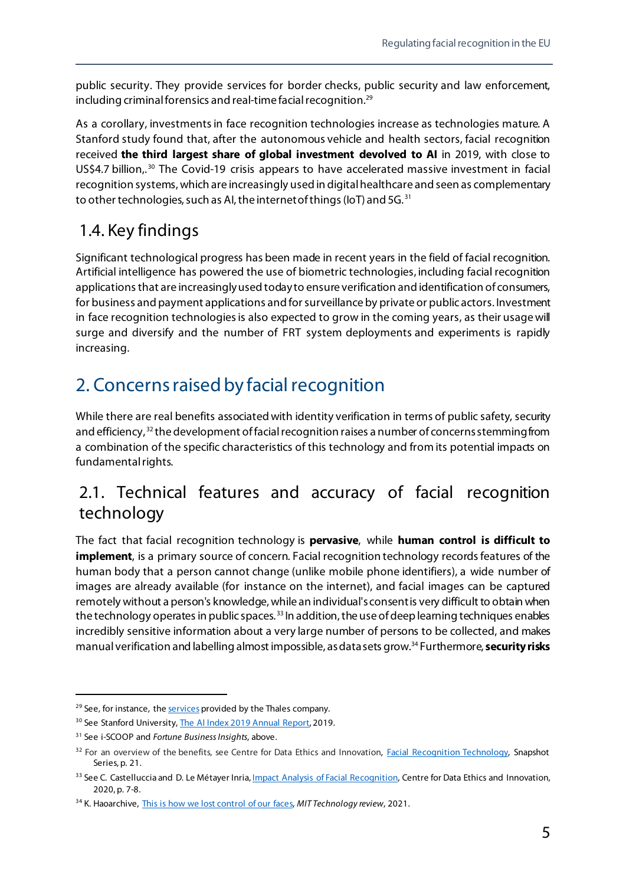public security. They provide services for border checks, public security and law enforcement, including criminal forensics and real-time facial recognition.<sup>[29](#page-10-3)</sup>

As a corollary, investments in face recognition technologies increase as technologies mature. A Stanford study found that, after the autonomous vehicle and health sectors, facial recognition received **the third largest share of global investment devolved to AI** in 2019, with close to US\$4.7 billion,.<sup>[30](#page-10-4)</sup> The Covid-19 crisis appears to have accelerated massive investment in facial recognition systems, which are increasingly used in digital healthcare and seen as complementary to other technologies, such as AI, the internet of things (IoT) and 5G.<sup>[31](#page-10-5)</sup>

## <span id="page-10-0"></span>1.4. Key findings

Significant technological progress has been made in recent years in the field of facial recognition. Artificial intelligence has powered the use of biometric technologies, including facial recognition applications that are increasingly used today to ensure verification and identification of consumers, for business and payment applications and for surveillance by private or public actors. Investment in face recognition technologies is also expected to grow in the coming years, as their usage will surge and diversify and the number of FRT system deployments and experiments is rapidly increasing.

## <span id="page-10-1"></span>2. Concerns raised by facial recognition

While there are real benefits associated with identity verification in terms of public safety, security and efficiency,<sup>[32](#page-10-6)</sup> the development of facial recognition raises a number of concerns stemming from a combination of the specific characteristics of this technology and from its potential impacts on fundamental rights.

## <span id="page-10-2"></span>2.1. Technical features and accuracy of facial recognition technology

The fact that facial recognition technology is **pervasive**, while **human control is difficult to implement**, is a primary source of concern. Facial recognition technology records features of the human body that a person cannot change (unlike mobile phone identifiers), a wide number of images are already available (for instance on the internet), and facial images can be captured remotely without a person's knowledge, while an individual's consent is very difficult to obtain when the technology operates in public spaces.<sup>[33](#page-10-7)</sup> In addition, the use of deep learning techniques enables incredibly sensitive information about a very large number of persons to be collected, and makes manual verification and labelling almost impossible, as data sets grow[.34](#page-10-8) Furthermore, **security risks**

<span id="page-10-3"></span><sup>&</sup>lt;sup>29</sup> See, for instance, th[e services](https://www.thalesgroup.com/en/markets/digital-identity-and-security/government) provided by the Thales company.

<span id="page-10-4"></span><sup>&</sup>lt;sup>30</sup> See Stanford University[, The AI Index 2019 Annual Report,](https://hai.stanford.edu/sites/default/files/ai_index_2019_report.pdf) 2019.

<span id="page-10-5"></span><sup>31</sup> See i-SCOOP and *Fortune Business Insights*, above.

<span id="page-10-6"></span><sup>&</sup>lt;sup>32</sup> For an overview of the benefits, see Centre for Data Ethics and Innovation, [Facial Recognition Technology,](https://assets.publishing.service.gov.uk/government/uploads/system/uploads/attachment_data/file/905267/Facial_Recognition_Technology_Snapshot_UPDATED.pdf) Snapshot Series, p. 21.

<span id="page-10-7"></span><sup>33</sup> See C. Castelluccia and D. Le Métayer Inria, *Impact Analysis of Facial Recognition*, Centre for Data Ethics and Innovation, 2020, p. 7-8.

<span id="page-10-8"></span><sup>34</sup> K. Haoarchive[, This is how we lost control of our faces,](https://www.technologyreview.com/2021/02/05/1017388/ai-deep-learning-facial-recognition-data-history/) *MIT Technology review*, 2021.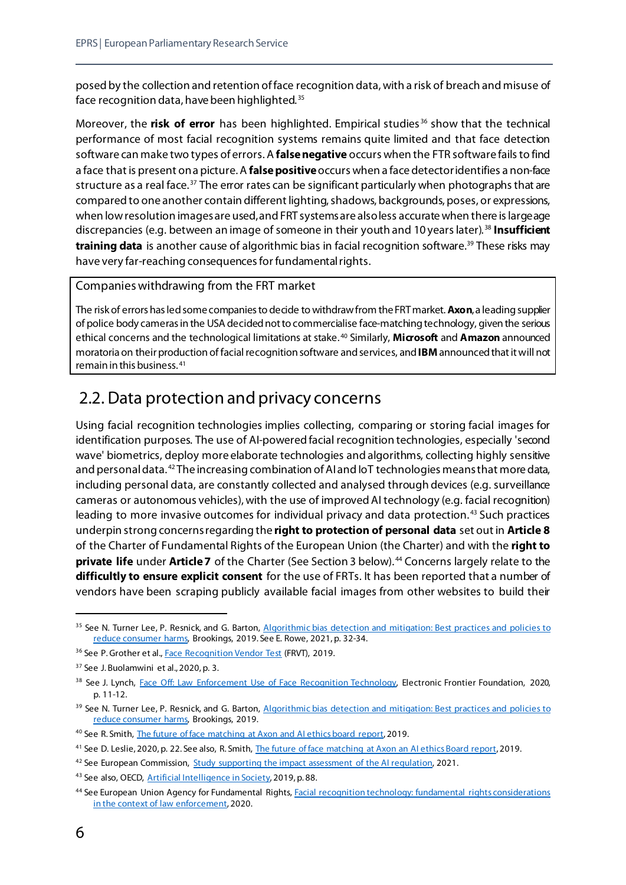posed by the collection and retention of face recognition data, with a risk of breach and misuse of face recognition data, have been highlighted.<sup>[35](#page-11-1)</sup>

Moreover, the **risk of error** has been highlighted. Empirical studies [36](#page-11-2) show that the technical performance of most facial recognition systems remains quite limited and that face detection software can make two types of errors. A **false negative** occurs when the FTR software fails to find a face that is present on a picture. A **false positive**occurs when a face detector identifies a non-face structure as a real face.<sup>[37](#page-11-3)</sup> The error rates can be significant particularly when photographs that are compared to one another contain different lighting, shadows, backgrounds, poses, or expressions, when low resolution images are used,and FRT systems are also less accurate when there is large age discrepancies (e.g. between an image of someone in their youth and 10 years later). [38](#page-11-4) **Insufficient training data** is another cause of algorithmic bias in facial recognition software.<sup>[39](#page-11-5)</sup> These risks may have very far-reaching consequences for fundamental rights.

Companies withdrawing from the FRT market

The risk of errors has led some companies to decide to withdraw from the FRT market. **Axon**, a leading supplier of police body cameras in the USA decided not to commercialise face-matching technology, given the serious ethical concerns and the technological limitations at stake. [40](#page-11-6) Similarly, **Microsoft** and **Amazon** announced moratoria on their production of facial recognition software and services, and **IBM** announced that it will not remain in this business. [41](#page-11-7)

## <span id="page-11-0"></span>2.2. Data protection and privacy concerns

Using facial recognition technologies implies collecting, comparing or storing facial images for identification purposes. The use of AI-powered facial recognition technologies, especially 'second wave' biometrics, deploy more elaborate technologies and algorithms, collecting highly sensitive and personal data. [42](#page-11-8) The increasing combination of AI and IoT technologies means that more data, including personal data, are constantly collected and analysed through devices (e.g. surveillance cameras or autonomous vehicles), with the use of improvedAI technology (e.g. facial recognition) leading to more invasive outcomes for individual privacy and data protection. [43](#page-11-9) Such practices underpin strong concerns regarding the **right to protection of personal data** set out in **Article 8**  of the Charter of Fundamental Rights of the European Union (the Charter) and with the **right to private life** under **Article 7** of the Charter (See Section 3 below).<sup>[44](#page-11-10)</sup> Concerns largely relate to the **difficultly to ensure explicit consent** for the use of FRTs. It has been reported that a number of vendors have been scraping publicly available facial images from other websites to build their

<span id="page-11-1"></span><sup>&</sup>lt;sup>35</sup> See N. Turner Lee, P. Resnick, and G. Barton, Algorithmic bias detection and mitigation: Best practices and policies to [reduce consumer harms,](https://www.brookings.edu/research/algorithmic-bias-detection-and-mitigation-best-practices-and-policies-to-reduce-consumer-harms/) Brookings, 2019. See E. Rowe, 2021, p. 32-34.

<span id="page-11-2"></span><sup>&</sup>lt;sup>36</sup> See P. Grother et al.[, Face Recognition Vendor Test](https://nvlpubs.nist.gov/nistpubs/ir/2019/NIST.IR.8280.pdf) (FRVT), 2019.

<span id="page-11-3"></span> $37$  See J. Buolamwini et al., 2020, p. 3.

<span id="page-11-4"></span><sup>38</sup> See J. Lynch, [Face Off: Law Enforcement Use of Face Recognition Technology,](https://www.eff.org/wp/law-enforcement-use-face-recognition) Electronic Frontier Foundation, 2020, p. 11-12.

<span id="page-11-5"></span><sup>&</sup>lt;sup>39</sup> See N. Turner Lee, P. Resnick, and G. Barton, Algorithmic bias detection and mitigation: Best practices and policies to [reduce consumer harms,](https://www.brookings.edu/research/algorithmic-bias-detection-and-mitigation-best-practices-and-policies-to-reduce-consumer-harms/) Brookings, 2019.

<span id="page-11-6"></span><sup>40</sup> See R. Smith[, The future of face matching at Axon and AI ethics board report,](https://www.axon.com/company/news/ai-ethics-board-report) 2019.

<span id="page-11-7"></span><sup>&</sup>lt;sup>41</sup> See D. Leslie, 2020, p. 22. See also, R. Smith[, The future of face matching at Axon an AI ethics Board report,](https://www.axon.com/company/news/ai-ethics-board-report) 2019.

<span id="page-11-8"></span><sup>&</sup>lt;sup>42</sup> See European Commission, [Study supporting the impact assessment of the AI regulation,](https://digital-strategy.ec.europa.eu/en/library/study-supporting-impact-assessment-ai-regulation) 2021.

<span id="page-11-9"></span><sup>43</sup> See also, OECD[, Artificial Intelligence in Society,](https://doi.org/10.1787/eedfee77-en) 2019, p. 88.

<span id="page-11-10"></span><sup>44</sup> See European Union Agency for Fundamental Rights[, Facial recognition technology: fundamental rights considerations](https://fra.europa.eu/sites/default/files/fra_uploads/fra-2019-facial-recognition-technology-focus-paper-1_en.pdf)  [in the context of law enforcement,](https://fra.europa.eu/sites/default/files/fra_uploads/fra-2019-facial-recognition-technology-focus-paper-1_en.pdf) 2020.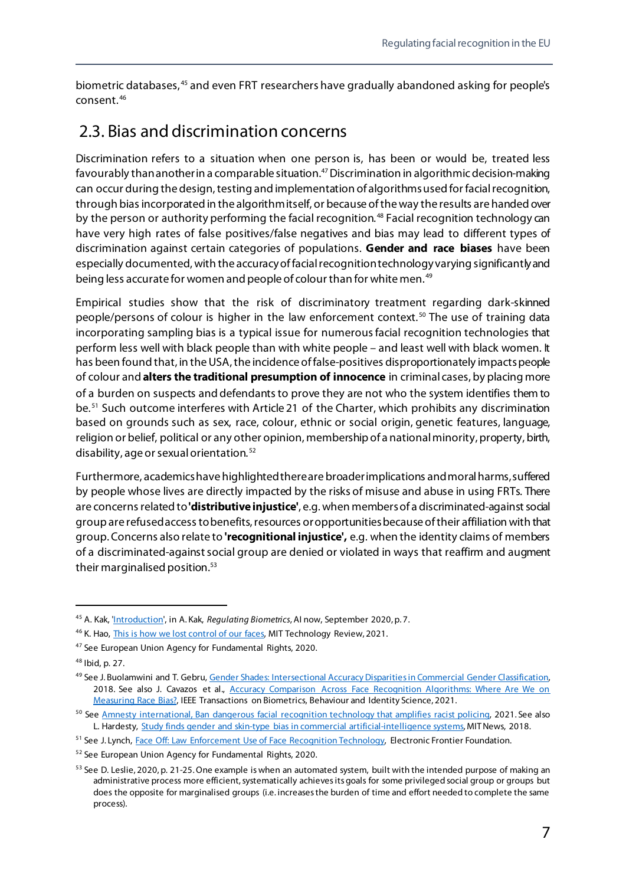biometric databases, [45](#page-12-1) and even FRT researchers have gradually abandoned asking for people's consent. [46](#page-12-2)

## <span id="page-12-0"></span>2.3. Bias and discrimination concerns

Discrimination refers to a situation when one person is, has been or would be, treated less favourably than another in a comparable situation.[47](#page-12-3)Discrimination in algorithmic decision-making can occur during the design, testing and implementation of algorithms used for facial recognition, through biasincorporated in the algorithm itself, or because of the way the results are handed over by the person or authority performing the facial recognition.<sup>[48](#page-12-4)</sup> Facial recognition technology can have very high rates of false positives/false negatives and bias may lead to different types of discrimination against certain categories of populations. **Gender and race biases** have been especially documented, with the accuracy of facial recognition technology varying significantly and being less accurate for women and people of colour than for white men. [49](#page-12-5)

Empirical studies show that the risk of discriminatory treatment regarding dark-skinned people/persons of colour is higher in the law enforcement context. [50](#page-12-6) The use of training data incorporating sampling bias is a typical issue for numerous facial recognition technologies that perform less well with black people than with white people – and least well with black women. It has been found that, in the USA, the incidence of false-positives disproportionately impacts people of colour and **alters the traditional presumption of innocence** in criminal cases, by placing more of a burden on suspects and defendants to prove they are not who the system identifies them to be.<sup>[51](#page-12-7)</sup> Such outcome interferes with Article 21 of the Charter, which prohibits any discrimination based on grounds such as sex, race, colour, ethnic or social origin, genetic features, language, religion or belief, political or any other opinion, membership of a national minority, property, birth, disability, age or sexual orientation. [52](#page-12-8)

Furthermore, academicshave highlighted there are broader implications and moral harms,suffered by people whose lives are directly impacted by the risks of misuse and abuse in using FRTs. There are concerns related to **'distributive injustice'**, e.g. when members of a discriminated-against social group are refused access to benefits, resources or opportunities because of their affiliation with that group. Concerns also relate to **'recognitional injustice',** e.g. when the identity claims of members of a discriminated-against social group are denied or violated in ways that reaffirm and augment their marginalised position.<sup>[53](#page-12-9)</sup>

<span id="page-12-1"></span> <sup>45</sup> A. Kak, ['Introduction',](https://ainowinstitute.org/regulatingbiometrics.pdf) in A. Kak, *Regulating Biometrics*, AI now, September 2020, p. 7.

<span id="page-12-2"></span><sup>&</sup>lt;sup>46</sup> K. Hao, *This is how we lost control of our faces*, MIT Technology Review, 2021.

<span id="page-12-3"></span><sup>47</sup> See European Union Agency for Fundamental Rights, 2020.

<span id="page-12-4"></span><sup>48</sup> Ibid, p. 27.

<span id="page-12-5"></span><sup>49</sup> See J. Buolamwini and T. Gebru, Gender Shades: Intersectional Accuracy Disparities in Commercial Gender Classification, 2018. See also J. Cavazos et al., Accuracy Comparison Across Face Recognition Algorithms: Where Are We on [Measuring Race Bias?,](https://ieeexplore.ieee.org/abstract/document/9209125) IEEE Transactions on Biometrics, Behaviour and Identity Science, 2021.

<span id="page-12-6"></span><sup>&</sup>lt;sup>50</sup> Se[e Amnesty international, Ban dangerous facial recognition technology that amplifies racist policing,](https://www.amnesty.org/en/latest/news/2021/01/ban-dangerous-facial-recognition-technology-that-amplifies-racist-policing/) 2021. See also L. Hardesty, [Study finds gender and skin-type bias in commercial artificial-intelligence systems,](https://news.mit.edu/2018/study-finds-gender-skin-type-bias-artificial-intelligence-systems-0212) MIT News, 2018.

<span id="page-12-7"></span><sup>51</sup> See J. Lynch, [Face Off: Law Enforcement Use of Face Recognition Technology,](https://www.eff.org/wp/law-enforcement-use-face-recognition) Electronic Frontier Foundation.

<span id="page-12-8"></span><sup>52</sup> See European Union Agency for Fundamental Rights, 2020.

<span id="page-12-9"></span><sup>&</sup>lt;sup>53</sup> See D. Leslie, 2020, p. 21-25. One example is when an automated system, built with the intended purpose of making an administrative process more efficient, systematically achieves its goals for some privileged social group or groups but does the opposite for marginalised groups (i.e. increases the burden of time and effort needed to complete the same process).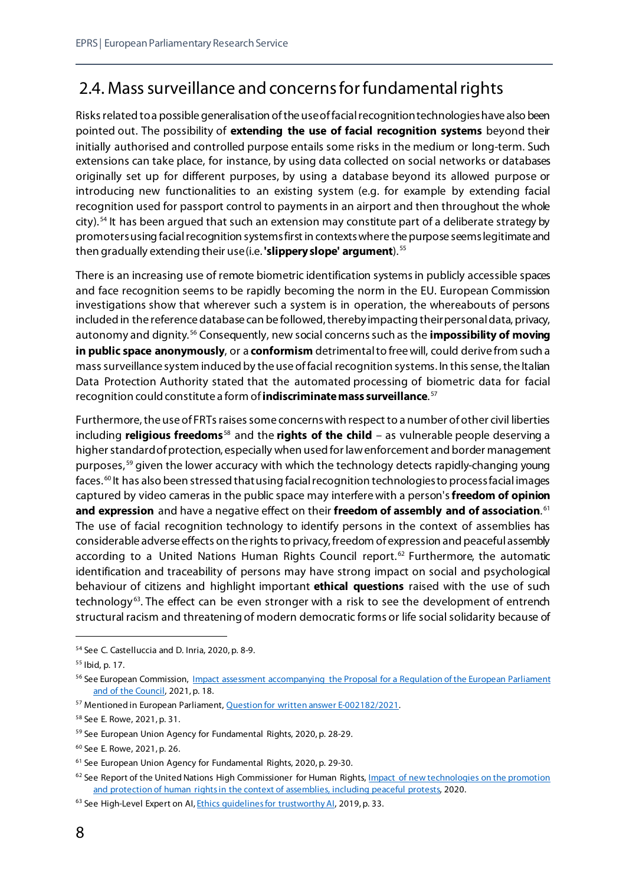## <span id="page-13-0"></span>2.4. Mass surveillance and concerns for fundamental rights

Risks related to a possible generalisation of the use of facial recognition technologies have also been pointed out. The possibility of **extending the use of facial recognition systems** beyond their initially authorised and controlled purpose entails some risks in the medium or long-term. Such extensions can take place, for instance, by using data collected on social networks or databases originally set up for different purposes, by using a database beyond its allowed purpose or introducing new functionalities to an existing system (e.g. for example by extending facial recognition used for passport control to payments in an airport and then throughout the whole city). [54](#page-13-1) It has been argued that such an extension may constitute part of a deliberate strategy by promoters using facial recognition systems first in contexts where the purpose seems legitimate and then gradually extending their use (i.e. **'slippery slope' argument**). [55](#page-13-2)

There is an increasing use of remote biometric identification systems in publicly accessible spaces and face recognition seems to be rapidly becoming the norm in the EU. European Commission investigations show that wherever such a system is in operation, the whereabouts of persons included in the reference database can be followed, therebyimpacting their personal data, privacy, autonomy and dignity. [56](#page-13-3) Consequently, new social concerns such as the **impossibility of moving in public space anonymously**, or a **conformism** detrimental to free will, could derive from such a mass surveillance system induced by the use of facial recognition systems. In this sense, the Italian Data Protection Authority stated that the automated processing of biometric data for facial recognition could constitute a form of **indiscriminate mass surveillance**. [57](#page-13-4)

Furthermore, the use of FRTs raises some concerns with respect to a number of other civil liberties including **religious freedoms**[58](#page-13-5) and the **rights of the child** – as vulnerable people deserving a higher standard of protection, especially when used for law enforcement and border management purposes, [59](#page-13-6) given the lower accuracy with which the technology detects rapidly-changing young faces.<sup>[60](#page-13-7)</sup> It has also been stressed that using facial recognition technologies to process facial images captured by video cameras in the public space may interfere with a person's**freedom of opinion and expression** and have a negative effect on their **freedom of assembly and of association**. [61](#page-13-8) The use of facial recognition technology to identify persons in the context of assemblies has considerable adverse effects on the rights to privacy, freedom of expression and peaceful assembly according to a United Nations Human Rights Council report.<sup>[62](#page-13-9)</sup> Furthermore, the automatic identification and traceability of persons may have strong impact on social and psychological behaviour of citizens and highlight important **ethical questions** raised with the use of such technology<sup>63</sup>. The effect can be even stronger with a risk to see the development of entrench structural racism and threatening of modern democratic forms or life social solidarity because of

<span id="page-13-1"></span> <sup>54</sup> See C. Castelluccia and D. Inria, 2020, p. 8-9.

<span id="page-13-2"></span><sup>55</sup> Ibid, p. 17.

<span id="page-13-3"></span><sup>&</sup>lt;sup>56</sup> See European Commission, *Impact assessment accompanying the Proposal for a Regulation of the European Parliament* [and of the Council,](https://eur-lex.europa.eu/resource.html?uri=cellar:0694be88-a373-11eb-9585-01aa75ed71a1.0001.02/DOC_1&format=PDF) 2021, p. 18.

<span id="page-13-4"></span><sup>57</sup> Mentioned in European Parliament[, Question for written answer](https://www.europarl.europa.eu/doceo/document/E-9-2021-002182_EN.html#def2) E-002182/2021.

<span id="page-13-5"></span><sup>58</sup> See E. Rowe, 2021, p. 31.

<span id="page-13-6"></span><sup>59</sup> See European Union Agency for Fundamental Rights, 2020, p. 28-29.

<span id="page-13-7"></span><sup>60</sup> See E. Rowe, 2021, p. 26.

<span id="page-13-8"></span><sup>61</sup> See European Union Agency for Fundamental Rights, 2020, p. 29-30.

<span id="page-13-9"></span> $62$  See Report of the United Nations High Commissioner for Human Rights, Impact of new technologies on the promotion [and protection of human rights in the context of assemblies, including peaceful protests,](https://www.ohchr.org/EN/NewsEvents/Pages/DisplayNews.aspx?NewsID=25996&LangID=E) 2020.

<span id="page-13-10"></span><sup>&</sup>lt;sup>63</sup> See High-Level Expert on AI, Ethics quidelines for trustworthy AI, 2019, p. 33.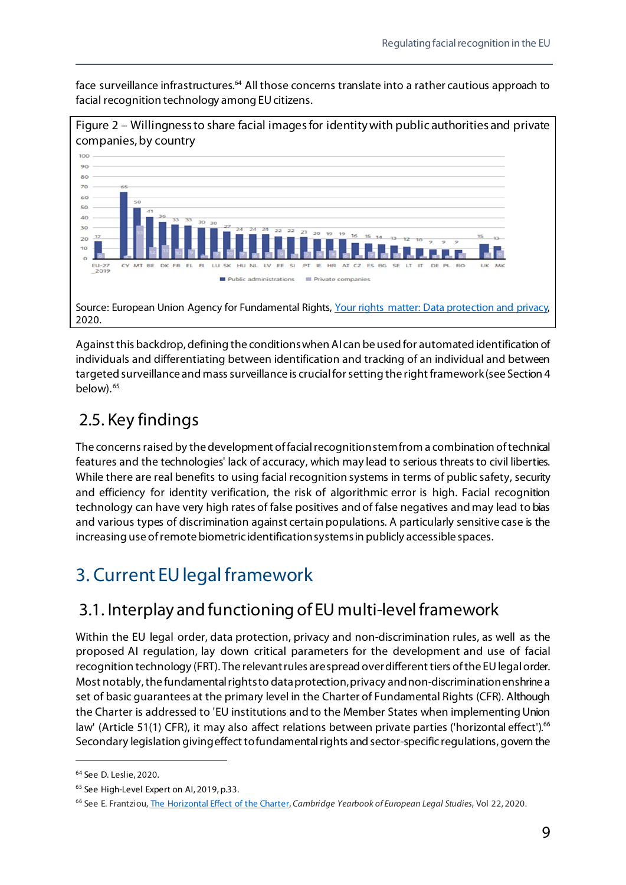face surveillance infrastructures.<sup>64</sup> All those concerns translate into a rather cautious approach to facial recognition technology among EU citizens.



Against this backdrop, defining the conditions when AI can be used for automated identification of individuals and differentiating between identification and tracking of an individual and between targeted surveillance and mass surveillance is crucial for setting the right framework(see Section 4 below).<sup>65</sup>

## <span id="page-14-0"></span>2.5. Key findings

The concerns raised by the development of facial recognition stem from a combination of technical features and the technologies' lack of accuracy, which may lead to serious threats to civil liberties. While there are real benefits to using facial recognition systems in terms of public safety, security and efficiency for identity verification, the risk of algorithmic error is high. Facial recognition technology can have very high rates of false positives and of false negatives and may lead to bias and various types of discrimination against certain populations. A particularly sensitive case is the increasing use of remote biometric identification systems in publicly accessible spaces.

## <span id="page-14-1"></span>3. Current EU legal framework

## <span id="page-14-2"></span>3.1. Interplay and functioning of EU multi-level framework

Within the EU legal order, data protection, privacy and non-discrimination rules, as well as the proposed AI regulation, lay down critical parameters for the development and use of facial recognition technology (FRT). The relevant rules are spread over different tiers of the EU legal order. Most notably, the fundamental rights to data protection, privacy and non-discrimination enshrine a set of basic guarantees at the primary level in the Charter of Fundamental Rights (CFR). Although the Charter is addressed to 'EU institutions and to the Member States when implementing Union law' (Article 51(1) CFR), it may also affect relations between private parties ('horizontal effect').<sup>[66](#page-14-5)</sup> Secondary legislation giving effect to fundamental rights and sector-specific regulations, govern the

1

<span id="page-14-3"></span><sup>64</sup> See D. Leslie, 2020.

<span id="page-14-4"></span><sup>&</sup>lt;sup>65</sup> See High-Level Expert on AI, 2019, p.33.

<span id="page-14-5"></span><sup>66</sup> See E. Frantziou[, The Horizontal Effect of the Charter,](https://www.cambridge.org/core/journals/cambridge-yearbook-of-european-legal-studies/article/horizontal-effect-of-the-charter-towards-an-understanding-of-horizontality-as-a-structural-constitutional-principle/DAFE056FAFFF75F1905708E82E41DED5) *Cambridge Yearbook of European Legal Studies*, Vol 22, 2020.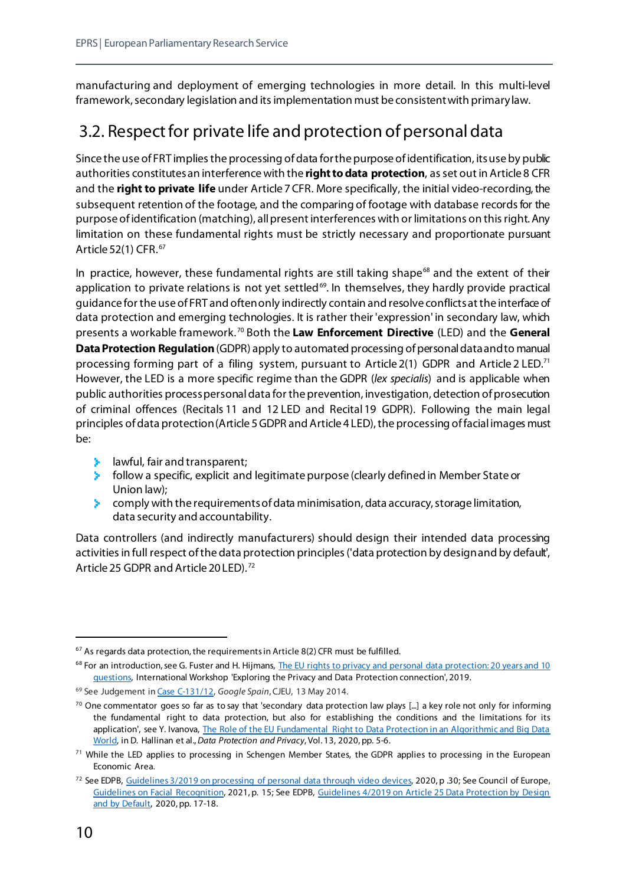manufacturing and deployment of emerging technologies in more detail. In this multi-level framework, secondary legislation and its implementation must be consistent with primary law.

## <span id="page-15-0"></span>3.2. Respect for private life and protection of personal data

Since the use of FRT implies the processing of data for the purpose of identification, its use by public authorities constitutes an interference with the **right to data protection**, as set out in Article 8 CFR and the **right to private life** under Article 7CFR. More specifically, the initial video-recording, the subsequent retention of the footage, and the comparing of footage with database records for the purpose of identification (matching), all present interferences with or limitations on this right. Any limitation on these fundamental rights must be strictly necessary and proportionate pursuant Article 52(1) CFR. [67](#page-15-1)

In practice, however, these fundamental rights are still taking shape<sup>[68](#page-15-2)</sup> and the extent of their application to private relations is not yet settled<sup>[69](#page-15-3)</sup>. In themselves, they hardly provide practical guidance for the use of FRT and often only indirectly contain and resolve conflictsat the interface of data protection and emerging technologies. It is rather their 'expression' in secondary law, which presents a workable framework. [70](#page-15-4) Both the **Law Enforcement Directive** (LED) and the **General Data Protection Regulation**(GDPR) apply to automated processing of personal data and to manual processing forming part of a filing system, pursuant to Article 2(1) GDPR and Article 2 LED.<sup>[71](#page-15-5)</sup> However, the LED is a more specific regime than the GDPR (*lex specialis*) and is applicable when public authorities process personal data for the prevention, investigation, detection of prosecution of criminal offences (Recitals 11 and 12 LED and Recital19 GDPR). Following the main legal principles of data protection (Article 5 GDPR and Article 4 LED), the processing of facial images must be:

- **EXTERN** hawful, fair and transparent;
- $\blacktriangleright$  follow a specific, explicit and legitimate purpose (clearly defined in Member State or Union law);
- $\geq$  comply with the requirements of data minimisation, data accuracy, storage limitation, data security and accountability.

Data controllers (and indirectly manufacturers) should design their intended data processing activities in full respect of the data protection principles ('data protection by design and by default', Article 25 GDPR and Article 20 LED). [72](#page-15-6)

<span id="page-15-1"></span> $67$  As regards data protection, the requirements in Article 8(2) CFR must be fulfilled.

<span id="page-15-2"></span><sup>&</sup>lt;sup>68</sup> For an introduction, see G. Fuster and H. Hijmans, The EU rights to privacy and personal data protection: 20 years and 10 [questions,](https://brusselsprivacyhub.eu/events/20190513.Working_Paper_Gonza%CC%81lez_Fuster_Hijmans.pdf) International Workshop 'Exploring the Privacy and Data Protection connection', 2019.

<span id="page-15-3"></span><sup>69</sup> See Judgement i[n Case C-131/12,](https://curia.europa.eu/juris/liste.jsf?num=C-131/12) *Google Spain*, CJEU, 13 May 2014.

<span id="page-15-4"></span><sup>&</sup>lt;sup>70</sup> One commentator goes so far as to say that 'secondary data protection law plays [...] a key role not only for informing the fundamental right to data protection, but also for establishing the conditions and the limitations for its application', see Y. Ivanova, The Role of the EU Fundamental Right to Data Protection in an Algorithmic and Big Data [World,](https://papers.ssrn.com/sol3/papers.cfm?abstract_id=3697089) in D. Hallinan et al., *Data Protection and Privacy*, Vol. 13, 2020, pp. 5-6.

<span id="page-15-5"></span> $71$  While the LED applies to processing in Schengen Member States, the GDPR applies to processing in the European Economic Area.

<span id="page-15-6"></span><sup>&</sup>lt;sup>72</sup> See EDPB[, Guidelines 3/2019 on processing of personal data through video devices,](https://edpb.europa.eu/our-work-tools/our-documents/guidelines/guidelines-32019-processing-personal-data-through-video_en) 2020, p .30; See Council of Europe, [Guidelines on Facial Recognition,](https://rm.coe.int/guidelines-on-facial-recognition/1680a134f3) 2021, p. 15; See EDPB, [Guidelines 4/2019 on Article 25 Data Protection by Design](https://edpb.europa.eu/our-work-tools/our-documents/guidelines/guidelines-42019-article-25-data-protection-design-and_en)  [and by Default,](https://edpb.europa.eu/our-work-tools/our-documents/guidelines/guidelines-42019-article-25-data-protection-design-and_en) 2020, pp. 17-18.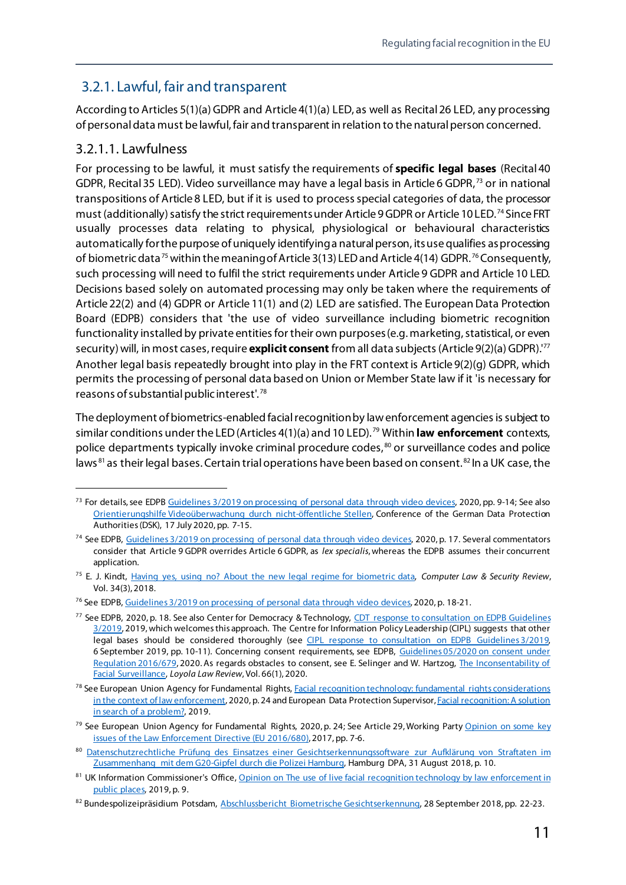#### <span id="page-16-0"></span>3.2.1. Lawful, fair and transparent

According to Articles 5(1)(a) GDPR and Article 4(1)(a) LED, as well as Recital26 LED, any processing of personal data must be lawful, fair and transparent in relation to the natural person concerned.

#### 3.2.1.1. Lawfulness

For processing to be lawful, it must satisfy the requirements of **specific legal bases** (Recital40 GDPR, Recital 35 LED). Video surveillance may have a legal basis in Article 6 GDPR,<sup>[73](#page-16-1)</sup> or in national transpositions of Article 8 LED, but if it is used to process special categories of data, the processor must (additionally) satisfy the strict requirements under Article 9 GDPR or Article 10 LED.<sup>[74](#page-16-2)</sup> Since FRT usually processes data relating to physical, physiological or behavioural characteristics automatically for the purpose of uniquely identifying a natural person, its use qualifies as processing of biometric data<sup>[75](#page-16-3)</sup> within the meaning of Article 3(13) LED and Article 4(14) GDPR.<sup>[76](#page-16-4)</sup> Consequently, such processing will need to fulfil the strict requirements under Article 9 GDPR and Article 10 LED. Decisions based solely on automated processing may only be taken where the requirements of Article 22(2) and (4) GDPR or Article 11(1) and (2) LED are satisfied. The European Data Protection Board (EDPB) considers that 'the use of video surveillance including biometric recognition functionality installed by private entities for their own purposes (e.g. marketing, statistical, or even security) will, in most cases, require **explicit consent** from all data subjects (Article 9(2)(a) GDPR).' [77](#page-16-5) Another legal basis repeatedly brought into play in the FRT context is Article 9(2)(g) GDPR, which permits the processing of personal data based on Union or Member State law if it 'is necessary for reasons of substantial public interest'. [78](#page-16-6)

The deployment of biometrics-enabled facial recognition by law enforcement agencies is subject to similar conditions under the LED (Articles 4(1)(a) and 10 LED). [79](#page-16-7) Within **law enforcement** contexts, police departments typically invoke criminal procedure codes, [80](#page-16-8) or surveillance codes and police laws<sup>[81](#page-16-9)</sup> as their legal bases. Certain trial operations have been based on consent.<sup>[82](#page-16-10)</sup> In a UK case, the

<span id="page-16-1"></span><sup>&</sup>lt;sup>73</sup> For details, see EDP[B Guidelines 3/2019 on processing of personal data through video devices,](https://edpb.europa.eu/our-work-tools/our-documents/guidelines/guidelines-32019-processing-personal-data-through-video_en) 2020, pp. 9-14; See also [Orientierungshilfe Videoüberwachung durch nicht-öffentliche Stellen,](https://www.datenschutzkonferenz-online.de/media/oh/20200903_oh_v%C3%BC_dsk.pdf) Conference of the German Data Protection Authorities (DSK), 17 July 2020, pp. 7-15.

<span id="page-16-2"></span><sup>&</sup>lt;sup>74</sup> See EDPB[, Guidelines 3/2019 on processing of personal data through video devices,](https://edpb.europa.eu/our-work-tools/our-documents/guidelines/guidelines-32019-processing-personal-data-through-video_en) 2020, p. 17. Several commentators consider that Article 9 GDPR overrides Article 6 GDPR, as *lex specialis*, whereas the EDPB assumes their concurrent application.

<span id="page-16-3"></span><sup>75</sup> E. J. Kindt, [Having yes, using no? About the new legal regime for biometric data,](https://www.sciencedirect.com/science/article/abs/pii/S0267364917303667) *Computer Law & Security Review*, Vol. 34(3), 2018.

<span id="page-16-4"></span><sup>&</sup>lt;sup>76</sup> See EDPB[, Guidelines 3/2019 on processing of personal data through video devices,](https://edpb.europa.eu/our-work-tools/our-documents/guidelines/guidelines-32019-processing-personal-data-through-video_en) 2020, p. 18-21.

<span id="page-16-5"></span><sup>77</sup> See EDPB, 2020, p. 18. See also Center for Democracy & Technology, [CDT response to consultation on EDPB Guidelines](https://cdt.org/insights/cdt-comments-on-edpb-guidelines-3-2019-on-the-processing-of-personal-data-through-video-devices/)  [3/2019,](https://cdt.org/insights/cdt-comments-on-edpb-guidelines-3-2019-on-the-processing-of-personal-data-through-video-devices/) 2019, which welcomes this approach. The Centre for Information Policy Leadership (CIPL) suggests that other legal bases should be considered thoroughly (see [CIPL response to consultation on EDPB Guidelines](https://www.informationpolicycentre.com/public-consultations.html) 3/2019, 6 September 2019, pp. 10-11). Concerning consent requirements, see EDPB, Guidelines [05/2020 on consent under](https://edpb.europa.eu/our-work-tools/our-documents/guidelines/guidelines-052020-consent-under-regulation-2016679_en)  [Regulation](https://edpb.europa.eu/our-work-tools/our-documents/guidelines/guidelines-052020-consent-under-regulation-2016679_en) 2016/679, 2020. As regards obstacles to consent, see E. Selinger and W. Hartzog, The [Inconsentability of](https://papers.ssrn.com/sol3/papers.cfm?abstract_id=3557508)  [Facial Surveillance,](https://papers.ssrn.com/sol3/papers.cfm?abstract_id=3557508) *Loyola Law Review*, Vol. 66(1), 2020.

<span id="page-16-6"></span><sup>&</sup>lt;sup>78</sup> See European Union Agency for Fundamental Rights, Facial recognition technology: fundamental rights considerations [in the context of law enforcement,](https://fra.europa.eu/en/publication/2019/facial-recognition-technology-fundamental-rights-considerations-context-law) 2020, p. 24 and European Data Protection Supervisor[, Facial recognition: A solution](https://edps.europa.eu/press-publications/press-news/blog/facial-recognition-solution-search-problem_en)  [in search of a problem?,](https://edps.europa.eu/press-publications/press-news/blog/facial-recognition-solution-search-problem_en) 2019.

<span id="page-16-7"></span><sup>&</sup>lt;sup>79</sup> See European Union Agency for Fundamental Rights, 2020, p. 24; See Article 29, Working Party Opinion on some key [issues of the Law Enforcement Directive \(EU 2016/680\),](https://ec.europa.eu/newsroom/article29/items/610178) 2017, pp. 7-6.

<span id="page-16-8"></span><sup>80</sup> Datenschutzrechtliche Prüfung des Einsatzes einer Gesichtserkennungssoftware zur Aufklärung von Straftaten im [Zusammenhang mit dem G20-Gipfel durch die Polizei Hamburg,](https://datenschutz-hamburg.de/pressemitteilungen/2018/08/2018-09-31-polhh-g20-videmo360) Hamburg DPA, 31 August 2018, p. 10.

<span id="page-16-9"></span><sup>81</sup> UK Information Commissioner's Office, Opinion on The use of live facial recognition technology by law enforcement in [public places,](https://ico.org.uk/media/about-the-ico/documents/2616184/live-frt-law-enforcement-opinion-20191031.pdf) 2019, p. 9.

<span id="page-16-10"></span><sup>82</sup> Bundespolizeipräsidium Potsdam, [Abschlussbericht Biometrische Gesichtserkennung,](https://www.bundespolizei.de/Web/DE/04Aktuelles/01Meldungen/2018/10/181011_abschlussbericht_gesichtserkennung_down.pdf?__blob=publicationFile) 28 September 2018, pp. 22-23.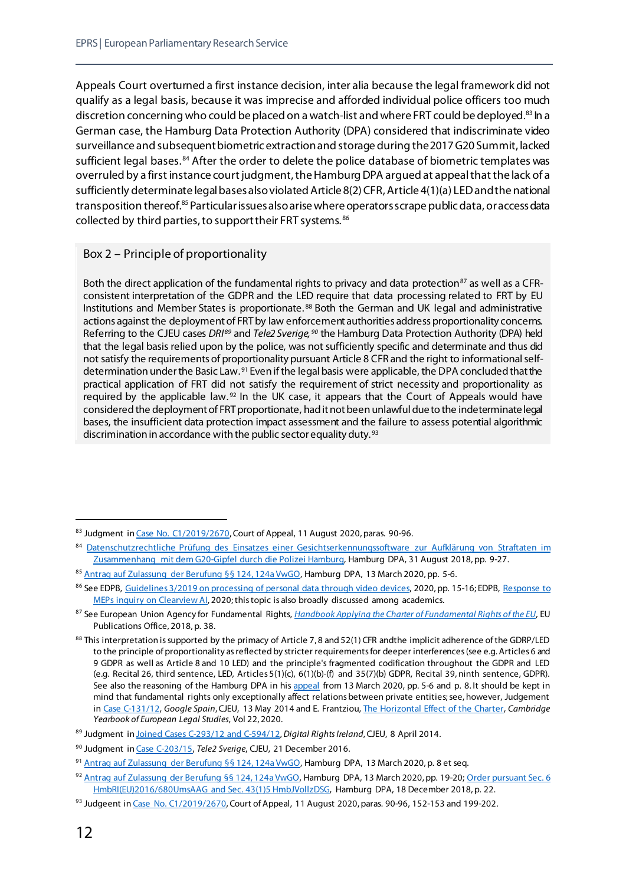Appeals Court overturned a first instance decision, inter alia because the legal framework did not qualify as a legal basis, because it was imprecise and afforded individual police officers too much discretion concerning who could be placed on a watch-list and where FRT could be deployed.<sup>[83](#page-17-0)</sup> In a German case, the Hamburg Data Protection Authority (DPA) considered that indiscriminate video surveillance and subsequent biometric extraction and storage during the 2017 G20 Summit, lacked sufficient legal bases.<sup>[84](#page-17-1)</sup> After the order to delete the police database of biometric templates was overruled by a first instance court judgment, the Hamburg DPA argued at appeal that the lack of a sufficiently determinate legal bases also violated Article 8(2) CFR, Article 4(1)(a) LED and the national transposition thereof.<sup>[85](#page-17-2)</sup> Particular issues also arise where operators scrape public data, or access data collected by third parties, to support their FRT systems. <sup>[86](#page-17-3)</sup>

#### Box 2 – Principle of proportionality

Both the direct application of the fundamental rights to privacy and data protection<sup>[87](#page-17-4)</sup> as well as a CFRconsistent interpretation of the GDPR and the LED require that data processing related to FRT by EU Institutions and Member States is proportionate. [88](#page-17-5) Both the German and UK legal and administrative actions against the deployment of FRT by law enforcement authorities address proportionality concerns. Referring to the CJEU cases *DRI[89](#page-17-6)* and *Tele2 Sverige, [90](#page-17-7)* the Hamburg Data Protection Authority (DPA) held that the legal basis relied upon by the police, was not sufficiently specific and determinate and thus did not satisfy the requirements of proportionality pursuant Article 8 CFR and the right to informational selfdetermination under the Basic Law. [91](#page-17-8) Even if the legal basis were applicable, the DPA concluded that the practical application of FRT did not satisfy the requirement of strict necessity and proportionality as required by the applicable law.<sup>[92](#page-17-9)</sup> In the UK case, it appears that the Court of Appeals would have considered the deployment of FRT proportionate, had it not been unlawful due to the indeterminate legal bases, the insufficient data protection impact assessment and the failure to assess potential algorithmic discrimination in accordance with the public sector equality duty.<sup>[93](#page-17-10)</sup>

<span id="page-17-0"></span><sup>83</sup> Judgment i[n Case No. C1/2019/2670](https://www.bailii.org/ew/cases/EWCA/Civ/2020/1058.html), Court of Appeal, 11 August 2020, paras. 90-96.

<span id="page-17-1"></span><sup>84</sup> Datenschutzrechtliche Prüfung des Einsatzes einer Gesichtserkennungssoftware zur Aufklärung von Straftaten im [Zusammenhang mit dem G20-Gipfel durch die Polizei Hamburg,](https://datenschutz-hamburg.de/pressemitteilungen/2018/08/2018-09-31-polhh-g20-videmo360) Hamburg DPA, 31 August 2018, pp. 9-27.

<span id="page-17-2"></span><sup>85</sup> [Antrag auf Zulassung der Berufung §§ 124, 124a VwGO,](https://datenschutz-hamburg.de/assets/pdf/Antrag_Zulassung_Berufung_2020-03-13.pdf) Hamburg DPA, 13 March 2020, pp. 5-6.

<span id="page-17-3"></span><sup>86</sup> See EDPB[, Guidelines 3/2019 on processing of personal data through video devices,](https://edpb.europa.eu/our-work-tools/our-documents/guidelines/guidelines-32019-processing-personal-data-through-video_en) 2020, pp. 15-16; EDPB, Response to [MEPs inquiry on Clearview AI,](https://edpb.europa.eu/our-work-tools/our-documents/letters/edpb-response-meps-sophie-t-veld-moritz-korner-michal-simecka_en) 2020; this topic is also broadly discussed among academics.

<span id="page-17-4"></span><sup>87</sup> See European Union Agency for Fundamental Rights, *[Handbook Applying the Charter of Fundamental Rights of the EU](https://fra.europa.eu/en/eu-charter/article/51-field-application)*, EU Publications Office, 2018, p. 38.

<span id="page-17-5"></span><sup>88</sup> This interpretation is supported by the primacy of Article 7, 8 and 52(1) CFR andthe implicit adherence of the GDRP/LED to the principle of proportionality as reflected by stricter requirements for deeper interferences (see e.g. Articles 6 and 9 GDPR as well as Article 8 and 10 LED) and the principle's fragmented codification throughout the GDPR and LED (e.g. Recital 26, third sentence, LED, Articles 5(1)(c), 6(1)(b)-(f) and 35(7)(b) GDPR, Recital 39, ninth sentence, GDPR). See also the reasoning of the Hamburg DPA in hi[s appeal](https://datenschutz-hamburg.de/assets/pdf/Antrag_Zulassung_Berufung_2020-03-13.pdf) from 13 March 2020, pp. 5-6 and p. 8. It should be kept in mind that fundamental rights only exceptionally affect relations between private entities; see, however, Judgement i[n Case C-131/12,](https://curia.europa.eu/juris/liste.jsf?num=C-131/12) *Google Spain*, CJEU, 13 May 2014 and E. Frantziou, [The Horizontal Effect of the Charter,](https://www.cambridge.org/core/journals/cambridge-yearbook-of-european-legal-studies/article/horizontal-effect-of-the-charter-towards-an-understanding-of-horizontality-as-a-structural-constitutional-principle/DAFE056FAFFF75F1905708E82E41DED5) *Cambridge Yearbook of European Legal Studies*, Vol 22, 2020.

<span id="page-17-6"></span><sup>89</sup> Judgment i[n Joined Cases C-293/12 and C-594/12,](https://curia.europa.eu/juris/liste.jsf?num=C-293/12) *Digital Rights Ireland*, CJEU, 8 April 2014.

<span id="page-17-7"></span><sup>90</sup> Judgment i[n Case C-203/15,](https://curia.europa.eu/juris/liste.jsf?oqp=&for=&mat=or&lgrec=de&jge=&td=%3BALL&jur=C%2CT%2CF&num=C-203%252F15&page=1&dates=&pcs=Oor&lg=&pro=&nat=or&cit=none%252CC%252CCJ%252CR%252C2008E%252C%252C%252C%252C%252C%252C%252C%252C%252C%252Ctrue%252Cfalse%252Cfalse&language=en&avg=&cid=7501333) *Tele2 Sverige*, CJEU, 21 December 2016.

<span id="page-17-8"></span><sup>91</sup> [Antrag auf Zulassung der Berufung §§ 124, 124a VwGO,](https://datenschutz-hamburg.de/assets/pdf/Antrag_Zulassung_Berufung_2020-03-13.pdf) Hamburg DPA, 13 March 2020, p. 8 et seq.

<span id="page-17-9"></span><sup>92</sup> [Antrag auf Zulassung der Berufung §§ 124, 124a VwGO,](https://datenschutz-hamburg.de/assets/pdf/Antrag_Zulassung_Berufung_2020-03-13.pdf) Hamburg DPA, 13 March 2020, pp. 19-20; Order pursuant Sec. 6 [HmbRI\(EU\)2016/680UmsAAG and Sec. 43\(1\)5 HmbJVollzDSG,](https://datenschutz-hamburg.de/assets/pdf/Anordnung_HmbBfDI_2018-12-18.pdf) Hamburg DPA, 18 December 2018, p. 22.

<span id="page-17-10"></span><sup>93</sup> Judgeent i[n Case No. C1/2019/2670](https://www.bailii.org/ew/cases/EWCA/Civ/2020/1058.html), Court of Appeal, 11 August 2020, paras. 90-96, 152-153 and 199-202.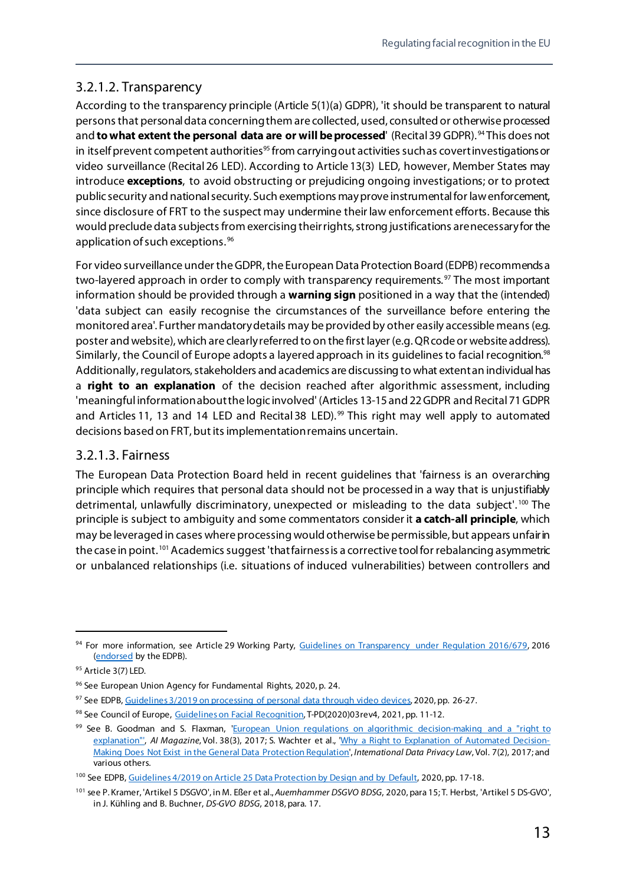#### 3.2.1.2. Transparency

According to the transparency principle (Article 5(1)(a) GDPR), 'it should be transparent to natural persons that personal data concerning them are collected, used, consulted or otherwise processed and **to what extent the personal data are or will be processed**' (Recital 39 GDPR). <sup>[94](#page-18-0)</sup> This does not in itself prevent competent authorities<sup>95</sup> from carrying out activities such as covert investigations or video surveillance (Recital26 LED). According to Article 13(3) LED, however, Member States may introduce **exceptions**, to avoid obstructing or prejudicing ongoing investigations; or to protect public security and national security. Such exemptions may prove instrumental for law enforcement, since disclosure of FRT to the suspect may undermine their law enforcement efforts. Because this would preclude data subjects from exercising their rights, strong justifications are necessary for the application of such exceptions. [96](#page-18-2)

For video surveillance under the GDPR, the European Data Protection Board (EDPB) recommends a two-layered approach in order to comply with transparency requirements.<sup>[97](#page-18-3)</sup> The most important information should be provided through a **warning sign** positioned in a way that the (intended) 'data subject can easily recognise the circumstances of the surveillance before entering the monitored area'. Further mandatory details may be provided by other easily accessible means (e.g. poster and website), which are clearlyreferred to on the first layer (e.g. QRcode or website address). Similarly, the Council of Europe adopts a layered approach in its guidelines to facial recognition.<sup>[98](#page-18-4)</sup> Additionally, regulators, stakeholders and academics are discussing to what extent an individual has a **right to an explanation** of the decision reached after algorithmic assessment, including 'meaningful information about the logic involved' (Articles 13-15 and 22GDPR and Recital71 GDPR and Articles 11, 13 and 14 LED and Recital 38 LED).<sup>[99](#page-18-5)</sup> This right may well apply to automated decisions based on FRT, but its implementation remains uncertain.

#### 3.2.1.3. Fairness

The European Data Protection Board held in recent guidelines that 'fairness is an overarching principle which requires that personal data should not be processed in a way that is unjustifiably detrimental, unlawfully discriminatory, unexpected or misleading to the data subject'.<sup>[100](#page-18-6)</sup> The principle is subject to ambiguity and some commentators consider it **a catch-all principle**, which may be leveraged in cases where processing would otherwise be permissible, but appears unfairin the case in point.<sup>[101](#page-18-7)</sup> Academics suggest 'that fairness is a corrective tool for rebalancing asymmetric or unbalanced relationships (i.e. situations of induced vulnerabilities) between controllers and

<span id="page-18-0"></span><sup>94</sup> For more information, see Article 29 Working Party, [Guidelines on Transparency under Regulation 2016/679,](https://ec.europa.eu/newsroom/article29/items/622227) 2016 [\(endorsed](https://edpb.europa.eu/news/news/2018/endorsement-gdpr-wp29-guidelines-edpb_en) by the EDPB).

<span id="page-18-1"></span><sup>95</sup> Article 3(7) LED.

<span id="page-18-2"></span><sup>96</sup> See European Union Agency for Fundamental Rights, 2020, p. 24.

<span id="page-18-3"></span><sup>97</sup> See EDPB[, Guidelines 3/2019 on processing of personal data through video devices,](https://edpb.europa.eu/our-work-tools/our-documents/guidelines/guidelines-32019-processing-personal-data-through-video_en) 2020, pp. 26-27.

<span id="page-18-4"></span><sup>98</sup> See Council of Europe[, Guidelines on Facial Recognition,](https://rm.coe.int/guidelines-on-facial-recognition/1680a134f3) T-PD(2020)03rev4, 2021, pp. 11-12.

<span id="page-18-5"></span><sup>&</sup>lt;sup>99</sup> See B. Goodman and S. Flaxman, 'European Union regulations on algorithmic decision-making and a "right to [explanation"',](https://arxiv.org/abs/1606.08813) AI Magazine, Vol. 38(3), 2017; S. Wachter et al., ['Why a Right to Explanation of Automated Decision-](https://academic.oup.com/idpl/article/7/2/76/3860948)[Making Does Not Exist in the General Data Protection Regulation',](https://academic.oup.com/idpl/article/7/2/76/3860948) *International Data Privacy Law*, Vol. 7(2), 2017; and various others.

<span id="page-18-6"></span><sup>&</sup>lt;sup>100</sup> See EDPB[, Guidelines 4/2019 on Article 25 Data Protection by Design and by Default,](https://edpb.europa.eu/our-work-tools/our-documents/guidelines/guidelines-42019-article-25-data-protection-design-and_en) 2020, pp. 17-18.

<span id="page-18-7"></span><sup>101</sup> see P. Kramer, 'Artikel 5 DSGVO', in M. Eßer et al., *Auernhammer DSGVO BDSG*, 2020, para 15; T. Herbst, 'Artikel 5 DS-GVO', in J. Kühling and B. Buchner, *DS-GVO BDSG*, 2018, para. 17.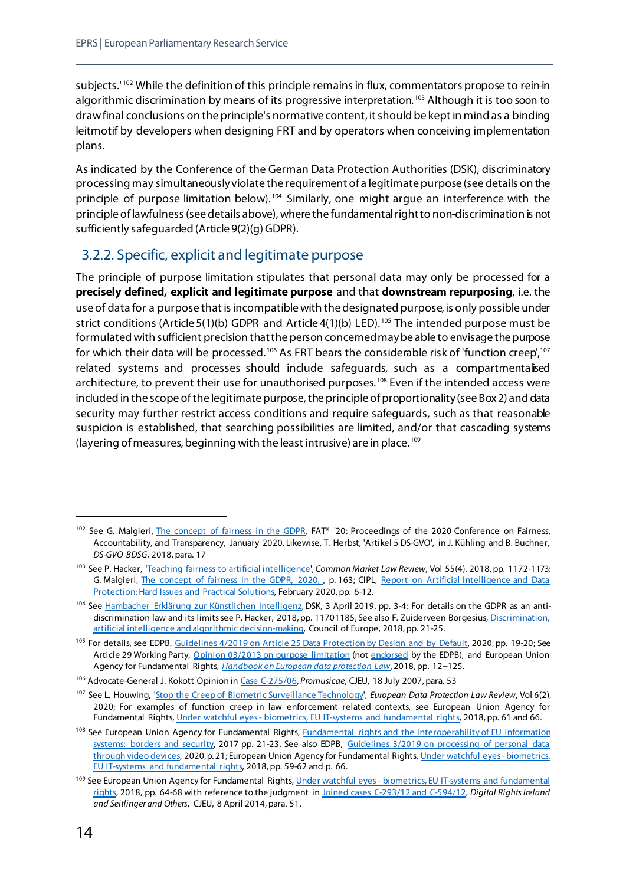subjects.'<sup>[102](#page-19-1)</sup> While the definition of this principle remains in flux, commentators propose to rein-in algorithmic discrimination by means of its progressive interpretation.<sup>[103](#page-19-2)</sup> Although it is too soon to draw final conclusions on the principle's normative content, it should be kept in mind as a binding leitmotif by developers when designing FRT and by operators when conceiving implementation plans.

As indicated by the Conference of the German Data Protection Authorities (DSK), discriminatory processing may simultaneously violate the requirement of a legitimate purpose (see details on the principle of purpose limitation below).<sup>[104](#page-19-3)</sup> Similarly, one might argue an interference with the principle of lawfulness (see details above), where the fundamental right to non-discrimination is not sufficiently safeguarded (Article 9(2)(g) GDPR).

#### <span id="page-19-0"></span>3.2.2. Specific, explicit and legitimate purpose

The principle of purpose limitation stipulates that personal data may only be processed for a **precisely defined, explicit and legitimate purpose** and that **downstream repurposing**, i.e. the use of data for a purpose that is incompatible with the designated purpose, is only possible under strict conditions (Article 5(1)(b) GDPR and Article 4(1)(b) LED).<sup>[105](#page-19-4)</sup> The intended purpose must be formulated with sufficient precision thatthe person concerned may be able to envisage the purpose for which their data will be processed.  $^{106}$  $^{106}$  $^{106}$  As FRT bears the considerable risk of 'function creep',  $^{107}$  $^{107}$  $^{107}$ related systems and processes should include safeguards, such as a compartmentalised architecture, to prevent their use for unauthorised purposes.<sup>[108](#page-19-7)</sup> Even if the intended access were included in the scope of the legitimate purpose, the principle of proportionality (see Box2) and data security may further restrict access conditions and require safeguards, such as that reasonable suspicion is established, that searching possibilities are limited, and/or that cascading systems (layering of measures, beginning with the least intrusive) are in place. [109](#page-19-8)

<span id="page-19-1"></span><sup>102</sup> See G. Malgieri[, The concept of fairness in the GDPR,](https://dl.acm.org/doi/abs/10.1145/3351095.3372868) FAT\* '20: Proceedings of the 2020 Conference on Fairness, Accountability, and Transparency, January 2020. Likewise, T. Herbst, 'Artikel 5 DS-GVO', in J. Kühling and B. Buchner, *DS-GVO BDSG*, 2018, para. 17

<span id="page-19-2"></span><sup>103</sup> See P. Hacker, ['Teaching fairness to artificial intelligence](https://kluwerlawonline.com/journalarticle/Common+Market+Law+Review/55.4/COLA2018095)', *Common Market Law Review*, Vol 55(4), 2018, pp. 1172-1173; G. Malgieri, [The concept of fairness in the GDPR,](https://dl.acm.org/doi/abs/10.1145/3351095.3372868) 2020, , p. 163; CIPL, Report on Artificial Intelligence and Data [Protection: Hard Issues and Practical Solutions,](https://www.informationpolicycentre.com/uploads/5/7/1/0/57104281/cipl_second_report_-_artificial_intelligence_and_data_protection_-_hard_issues_and_practical_solutions__27_february_2020_.pdf) February 2020, pp. 6-12.

<span id="page-19-3"></span><sup>104</sup> Se[e Hambacher Erklärung zur Künstlichen Intelligenz](https://www.datenschutzkonferenz-online.de/media/en/20190405_hambacher_erklaerung.pdf), DSK, 3 April 2019, pp. 3-4; For details on the GDPR as an antidiscrimination law and its limits see P. Hacker, 2018, pp. 11701185; See also F. Zuiderveen Borgesius[, Discrimination,](https://rm.coe.int/discrimination-artificial-intelligence-and-algorithmic-decision-making/1680925d73)  [artificial intelligence and algorithmic decision-making,](https://rm.coe.int/discrimination-artificial-intelligence-and-algorithmic-decision-making/1680925d73) Council of Europe, 2018, pp. 21-25.

<span id="page-19-4"></span><sup>&</sup>lt;sup>105</sup> For details, see EDPB[, Guidelines 4/2019 on Article 25 Data Protection](https://edpb.europa.eu/our-work-tools/our-documents/guidelines/guidelines-42019-article-25-data-protection-design-and_en) by Design and by Default, 2020, pp. 19-20; See Article 29 Working Party, [Opinion 03/2013 on purpose limitation](https://ec.europa.eu/justice/article-29/documentation/opinion-recommendation/files/2013/wp203_en.pdf) (not [endorsed](https://edpb.europa.eu/news/news/2018/endorsement-gdpr-wp29-guidelines-edpb_bg) by the EDPB), and European Union Agency for Fundamental Rights, *[Handbook on European data protection Law](https://fra.europa.eu/en/publication/2018/handbook-european-data-protection-law-2018-edition)*, 2018, pp. 12--125.

<span id="page-19-5"></span><sup>106</sup> Advocate-General J. Kokott Opinion i[n Case C-275/06,](https://curia.europa.eu/juris/document/document.jsf;jsessionid=FFF0E0EC4CEA07110E992E9EB64DEB15?text=&docid=62901&pageIndex=0&doclang=EN&mode=lst&dir=&occ=first&part=1&cid=113608) *Promusicae*, CJEU, 18 July 2007, para. 53

<span id="page-19-6"></span><sup>107</sup> See L. Houwing, ['Stop the Creep of Biometric Surveillance Technology',](https://edpl.lexxion.eu/article/EDPL/2020/2/5) *European Data Protection Law Review*, Vol 6(2), 2020; For examples of function creep in law enforcement related contexts, see European Union Agency for Fundamental Rights, Under watchful eyes - [biometrics, EU IT-systems and fundamental rights,](https://fra.europa.eu/en/publication/2018/under-watchful-eyes-biometrics-eu-it-systems-and-fundamental-rights) 2018, pp. 61 and 66.

<span id="page-19-7"></span><sup>&</sup>lt;sup>108</sup> See European Union Agency for Fundamental Rights, Fundamental rights and the interoperability of EU information [systems: borders and security,](https://fra.europa.eu/en/publication/2017/fundamental-rights-and-interoperability-eu-information-systems-borders-and-security) 2017 pp. 21-23. See also EDPB, [Guidelines 3/2019 on processing of personal data](https://edpb.europa.eu/our-work-tools/our-documents/guidelines/guidelines-32019-processing-personal-data-through-video_en)  [through video devices,](https://edpb.europa.eu/our-work-tools/our-documents/guidelines/guidelines-32019-processing-personal-data-through-video_en) 2020, p. 21; European Union Agency for Fundamental Rights, [Under watchful eyes -](https://fra.europa.eu/en/publication/2018/under-watchful-eyes-biometrics-eu-it-systems-and-fundamental-rights) biometrics, [EU IT-systems and fundamental rights,](https://fra.europa.eu/en/publication/2018/under-watchful-eyes-biometrics-eu-it-systems-and-fundamental-rights) 2018, pp. 59-62 and p. 66.

<span id="page-19-8"></span><sup>109</sup> See European Union Agency for Fundamental Rights, Under watchful eyes - biometrics, EU IT-systems and fundamental [rights,](https://fra.europa.eu/en/publication/2018/under-watchful-eyes-biometrics-eu-it-systems-and-fundamental-rights) 2018, pp. 64-68 with reference to the judgment i[n Joined cases C-293/12 and C-594/12,](https://eur-lex.europa.eu/legal-content/EN/TXT/?uri=CELEX:62012CA0293) *Digital Rights Ireland and Seitlinger and Others*, CJEU, 8 April 2014, para. 51.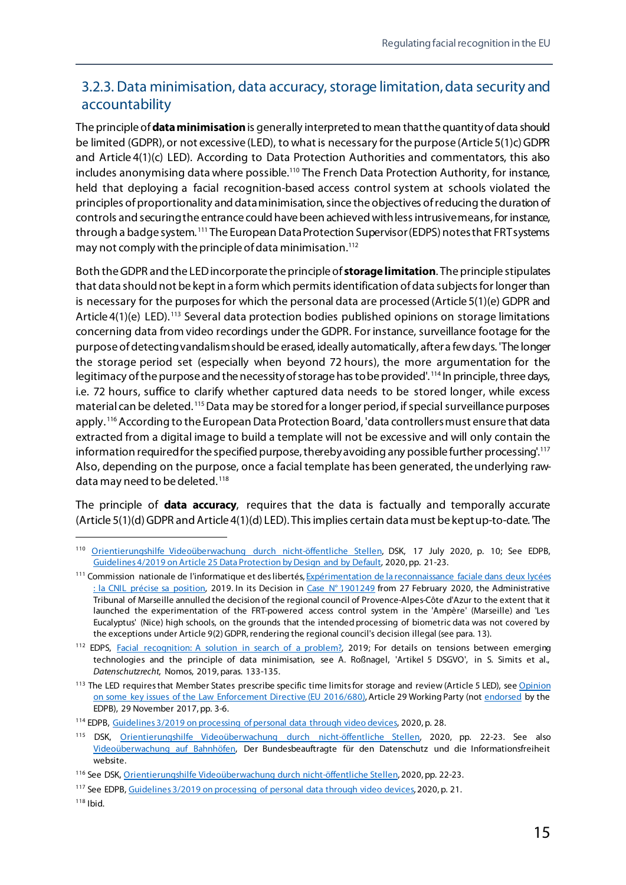#### <span id="page-20-0"></span>3.2.3. Data minimisation, data accuracy, storage limitation, data security and accountability

The principle of **data minimisation**is generally interpreted to mean that the quantity of data should be limited (GDPR), or not excessive (LED), to what is necessary for the purpose (Article 5(1)c) GDPR and Article 4(1)(c) LED). According to Data Protection Authorities and commentators, this also includes anonymising data where possible.<sup>110</sup> The French Data Protection Authority, for instance, held that deploying a facial recognition-based access control system at schools violated the principles of proportionality and data minimisation, since the objectives of reducing the duration of controls and securing the entrance could have been achieved with less intrusive means, for instance, through a badge system.<sup>[111](#page-20-2)</sup> The European Data Protection Supervisor (EDPS) notes that FRT systems may not comply with the principle of data minimisation.<sup>112</sup>

Both the GDPR and the LED incorporate the principle of **storage limitation**. The principle stipulates that data should not be kept in a form which permits identification of data subjects for longer than is necessary for the purposes for which the personal data are processed (Article 5(1)(e) GDPR and Article 4(1)(e) LED).<sup>[113](#page-20-4)</sup> Several data protection bodies published opinions on storage limitations concerning data from video recordings under the GDPR. For instance, surveillance footage for the purpose of detecting vandalism should be erased, ideally automatically, after a few days. 'The longer the storage period set (especially when beyond 72 hours), the more argumentation for the legitimacy of the purpose and the necessity of storage has to be provided'. [114](#page-20-5) In principle, three days, i.e. 72 hours, suffice to clarify whether captured data needs to be stored longer, while excess material can be deleted. [115](#page-20-6)Data may be stored for a longer period, if special surveillance purposes apply. <sup>[116](#page-20-7)</sup> According to the European Data Protection Board, 'data controllers must ensure that data extracted from a digital image to build a template will not be excessive and will only contain the information required for the specified purpose, thereby avoiding any possible further processing'.<sup>[117](#page-20-8)</sup> Also, depending on the purpose, once a facial template has been generated, the underlying raw-data may need to be deleted.<sup>[118](#page-20-9)</sup>

The principle of **data accuracy**, requires that the data is factually and temporally accurate (Article 5(1)(d) GDPR and Article 4(1)(d) LED). This implies certain data must be kept up-to-date. 'The

<span id="page-20-1"></span> <sup>110</sup> [Orientierungshilfe Videoüberwachung durch nicht-öffentliche Stellen](https://www.datenschutzkonferenz-online.de/media/oh/20200903_oh_v%C3%BC_dsk.pdf), DSK, 17 July 2020, p. 10; See EDPB, Guidelines [4/2019 on Article 25 Data Protection by Design and by Default,](https://edpb.europa.eu/our-work-tools/our-documents/guidelines/guidelines-42019-article-25-data-protection-design-and_en) 2020, pp. 21-23.

<span id="page-20-2"></span><sup>111</sup> Commission nationale de l'informatique et des libertés, Expérimentation de la reconnaissance faciale dans deux lycées [: la CNIL précise sa position,](https://www.cnil.fr/fr/experimentation-de-la-reconnaissance-faciale-dans-deux-lycees-la-cnil-precise-sa-position) 2019. In its Decision in Case N° [1901249](http://marseille.tribunal-administratif.fr/content/download/178764/1756210/version/1/file/1901249.pdf) from 27 February 2020, the Administrative Tribunal of Marseille annulled the decision of the regional council of Provence-Alpes-Côte d'Azur to the extent that it launched the experimentation of the FRT-powered access control system in the 'Ampère' (Marseille) and 'Les Eucalyptus' (Nice) high schools, on the grounds that the intended processing of biometric data was not covered by the exceptions under Article 9(2) GDPR, rendering the regional council's decision illegal (see para. 13).

<span id="page-20-3"></span><sup>&</sup>lt;sup>112</sup> EDPS, [Facial recognition: A solution in search of a problem?,](https://edps.europa.eu/press-publications/press-news/blog/facial-recognition-solution-search-problem_en) 2019; For details on tensions between emerging technologies and the principle of data minimisation, see A. Roßnagel, 'Artikel 5 DSGVO', in S. Simits et al., *Datenschutzrecht*, Nomos, 2019, paras. 133-135.

<span id="page-20-4"></span><sup>&</sup>lt;sup>113</sup> The LED requires that Member States prescribe specific time limits for storage and review (Article 5 LED), see Opinion [on some key issues of the Law Enforcement Directive \(EU 2016/680\),](https://ec.europa.eu/newsroom/article29/items/610178) Article 29 Working Party (not [endorsed](https://edpb.europa.eu/news/news/2018/endorsement-gdpr-wp29-guidelines-edpb_bg) by the EDPB), 29 November 2017, pp. 3-6.

<span id="page-20-5"></span><sup>114</sup> EDPB[, Guidelines 3/2019 on processing of personal data through video devices,](https://edpb.europa.eu/our-work-tools/our-documents/guidelines/guidelines-32019-processing-personal-data-through-video_en) 2020, p. 28.

<span id="page-20-6"></span><sup>115</sup> DSK, [Orientierungshilfe Videoüberwachung durch nicht-öffentliche Stellen,](https://www.datenschutzkonferenz-online.de/media/oh/20200903_oh_v%C3%BC_dsk.pdf) 2020, pp. 22-23. See also [Videoüberwachung auf Bahnhöfen,](https://web.archive.org/web/20210419042456/https:/www.bfdi.bund.de/DE/Datenschutz/Themen/Sicherheit_Polizei_Nachrichtendienste/SicherheitArtikel/VideoueberwachungBahnhoefe.html) Der Bundesbeauftragte für den Datenschutz und die Informationsfreiheit website.

<span id="page-20-7"></span><sup>116</sup> See DSK[, Orientierungshilfe Videoüberwachung durch nicht-öffentliche Stellen,](https://www.datenschutzkonferenz-online.de/media/oh/20200903_oh_v%C3%BC_dsk.pdf) 2020, pp. 22-23.

<span id="page-20-8"></span><sup>117</sup> See EDPB[, Guidelines 3/2019 on processing of personal data through video devices,](https://edpb.europa.eu/our-work-tools/our-documents/guidelines/guidelines-32019-processing-personal-data-through-video_en) 2020, p. 21.

<span id="page-20-9"></span> $118$  Ibid.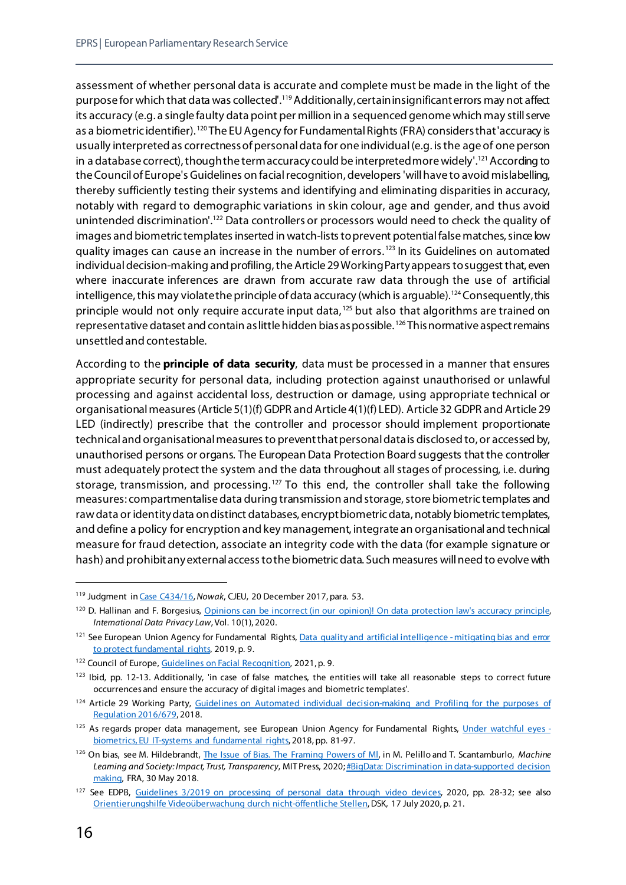assessment of whether personal data is accurate and complete must be made in the light of the purpose for which that data was collected'.<sup>[119](#page-21-0)</sup> Additionally, certain insignificant errors may not affect its accuracy (e.g. a single faulty data point per million in a sequenced genome which may still serve as a biometric identifier). <sup>[120](#page-21-1)</sup> The EU Agency for Fundamental Rights (FRA) considers that 'accuracy is usually interpreted as correctness of personal data for one individual (e.g. is the age of one person in a database correct), though the term accuracy could be interpreted more widely'. [121](#page-21-2)According to the Council of Europe's Guidelines on facial recognition, developers 'will have to avoid mislabelling, thereby sufficiently testing their systems and identifying and eliminating disparities in accuracy, notably with regard to demographic variations in skin colour, age and gender, and thus avoid unintended discrimination'.<sup>[122](#page-21-3)</sup> Data controllers or processors would need to check the quality of images and biometric templates inserted in watch-lists to prevent potential false matches, since low quality images can cause an increase in the number of errors. [123](#page-21-4) In its Guidelines on automated individual decision-making and profiling, the Article 29 Working Party appears to suggest that, even where inaccurate inferences are drawn from accurate raw data through the use of artificial intelligence, this may violate the principle of data accuracy (which is arguable).<sup>[124](#page-21-5)</sup> Consequently, this principle would not only require accurate input data, [125](#page-21-6) but also that algorithms are trained on representative dataset and contain as little hidden bias as possible. [126](#page-21-7) This normative aspect remains unsettled and contestable.

According to the **principle of data security**, data must be processed in a manner that ensures appropriate security for personal data, including protection against unauthorised or unlawful processing and against accidental loss, destruction or damage, using appropriate technical or organisational measures (Article 5(1)(f) GDPR and Article 4(1)(f) LED). Article 32 GDPR and Article 29 LED (indirectly) prescribe that the controller and processor should implement proportionate technical and organisational measures to prevent that personal data is disclosed to, or accessed by, unauthorised persons or organs. The European Data Protection Board suggests that the controller must adequately protect the system and the data throughout all stages of processing, i.e. during storage, transmission, and processing.<sup>[127](#page-21-8)</sup> To this end, the controller shall take the following measures: compartmentalise data during transmission and storage, store biometric templates and raw data or identity data on distinct databases, encrypt biometricdata, notably biometric templates, and define a policy for encryption and key management, integrate an organisational and technical measure for fraud detection, associate an integrity code with the data (for example signature or hash) and prohibit any external access to the biometric data. Such measures will need to evolve with

<span id="page-21-0"></span> <sup>119</sup> Judgment i[n Case C434/16,](https://curia.europa.eu/juris/liste.jsf?language=en&num=C-434/16) *Nowak*, CJEU, 20 December 2017, para. 53.

<span id="page-21-1"></span><sup>&</sup>lt;sup>120</sup> D. Hallinan and F. Borgesius, Opinions can be incorrect (in our opinion)! On data protection law's accuracy principle, *International Data Privacy Law*, Vol. 10(1), 2020.

<span id="page-21-2"></span><sup>&</sup>lt;sup>121</sup> See European Union Agency for Fundamental Right[s, Data quality and artificial intelligence -](https://fra.europa.eu/en/publication/2019/data-quality-and-artificial-intelligence-mitigating-bias-and-error-protect) mitigating bias and error [to protect fundamental rights,](https://fra.europa.eu/en/publication/2019/data-quality-and-artificial-intelligence-mitigating-bias-and-error-protect) 2019, p. 9.

<span id="page-21-3"></span><sup>122</sup> Council of Europe[, Guidelines on Facial Recognition,](https://rm.coe.int/guidelines-on-facial-recognition/1680a134f3) 2021, p. 9.

<span id="page-21-4"></span><sup>123</sup> Ibid, pp. 12-13. Additionally, 'in case of false matches, the entities will take all reasonable steps to correct future occurrences and ensure the accuracy of digital images and biometric templates'.

<span id="page-21-5"></span><sup>&</sup>lt;sup>124</sup> Article 29 Working Party, Guidelines on Automated individual decision-making and Profiling for the purposes of [Regulation](https://ec.europa.eu/newsroom/article29/items/612053) 2016/679, 2018.

<span id="page-21-6"></span><sup>&</sup>lt;sup>125</sup> As regards proper data management, see European Union Agency for Fundamental Rights[, Under watchful eyes](https://fra.europa.eu/en/publication/2018/under-watchful-eyes-biometrics-eu-it-systems-and-fundamental-rights)  [biometrics, EU IT-systems and fundamental rights,](https://fra.europa.eu/en/publication/2018/under-watchful-eyes-biometrics-eu-it-systems-and-fundamental-rights) 2018, pp. 81-97.

<span id="page-21-7"></span><sup>126</sup> On bias, see M. Hildebrandt[, The Issue of Bias. The Framing Powers of Ml,](https://papers.ssrn.com/sol3/papers.cfm?abstract_id=3497597) in M. Pelillo and T. Scantamburlo, *Machine Learning and Society: Impact, Trust, Transparency*, MIT Press, 2020[; #BigData: Discrimination in data-supported decision](https://fra.europa.eu/en/publication/2018/bigdata-discrimination-data-supported-decision-making)  [making,](https://fra.europa.eu/en/publication/2018/bigdata-discrimination-data-supported-decision-making) FRA, 30 May 2018.

<span id="page-21-8"></span><sup>&</sup>lt;sup>127</sup> See EDPB, [Guidelines 3/2019 on processing of personal data through video devices,](https://edpb.europa.eu/our-work-tools/our-documents/guidelines/guidelines-32019-processing-personal-data-through-video_en) 2020, pp. 28-32; see also [Orientierungshilfe Videoüberwachung durch nicht-öffentliche Stellen,](https://www.datenschutzkonferenz-online.de/media/oh/20200903_oh_v%C3%BC_dsk.pdf) DSK, 17 July 2020, p. 21.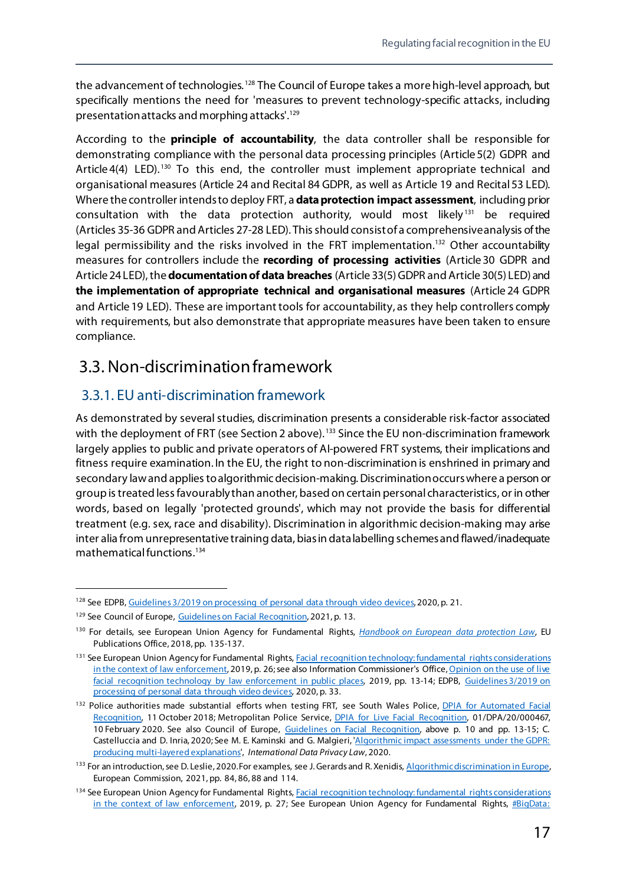the advancement of technologies.<sup>[128](#page-22-2)</sup> The Council of Europe takes a more high-level approach, but specifically mentions the need for 'measures to prevent technology-specific attacks, including presentation attacks and morphing attacks'. [129](#page-22-3)

According to the **principle of accountability**, the data controller shall be responsible for demonstrating compliance with the personal data processing principles (Article 5(2) GDPR and Article  $4(4)$  LED).<sup>[130](#page-22-4)</sup> To this end, the controller must implement appropriate technical and organisational measures (Article 24 and Recital 84 GDPR, as well as Article 19 and Recital53 LED). Where the controller intends to deploy FRT, a **data protection impact assessment**, including prior consultation with the data protection authority, would most likely $131$  be required (Articles 35-36 GDPR and Articles 27-28 LED). This should consist of a comprehensive analysis of the legal permissibility and the risks involved in the FRT implementation.<sup>[132](#page-22-6)</sup> Other accountability measures for controllers include the **recording of processing activities** (Article 30 GDPR and Article 24 LED), the **documentation of data breaches** (Article 33(5) GDPR and Article 30(5) LED) and **the implementation of appropriate technical and organisational measures** (Article 24 GDPR and Article 19 LED). These are important tools for accountability, as they help controllers comply with requirements, but also demonstrate that appropriate measures have been taken to ensure compliance.

## <span id="page-22-0"></span>3.3. Non-discrimination framework

#### <span id="page-22-1"></span>3.3.1. EU anti-discrimination framework

As demonstrated by several studies, discrimination presents a considerable risk-factor associated with the deployment of FRT (see Section 2 above).<sup>[133](#page-22-7)</sup> Since the EU non-discrimination framework largely applies to public and private operators of AI-powered FRT systems, their implications and fitness require examination. In the EU, the right to non-discrimination is enshrined in primary and secondary law and applies to algorithmic decision-making. Discrimination occurs where a person or group is treated less favourably than another, based on certain personal characteristics, or in other words, based on legally 'protected grounds', which may not provide the basis for differential treatment (e.g. sex, race and disability). Discrimination in algorithmic decision-making may arise inter alia from unrepresentative training data, bias in data labelling schemes and flawed/inadequate mathematical functions.[134](#page-22-8)

<span id="page-22-2"></span><sup>&</sup>lt;sup>128</sup> See EDPB[, Guidelines 3/2019 on processing of personal data through video devices,](https://edpb.europa.eu/our-work-tools/our-documents/guidelines/guidelines-32019-processing-personal-data-through-video_en) 2020, p. 21.

<span id="page-22-3"></span><sup>&</sup>lt;sup>129</sup> See Council of Europe[, Guidelines on Facial Recognition,](https://rm.coe.int/guidelines-on-facial-recognition/1680a134f3) 2021, p. 13.

<span id="page-22-4"></span><sup>130</sup> For details, see European Union Agency for Fundamental Rights, *[Handbook on European data protection Law](https://fra.europa.eu/en/publication/2018/handbook-european-data-protection-law-2018-edition)*, EU Publications Office, 2018, pp. 135-137.

<span id="page-22-5"></span><sup>&</sup>lt;sup>131</sup> See European Union Agency for Fundamental Rights, Facial recognition technology: fundamental rights considerations [in the context of law enforcement,](https://fra.europa.eu/en/publication/2019/facial-recognition-technology-fundamental-rights-considerations-context-law) 2019, p. 26; see also Information Commissioner's Office, Opinion on the use of live [facial recognition technology by law enforcement in public places,](https://ico.org.uk/media/about-the-ico/documents/2616184/live-frt-law-enforcement-opinion-20191031.pdf) 2019, pp. 13-14; EDPB, [Guidelines](https://edpb.europa.eu/our-work-tools/our-documents/guidelines/guidelines-32019-processing-personal-data-through-video_en) 3/2019 on [processing of personal data through video devices,](https://edpb.europa.eu/our-work-tools/our-documents/guidelines/guidelines-32019-processing-personal-data-through-video_en) 2020, p. 33.

<span id="page-22-6"></span><sup>132</sup> Police authorities made substantial efforts when testing FRT, see South Wales Police, *DPIA for Automated Facial* [Recognition,](https://afr.south-wales.police.uk/wp-content/uploads/2019/10/DPIA-V5.4-Live.pdf) 11 October 2018; Metropolitan Police Service, *DPIA for Live Facial Recognition*, 01/DPA/20/000467, 10 February 2020. See also Council of Europe, [Guidelines on Facial Recognition,](https://rm.coe.int/guidelines-on-facial-recognition/1680a134f3) above p. 10 and pp. 13-15; C. Castelluccia and D. Inria, 2020; See M. E. Kaminski and G. Malgieri, ['Algorithmic impact assessments under the GDPR:](https://academic.oup.com/idpl/advance-article/doi/10.1093/idpl/ipaa020/6024963)  [producing multi-layered explanations',](https://academic.oup.com/idpl/advance-article/doi/10.1093/idpl/ipaa020/6024963) *International Data Privacy Law*, 2020.

<span id="page-22-7"></span><sup>&</sup>lt;sup>133</sup> For an introduction, see D. Leslie, 2020. For examples, see J. Gerards and R. Xenidis, Algorithmic discrimination in Europe, European Commission, 2021, pp. 84, 86, 88 and 114.

<span id="page-22-8"></span><sup>&</sup>lt;sup>134</sup> See European Union Agency for Fundamental Rights, Facial recognition technology: fundamental rights considerations [in the context of law enforcement,](https://fra.europa.eu/en/publication/2019/facial-recognition-technology-fundamental-rights-considerations-context-law) 2019, p. 27; See European Union Agency for Fundamental Rights, #BigData: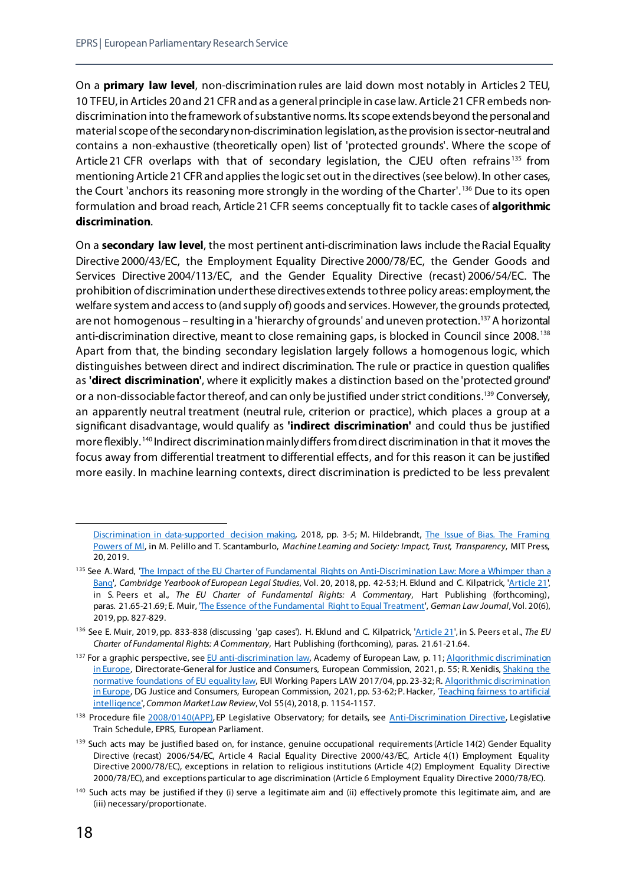On a **primary law level**, non-discrimination rules are laid down most notably in Articles 2 TEU, 10 TFEU, in Articles 20 and 21 CFR and as a general principle in case law. Article 21 CFR embeds nondiscrimination into the framework of substantive norms. Its scope extends beyond the personal and material scope of the secondary non-discrimination legislation, asthe provision is sector-neutral and contains a non-exhaustive (theoretically open) list of 'protected grounds'. Where the scope of Article 21 CFR overlaps with that of secondary legislation, the CJEU often refrains<sup>[135](#page-23-0)</sup> from mentioning Article 21 CFR and applies the logic set out in the directives (see below). In other cases, the Court 'anchors its reasoning more strongly in the wording of the Charter'. [136](#page-23-1) Due to its open formulation and broad reach, Article 21CFR seems conceptually fit to tackle cases of **algorithmic discrimination**.

On a **secondary law level**, the most pertinent anti-discrimination laws include the Racial Equality Directive 2000/43/EC, the Employment Equality Directive 2000/78/EC, the Gender Goods and Services Directive 2004/113/EC, and the Gender Equality Directive (recast) 2006/54/EC. The prohibition of discrimination under these directives extends to three policy areas: employment, the welfare system and access to (and supply of) goods and services. However, the grounds protected, are not homogenous – resulting in a 'hierarchy of grounds' and uneven protection.<sup>[137](#page-23-2)</sup> A horizontal anti-discrimination directive, meant to close remaining gaps, is blocked in Council since 2008. [138](#page-23-3) Apart from that, the binding secondary legislation largely follows a homogenous logic, which distinguishes between direct and indirect discrimination. The rule or practice in question qualifies as **'direct discrimination'**, where it explicitly makes a distinction based on the 'protected ground' or a non-dissociable factor thereof, and can only be justified under strict conditions.<sup>[139](#page-23-4)</sup> Conversely, an apparently neutral treatment (neutral rule, criterion or practice), which places a group at a significant disadvantage, would qualify as **'indirect discrimination'** and could thus be justified more flexibly. [140](#page-23-5) Indirect discrimination mainly differs from direct discrimination in that it moves the focus away from differential treatment to differential effects, and for this reason it can be justified more easily. In machine learning contexts, direct discrimination is predicted to be less prevalent

[Discrimination in data-supported decision making,](https://fra.europa.eu/en/publication/2018/bigdata-discrimination-data-supported-decision-making) 2018, pp. 3-5; M. Hildebrandt, [The Issue of Bias. The Framing](https://papers.ssrn.com/sol3/papers.cfm?abstract_id=3497597)  [Powers of Ml,](https://papers.ssrn.com/sol3/papers.cfm?abstract_id=3497597) in M. Pelillo and T. Scantamburlo, *Machine Learning and Society: Impact, Trust, Transparency*, MIT Press, 20, 2019.

<span id="page-23-0"></span><sup>&</sup>lt;sup>135</sup> See A. Ward, 'The Impact of the EU Charter of Fundamental Rights on Anti-Discrimination Law: More a Whimper than a [Bang',](https://www.cambridge.org/core/journals/cambridge-yearbook-of-european-legal-studies/article/impact-of-the-eu-charter-of-fundamental-rights-on-antidiscrimination-law-more-a-whimper-than-a-bang/2E02D91A17D00A16E3121DCDE0CBFC4A) *Cambridge Yearbook of European Legal Studies*, Vol. 20, 2018, pp. 42-53; H. Eklund and C. Kilpatrick, ['Article 21',](https://cadmus.eui.eu/handle/1814/71418) in S. Peers et al., *The EU Charter of Fundamental Rights: A Commentary*, Hart Publishing (forthcoming), paras. 21.65-21.69; E. Muir, ['The Essence of the Fundamental Right to Equal Treatment',](https://www.cambridge.org/core/journals/german-law-journal/article/essence-of-the-fundamental-right-to-equal-treatment-back-to-the-origins/A16AC8041343D0233E5E11445A771441) *German Law Journal*, Vol. 20(6), 2019, pp. 827-829.

<span id="page-23-1"></span><sup>136</sup> See E. Muir, 2019, pp. 833-838 (discussing 'gap cases'). H. Eklund and C. Kilpatrick, ['Article 21](https://cadmus.eui.eu/handle/1814/71418)', in S. Peers et al., *The EU Charter of Fundamental Rights: A Commentary*, Hart Publishing (forthcoming), paras. 21.61-21.64.

<span id="page-23-2"></span><sup>137</sup> For a graphic perspective, se[e EU anti-discrimination law,](https://www.era-comm.eu/anti-discri/e_learning/kiosk/dokuments/Anti-discri-print.pdf) Academy of European Law, p. 11; Algorithmic discrimination [in Europe,](https://op.europa.eu/en/publication-detail/-/publication/082f1dbc-821d-11eb-9ac9-01aa75ed71a1) Directorate-General for Justice and Consumers, European Commission, 2021, p. 55; R. Xenidis, Shaking the [normative foundations of EU equality law,](https://cadmus.eui.eu/handle/1814/60945) EUI Working Papers LAW 2017/04, pp. 23-32; R. Algorithmic discrimination [in Europe,](https://op.europa.eu/en/publication-detail/-/publication/082f1dbc-821d-11eb-9ac9-01aa75ed71a1) DG Justice and Consumers, European Commission, 2021, pp. 53-62; P. Hacker, 'Teaching fairness to artificial [intelligence'](https://kluwerlawonline.com/journalarticle/Common+Market+Law+Review/55.4/COLA2018095), *Common Market Law Review*, Vol 55(4), 2018, p. 1154-1157.

<span id="page-23-3"></span><sup>&</sup>lt;sup>138</sup> Procedure fil[e 2008/0140\(APP\)](https://oeil.secure.europarl.europa.eu/oeil/popups/ficheprocedure.do?lang=en&reference=2008/0140(CNS)), EP Legislative Observatory; for details, see [Anti-Discrimination Directive,](https://www.europarl.europa.eu/legislative-train/theme-area-of-justice-and-fundamental-rights/file-anti-discrimination-directive) Legislative Train Schedule, EPRS, European Parliament.

<span id="page-23-4"></span><sup>&</sup>lt;sup>139</sup> Such acts may be justified based on, for instance, genuine occupational requirements (Article 14(2) Gender Equality Directive (recast) 2006/54/EC, Article 4 Racial Equality Directive 2000/43/EC, Article 4(1) Employment Equality Directive 2000/78/EC), exceptions in relation to religious institutions (Article 4(2) Employment Equality Directive 2000/78/EC), and exceptions particular to age discrimination (Article 6 Employment Equality Directive 2000/78/EC).

<span id="page-23-5"></span><sup>&</sup>lt;sup>140</sup> Such acts may be justified if they (i) serve a legitimate aim and (ii) effectively promote this legitimate aim, and are (iii) necessary/proportionate.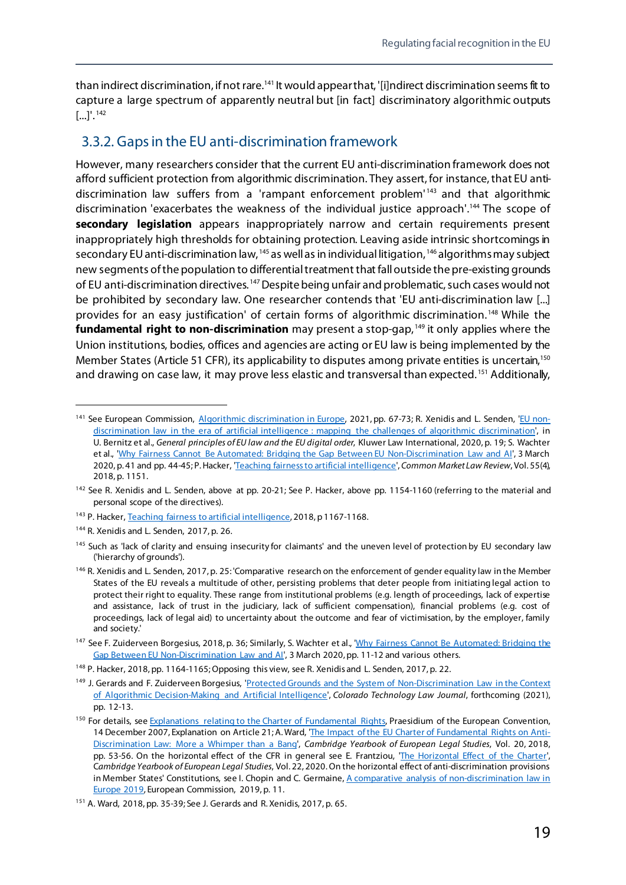than indirect discrimination, if not rare.<sup>141</sup> It would appear that, '[i]ndirect discrimination seems fit to capture a large spectrum of apparently neutral but [in fact] discriminatory algorithmic outputs  $[...]'.^{142}$  $[...]'.^{142}$  $[...]'.^{142}$ 

#### <span id="page-24-0"></span>3.3.2. Gaps in the EU anti-discrimination framework

However, many researchers consider that the current EU anti-discrimination framework does not afford sufficient protection from algorithmic discrimination. They assert, for instance, that EU antidiscrimination law suffers from a 'rampant enforcement problem' [143](#page-24-3) and that algorithmic discrimination 'exacerbates the weakness of the individual justice approach'.<sup>[144](#page-24-4)</sup> The scope of **secondary legislation** appears inappropriately narrow and certain requirements present inappropriately high thresholds for obtaining protection. Leaving aside intrinsic shortcomings in secondary EU anti-discrimination law, <sup>[145](#page-24-5)</sup> as well as in individual litigation, <sup>[146](#page-24-6)</sup> algorithms may subject new segments of the population to differential treatment that fall outside the pre-existing grounds of EU anti-discrimination directives.<sup>[147](#page-24-7)</sup> Despite being unfair and problematic, such cases would not be prohibited by secondary law. One researcher contends that 'EU anti-discrimination law [...] provides for an easy justification' of certain forms of algorithmic discrimination. [148](#page-24-8) While the **fundamental right to non-discrimination** may present a stop-gap,<sup>[149](#page-24-9)</sup> it only applies where the Union institutions, bodies, offices and agencies are acting or EU law is being implemented by the Member States (Article 51 CFR), its applicability to disputes among private entities is uncertain,<sup>[150](#page-24-10)</sup> and drawing on case law, it may prove less elastic and transversal than expected.<sup>[151](#page-24-11)</sup> Additionally,

<span id="page-24-1"></span><sup>141</sup> See European Commission, [Algorithmic discrimination in Europe,](https://op.europa.eu/en/publication-detail/-/publication/082f1dbc-821d-11eb-9ac9-01aa75ed71a1) 2021, pp. 67-73; R. Xenidis and L. Senden, ['EU non](https://cadmus.eui.eu/handle/1814/65845)[discrimination law in the era of artificial intelligence : mapping the challenges of algorithmic discrimination',](https://cadmus.eui.eu/handle/1814/65845) in U. Bernitz et al., *General principles of EU law and the EU digital order*, Kluwer Law International, 2020, p. 19; S. Wachter et al., ['Why Fairness Cannot Be Automated: Bridging the Gap Between EU Non-Discrimination Law and AI',](https://papers.ssrn.com/sol3/papers.cfm?abstract_id=3547922) 3 March 2020, p. 41 and pp. 44-45; P. Hacker, ['Teaching fairness to artificial intelligence](https://kluwerlawonline.com/journalarticle/Common+Market+Law+Review/55.4/COLA2018095)', *Common Market Law Review*, Vol. 55(4), 2018, p. 1151.

<span id="page-24-2"></span><sup>&</sup>lt;sup>142</sup> See R. Xenidis and L. Senden, above at pp. 20-21; See P. Hacker, above pp. 1154-1160 (referring to the material and personal scope of the directives).

<span id="page-24-3"></span><sup>&</sup>lt;sup>143</sup> P. Hacker[, Teaching fairness to artificial intelligence](https://kluwerlawonline.com/journalarticle/Common+Market+Law+Review/55.4/COLA2018095), 2018, p 1167-1168.

<span id="page-24-4"></span><sup>144</sup> R. Xenidis and L. Senden, 2017, p. 26.

<span id="page-24-5"></span><sup>&</sup>lt;sup>145</sup> Such as 'lack of clarity and ensuing insecurity for claimants' and the uneven level of protection by EU secondary law ('hierarchy of grounds').

<span id="page-24-6"></span><sup>&</sup>lt;sup>146</sup> R. Xenidis and L. Senden, 2017, p. 25: 'Comparative research on the enforcement of gender equality law in the Member States of the EU reveals a multitude of other, persisting problems that deter people from initiating legal action to protect their right to equality. These range from institutional problems (e.g. length of proceedings, lack of expertise and assistance, lack of trust in the judiciary, lack of sufficient compensation), financial problems (e.g. cost of proceedings, lack of legal aid) to uncertainty about the outcome and fear of victimisation, by the employer, family and society.'

<span id="page-24-7"></span><sup>&</sup>lt;sup>147</sup> See F. Zuiderveen Borgesius, 2018, p. 36; Similarly, S. Wachter et al., 'Why Fairness Cannot Be Automated: Bridging the [Gap Between EU Non-Discrimination Law and AI',](https://papers.ssrn.com/sol3/papers.cfm?abstract_id=3547922) 3 March 2020, pp. 11-12 and various others.

<span id="page-24-8"></span><sup>148</sup> P. Hacker, 2018, pp. 1164-1165; Opposing this view, see R. Xenidis and L. Senden, 2017, p. 22.

<span id="page-24-9"></span><sup>149</sup> J. Gerards and F. Zuiderveen Borgesius, 'Protected Grounds and the System of Non-Discrimination Law in the Context [of Algorithmic Decision-Making and Artificial Intelligence'](https://papers.ssrn.com/sol3/papers.cfm?abstract_id=3723873), *Colorado Technology Law Journal*, forthcoming (2021), pp. 12-13.

<span id="page-24-10"></span><sup>&</sup>lt;sup>150</sup> For details, se[e Explanations relating to the Charter of Fundamental Rights,](https://eur-lex.europa.eu/legal-content/EN/TXT/?uri=celex:32007X1214(01)) Praesidium of the European Convention, 14 December 2007, Explanation on Article 21; A. Ward, ['The Impact of the EU Charter of Fundamental Rights on Anti-](https://www.cambridge.org/core/journals/cambridge-yearbook-of-european-legal-studies/article/impact-of-the-eu-charter-of-fundamental-rights-on-antidiscrimination-law-more-a-whimper-than-a-bang/2E02D91A17D00A16E3121DCDE0CBFC4A)[Discrimination Law: More a Whimper than a Bang',](https://www.cambridge.org/core/journals/cambridge-yearbook-of-european-legal-studies/article/impact-of-the-eu-charter-of-fundamental-rights-on-antidiscrimination-law-more-a-whimper-than-a-bang/2E02D91A17D00A16E3121DCDE0CBFC4A) *Cambridge Yearbook of European Legal Studies*, Vol. 20, 2018, pp. 53-56. On the horizontal effect of the CFR in general see E. Frantziou, ['The Horizontal Effect of the Charter',](https://www.cambridge.org/core/journals/cambridge-yearbook-of-european-legal-studies/article/horizontal-effect-of-the-charter-towards-an-understanding-of-horizontality-as-a-structural-constitutional-principle/DAFE056FAFFF75F1905708E82E41DED5) C*ambridge Yearbook of European Legal Studies*, Vol. 22, 2020. On the horizontal effect of anti-discrimination provisions in Member States' Constitutions, see I. Chopin and C. Germaine, A comparative analysis of non-discrimination law in [Europe 2019,](https://op.europa.eu/en/publication-detail/-/publication/a88ed4a7-7879-11ea-a07e-01aa75ed71a1) European Commission, 2019, p. 11.

<span id="page-24-11"></span><sup>151</sup> A. Ward, 2018, pp. 35-39; See J. Gerards and R. Xenidis, 2017, p. 65.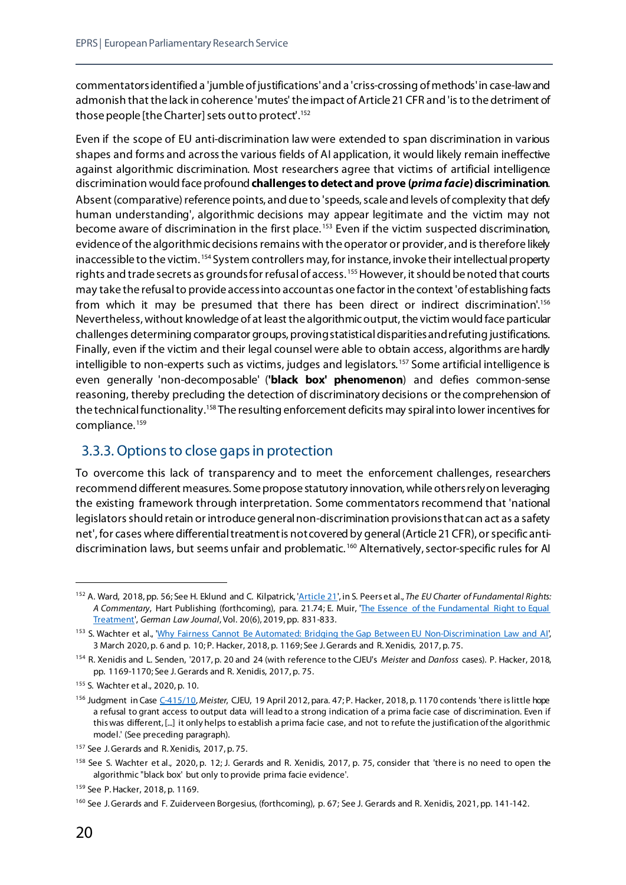commentators identified a 'jumble of justifications'and a 'criss-crossing of methods'in case-law and admonish that the lack in coherence 'mutes' the impact of Article 21 CFR and 'is to the detriment of those people [the Charter] sets out to protect'. [152](#page-25-1)

Even if the scope of EU anti-discrimination law were extended to span discrimination in various shapes and forms and across the various fields of AI application, it would likely remain ineffective against algorithmic discrimination. Most researchers agree that victims of artificial intelligence discrimination would face profound **challenges to detect and prove (***prima facie***) discrimination**. Absent (comparative) reference points, and due to 'speeds, scale and levels of complexity that defy human understanding', algorithmic decisions may appear legitimate and the victim may not become aware of discrimination in the first place.<sup>[153](#page-25-2)</sup> Even if the victim suspected discrimination, evidence of the algorithmic decisions remains with the operator or provider, and is therefore likely inaccessible to the victim. [154](#page-25-3) System controllers may, for instance, invoke their intellectual property rights and trade secrets as grounds for refusal of access.<sup>[155](#page-25-4)</sup> However, it should be noted that courts may take the refusal to provide access into account as one factor in the context 'of establishing facts from which it may be presumed that there has been direct or indirect discrimination'.<sup>[156](#page-25-5)</sup> Nevertheless, without knowledge of at least the algorithmic output, the victim would face particular challenges determining comparator groups, proving statistical disparities and refuting justifications. Finally, even if the victim and their legal counsel were able to obtain access, algorithms are hardly intelligible to non-experts such as victims, judges and legislators. [157](#page-25-6) Some artificial intelligence is even generally 'non-decomposable' (**'black box' phenomenon**) and defies common-sense reasoning, thereby precluding the detection of discriminatory decisions or the comprehension of the technical functionality.<sup>[158](#page-25-7)</sup> The resulting enforcement deficits may spiral into lower incentives for compliance. [159](#page-25-8)

#### <span id="page-25-0"></span>3.3.3. Options to close gaps in protection

To overcome this lack of transparency and to meet the enforcement challenges, researchers recommend different measures. Some propose statutory innovation, while others rely on leveraging the existing framework through interpretation. Some commentators recommend that 'national legislators should retain or introduce general non-discrimination provisions that can act as a safety net', for cases where differential treatment is not covered by general (Article 21 CFR), or specific anti-discrimination laws, but seems unfair and problematic.<sup>[160](#page-25-9)</sup> Alternatively, sector-specific rules for AI

<span id="page-25-1"></span> <sup>152</sup> A. Ward, 2018, pp. 56; See H. Eklund and C. Kilpatrick[, 'Article](https://cadmus.eui.eu/handle/1814/71418) 21', in S. Peers et al., *The EU Charter of Fundamental Rights: A Commentary*, Hart Publishing (forthcoming), para. 21.74; E. Muir, ['The Essence of the Fundamental Right to Equal](https://www.cambridge.org/core/journals/german-law-journal/article/essence-of-the-fundamental-right-to-equal-treatment-back-to-the-origins/A16AC8041343D0233E5E11445A771441)  [Treatment',](https://www.cambridge.org/core/journals/german-law-journal/article/essence-of-the-fundamental-right-to-equal-treatment-back-to-the-origins/A16AC8041343D0233E5E11445A771441) *German Law Journal*, Vol. 20(6), 2019, pp. 831-833.

<span id="page-25-2"></span><sup>153</sup> S. Wachter et al., ['Why Fairness Cannot Be Automated: Bridging the Gap Between EU Non-Discrimination Law and AI](https://papers.ssrn.com/sol3/papers.cfm?abstract_id=3547922)', 3 March 2020, p. 6 and p. 10; P. Hacker, 2018, p. 1169; See J. Gerards and R. Xenidis, 2017, p. 75.

<span id="page-25-3"></span><sup>154</sup> R. Xenidis and L. Senden, '2017, p. 20 and 24 (with reference to the CJEU's *Meister* and *Danfoss* cases). P. Hacker, 2018, pp. 1169-1170; See J. Gerards and R. Xenidis, 2017, p. 75.

<span id="page-25-4"></span><sup>155</sup> S. Wachter et al., 2020, p. 10.

<span id="page-25-5"></span><sup>156</sup> Judgment in Cas[e C-415/10,](https://eur-lex.europa.eu/legal-content/EN/TXT/?uri=CELEX:62010CJ0415) *Meister*, CJEU, 19 April 2012, para. 47; P. Hacker, 2018, p. 1170 contends 'there is little hope a refusal to grant access to output data will lead to a strong indication of a prima facie case of discrimination. Even if this was different, [...] it only helps to establish a prima facie case, and not to refute the justification of the algorithmic model.' (See preceding paragraph).

<span id="page-25-6"></span><sup>&</sup>lt;sup>157</sup> See J. Gerards and R. Xenidis, 2017, p. 75.

<span id="page-25-7"></span><sup>158</sup> See S. Wachter et al., 2020, p. 12; J. Gerards and R. Xenidis, 2017, p. 75, consider that 'there is no need to open the algorithmic "black box' but only to provide prima facie evidence'.

<span id="page-25-8"></span><sup>159</sup> See P. Hacker, 2018, p. 1169.

<span id="page-25-9"></span><sup>160</sup> See J. Gerards and F. Zuiderveen Borgesius, (forthcoming), p. 67; See J. Gerards and R. Xenidis, 2021, pp. 141-142.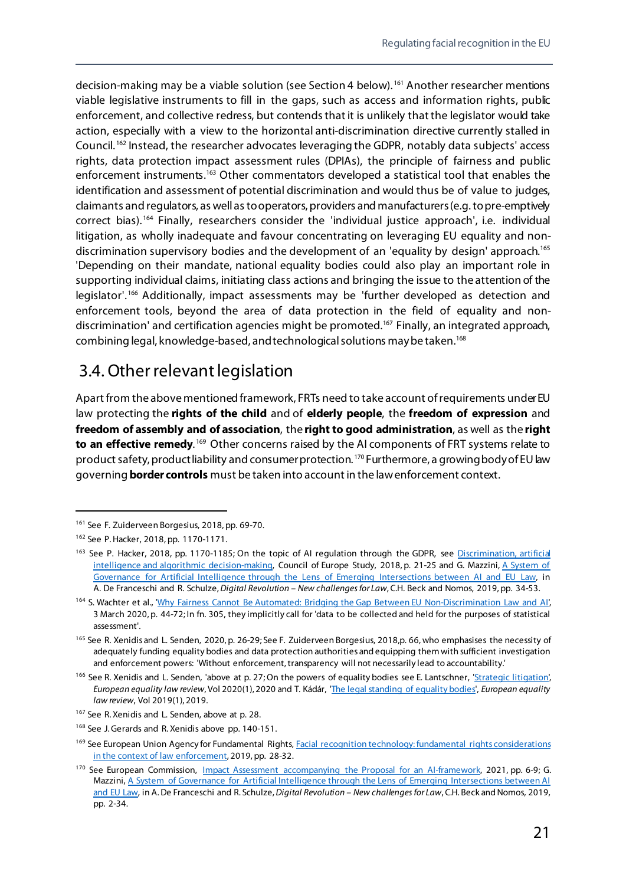decision-making may be a viable solution (see Section 4 below).<sup>[161](#page-26-1)</sup> Another researcher mentions viable legislative instruments to fill in the gaps, such as access and information rights, public enforcement, and collective redress, but contends that it is unlikely that the legislator would take action, especially with a view to the horizontal anti-discrimination directive currently stalled in Council. [162](#page-26-2) Instead, the researcher advocates leveraging the GDPR, notably data subjects' access rights, data protection impact assessment rules (DPIAs), the principle of fairness and public enforcement instruments.[163](#page-26-3) Other commentators developed a statistical tool that enables the identification and assessment of potential discrimination and would thus be of value to judges, claimants and regulators, as well as to operators, providers and manufacturers (e.g. to pre-emptively correct bias). [164](#page-26-4) Finally, researchers consider the 'individual justice approach', i.e. individual litigation, as wholly inadequate and favour concentrating on leveraging EU equality and non-discrimination supervisory bodies and the development of an 'equality by design' approach.<sup>[165](#page-26-5)</sup> 'Depending on their mandate, national equality bodies could also play an important role in supporting individual claims, initiating class actions and bringing the issue to the attention of the legislator'.<sup>[166](#page-26-6)</sup> Additionally, impact assessments may be 'further developed as detection and enforcement tools, beyond the area of data protection in the field of equality and non-discrimination' and certification agencies might be promoted.<sup>[167](#page-26-7)</sup> Finally, an integrated approach, combining legal, knowledge-based, and technological solutions may be taken.[168](#page-26-8)

#### <span id="page-26-0"></span>3.4. Other relevant legislation

Apart from the above mentioned framework, FRTs need to take account of requirements under EU law protecting the **rights of the child** and of **elderly people**, the **freedom of expression** and **freedom of assembly and of association**, the **right to good administration**, as well as the **right to an effective remedy.**<sup>[169](#page-26-9)</sup> Other concerns raised by the AI components of FRT systems relate to product safety, product liability and consumer protection. [170](#page-26-10) Furthermore, a growing body of EU law governing **border controls** must be taken into account in the law enforcement context.

<span id="page-26-1"></span> <sup>161</sup> See F. Zuiderveen Borgesius, 2018, pp. 69-70.

<span id="page-26-2"></span><sup>162</sup> See P. Hacker, 2018, pp. 1170-1171.

<span id="page-26-3"></span><sup>163</sup> See P. Hacker, 2018, pp. 1170-1185; On the topic of AI regulation through the GDPR, see Discrimination, artificial [intelligence and algorithmic decision-making,](https://rm.coe.int/discrimination-artificial-intelligence-and-algorithmic-decision-making/1680925d73) Council of Europe Study, 2018, p. 21-25 and G. Mazzini, A System of [Governance for Artificial Intelligence through the Lens of Emerging Intersections between AI and EU Law,](https://papers.ssrn.com/sol3/papers.cfm?abstract_id=3369266) in A. De Franceschi and R. Schulze, *Digital Revolution – New challenges for Law*, C.H. Beck and Nomos, 2019, pp. 34-53.

<span id="page-26-4"></span><sup>164</sup> S. Wachter et al., ['Why Fairness Cannot Be Automated: Bridging the Gap Between EU Non-Discrimination Law and AI](https://papers.ssrn.com/sol3/papers.cfm?abstract_id=3547922)', 3 March 2020, p. 44-72; In fn. 305, they implicitly call for 'data to be collected and held for the purposes of statistical assessment'.

<span id="page-26-5"></span><sup>&</sup>lt;sup>165</sup> See R. Xenidis and L. Senden, 2020, p. 26-29; See F. Zuiderveen Borgesius, 2018, p. 66, who emphasises the necessity of adequately funding equality bodies and data protection authorities and equipping them with sufficient investigation and enforcement powers: 'Without enforcement, transparency will not necessarily lead to accountability.'

<span id="page-26-6"></span><sup>166</sup> See R. Xenidis and L. Senden, 'above at p. 27; On the powers of equality bodies see E. Lantschner, ['Strategic litigation](https://www.equalitylaw.eu/downloads/5182-european-equality-law-review-1-2020-pdf-1-572-kb)', *European equality law review*, Vol 2020(1), 2020 and T. Kádár, ['The legal standing of equality bodies',](https://www.equalitylaw.eu/downloads/4930-european-equality-law-review-1-2019-pdf-1-051-kb) *European equality law review*, Vol 2019(1), 2019.

<span id="page-26-7"></span><sup>&</sup>lt;sup>167</sup> See R. Xenidis and L. Senden, above at p. 28.

<span id="page-26-8"></span><sup>&</sup>lt;sup>168</sup> See J. Gerards and R. Xenidis above pp. 140-151.

<span id="page-26-9"></span><sup>&</sup>lt;sup>169</sup> See European Union Agency for Fundamental Rights, Facial recognition technology: fundamental rights considerations [in the context of law enforcement,](https://fra.europa.eu/en/publication/2019/facial-recognition-technology-fundamental-rights-considerations-context-law) 2019, pp. 28-32.

<span id="page-26-10"></span><sup>&</sup>lt;sup>170</sup> See European Commission, [Impact Assessment accompanying the Proposal for an AI-framework,](https://eur-lex.europa.eu/legal-content/EN/TXT/?uri=celex%3A52021SC0084) 2021, pp. 6-9; G. Mazzini, [A System of Governance for Artificial Intelligence through the Lens of Emerging Intersections between AI](https://papers.ssrn.com/sol3/papers.cfm?abstract_id=3369266)  [and EU Law,](https://papers.ssrn.com/sol3/papers.cfm?abstract_id=3369266) in A. De Franceschi and R. Schulze, *Digital Revolution – New challenges for Law*, C.H. Beck and Nomos, 2019, pp. 2-34.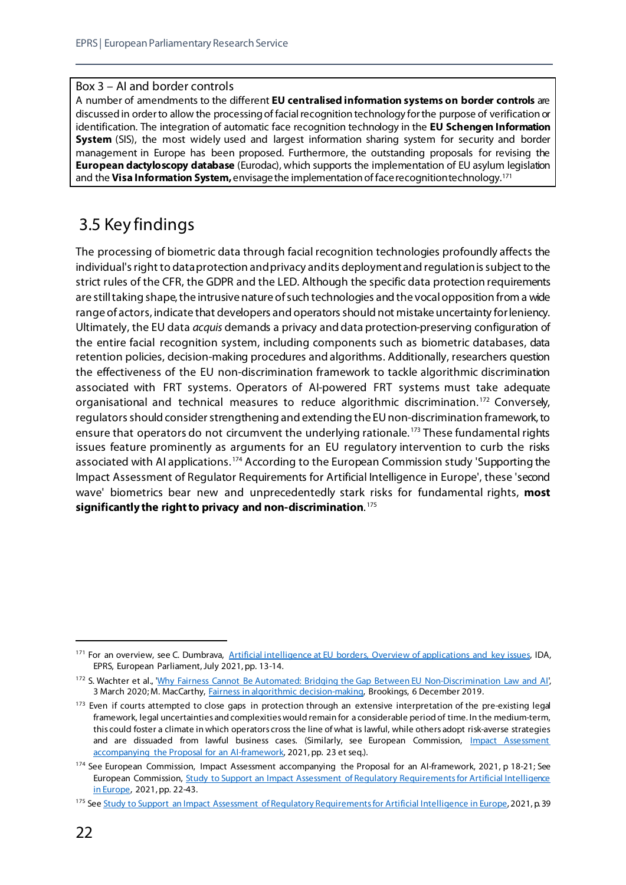#### Box 3 – AI and border controls

A number of amendments to the different **EU centralised information systems on border controls** are discussed in order to allow the processing of facial recognition technology for the purpose of verification or identification. The integration of automatic face recognition technology in the **EU Schengen Information System** (SIS), the most widely used and largest information sharing system for security and border management in Europe has been proposed. Furthermore, the outstanding proposals for revising the **European dactyloscopy database** (Eurodac), which supports the implementation of EU asylum legislation and the **Visa Information System,**envisage the implementation of face recognition technology.[171](#page-27-1)

## <span id="page-27-0"></span>3.5 Key findings

The processing of biometric data through facial recognition technologies profoundly affects the individual's right to data protection and privacy and its deployment and regulation is subject to the strict rules of the CFR, the GDPR and the LED. Although the specific data protection requirements are still taking shape, the intrusive nature of such technologies and the vocal opposition from a wide range of actors, indicate that developers and operators should not mistake uncertainty for leniency. Ultimately, the EU data *acquis* demands a privacy and data protection-preserving configuration of the entire facial recognition system, including components such as biometric databases, data retention policies, decision-making procedures and algorithms. Additionally, researchers question the effectiveness of the EU non-discrimination framework to tackle algorithmic discrimination associated with FRT systems. Operators of AI-powered FRT systems must take adequate organisational and technical measures to reduce algorithmic discrimination. [172](#page-27-2) Conversely, regulators should consider strengthening and extending the EU non-discrimination framework, to ensure that operators do not circumvent the underlying rationale.<sup>[173](#page-27-3)</sup> These fundamental rights issues feature prominently as arguments for an EU regulatory intervention to curb the risks associated with AI applications. [174](#page-27-4) According to the European Commission study 'Supporting the Impact Assessment of Regulator Requirements for Artificial Intelligence in Europe', these 'second wave' biometrics bear new and unprecedentedly stark risks for fundamental rights, **most significantly the right to privacy and non-discrimination**. [175](#page-27-5)

<span id="page-27-1"></span><sup>&</sup>lt;sup>171</sup> For an overview, see C. Dumbrava, [Artificial intelligence at EU borders, Overview of applications and key issues,](https://www.europarl.europa.eu/RegData/etudes/IDAN/2021/690706/EPRS_IDA(2021)690706_EN.pdf) IDA, EPRS, European Parliament, July 2021, pp. 13-14.

<span id="page-27-2"></span><sup>&</sup>lt;sup>172</sup> S. Wachter et al., ['Why Fairness Cannot Be Automated: Bridging the Gap Between EU Non-Discrimination Law and AI](https://papers.ssrn.com/sol3/papers.cfm?abstract_id=3547922)', 3 March 2020; M. MacCarthy, [Fairness in algorithmic decision-making,](https://www.brookings.edu/research/fairness-in-algorithmic-decision-making/) Brookings, 6 December 2019.

<span id="page-27-3"></span><sup>&</sup>lt;sup>173</sup> Even if courts attempted to close gaps in protection through an extensive interpretation of the pre-existing legal framework, legal uncertainties and complexities would remain for a considerable period of time. In the medium-term, this could foster a climate in which operators cross the line of what is lawful, while others adopt risk-averse strategies and are dissuaded from lawful business cases. (Similarly, see European Commission, *Impact Assessment* [accompanying the Proposal for an AI-framework,](https://eur-lex.europa.eu/legal-content/EN/TXT/?uri=celex%3A52021SC0084) 2021, pp. 23 et seq.).

<span id="page-27-4"></span><sup>174</sup> See European Commission, Impact Assessment accompanying the Proposal for an AI-framework, 2021, p 18-21; See European Commission, [Study to Support an Impact Assessment of Regulatory Requirements for Artificial Intelligence](https://op.europa.eu/en/publication-detail/-/publication/55538b70-a638-11eb-9585-01aa75ed71a1/language-en/format-PDF/source-204305195)  [in Europe,](https://op.europa.eu/en/publication-detail/-/publication/55538b70-a638-11eb-9585-01aa75ed71a1/language-en/format-PDF/source-204305195) 2021, pp. 22-43.

<span id="page-27-5"></span><sup>175</sup> Se[e Study to Support an Impact Assessment of Regulatory Requirements for Artificial Intelligence in Europe](https://op.europa.eu/en/publication-detail/-/publication/55538b70-a638-11eb-9585-01aa75ed71a1/language-en/format-PDF/source-204305195), 2021, p. 39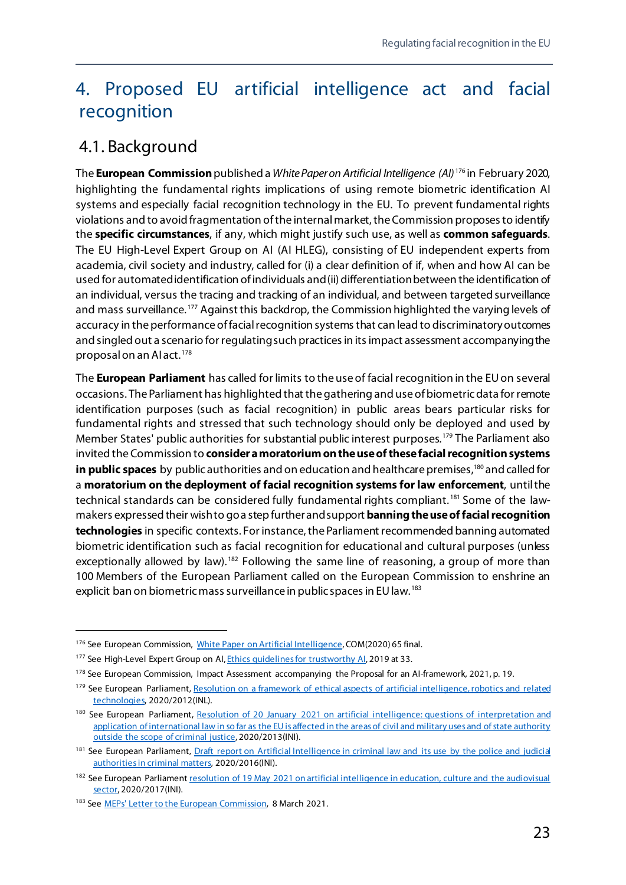## <span id="page-28-0"></span>4. Proposed EU artificial intelligence act and facial recognition

## <span id="page-28-1"></span>4.1. Background

The **European Commission**published a *White Paper on Artificial Intelligence (AI)* [176](#page-28-2) in February 2020, highlighting the fundamental rights implications of using remote biometric identification AI systems and especially facial recognition technology in the EU. To prevent fundamental rights violations and to avoid fragmentation of the internal market, the Commission proposes to identify the **specific circumstances**, if any, which might justify such use, as well as **common safeguards**. The EU High-Level Expert Group on AI (AI HLEG), consisting of EU independent experts from academia, civil society and industry, called for (i) a clear definition of if, when and how AI can be used for automated identification of individuals and (ii) differentiation between the identification of an individual, versus the tracing and tracking of an individual, and between targeted surveillance and mass surveillance.<sup>[177](#page-28-3)</sup> Against this backdrop, the Commission highlighted the varying levels of accuracy in the performance of facial recognition systems that can lead to discriminatory outcomes and singled out a scenario for regulating such practices in its impact assessment accompanying the proposalon an AI act. [178](#page-28-4)

The **European Parliament** has called for limits to the use of facial recognition in the EUon several occasions. The Parliament has highlighted that the gathering and use of biometric data for remote identification purposes (such as facial recognition) in public areas bears particular risks for fundamental rights and stressed that such technology should only be deployed and used by Member States' public authorities for substantial public interest purposes.<sup>[179](#page-28-5)</sup> The Parliament also invited the Commission to **consider a moratoriumon the use of these facial recognition systems**  in public spaces by public authorities and on education and healthcare premises,<sup>180</sup> and called for a **moratorium on the deployment of facial recognition systems for law enforcement**, until the technical standards can be considered fully fundamental rights compliant. [181](#page-28-7) Some of the lawmakers expressed their wish to go a step further and support **banning the use offacial recognition technologies** in specific contexts. For instance, the Parliament recommended banning automated biometric identification such as facial recognition for educational and cultural purposes (unless exceptionally allowed by law).<sup>[182](#page-28-8)</sup> Following the same line of reasoning, a group of more than 100 Members of the European Parliament called on the European Commission to enshrine an explicit ban on biometric mass surveillance in public spaces in EU law.<sup>[183](#page-28-9)</sup>

<span id="page-28-2"></span><sup>176</sup> See European Commission, [White Paper on Artificial Intelligence](https://ec.europa.eu/info/sites/default/files/commission-white-paper-artificial-intelligence-feb2020_en.pdf), COM(2020) 65 final.

<span id="page-28-3"></span><sup>177</sup> See High-Level Expert Group on AI, Ethics quidelines for trustworthy AI, 2019 at 33.

<span id="page-28-4"></span><sup>178</sup> See European Commission, Impact Assessment accompanying the Proposal for an AI-framework, 2021, p. 19.

<span id="page-28-5"></span><sup>179</sup> See European Parliament, Resolution on a framework of ethical aspects of artificial intelligence, robotics and related [technologies,](https://www.europarl.europa.eu/doceo/document/TA-9-2020-0275_EN.html) 2020/2012(INL).

<span id="page-28-6"></span><sup>180</sup> See European Parliament, Resolution of 20 January 2021 on artificial intelligence: questions of interpretation and [application of international law in so far as the EU is affected in the areas](https://www.europarl.europa.eu/doceo/document/TA-9-2021-0009_EN.html) of civil and military uses and of state authority [outside the scope of criminal justice,](https://www.europarl.europa.eu/doceo/document/TA-9-2021-0009_EN.html) 2020/2013(INI).

<span id="page-28-7"></span><sup>&</sup>lt;sup>181</sup> See European Parliament, *Draft report on Artificial Intelligence in criminal law and its use by the police and judicial* [authorities in criminal matters,](https://www.europarl.europa.eu/doceo/document/LIBE-PR-652625_EN.html) 2020/2016(INI).

<span id="page-28-8"></span><sup>&</sup>lt;sup>182</sup> See European Parliament resolution of 19 May 2021 on artificial intelligence in education, culture and the audiovisual [sector,](https://www.europarl.europa.eu/doceo/document/TA-9-2021-0238_EN.html) 2020/2017(INI).

<span id="page-28-9"></span><sup>183</sup> Se[e MEPs' Letter to the European Commission,](https://edri.org/wp-content/uploads/2021/03/MEP-Letter-on-AI-and-fundamental-rights-1.pdf) 8 March 2021.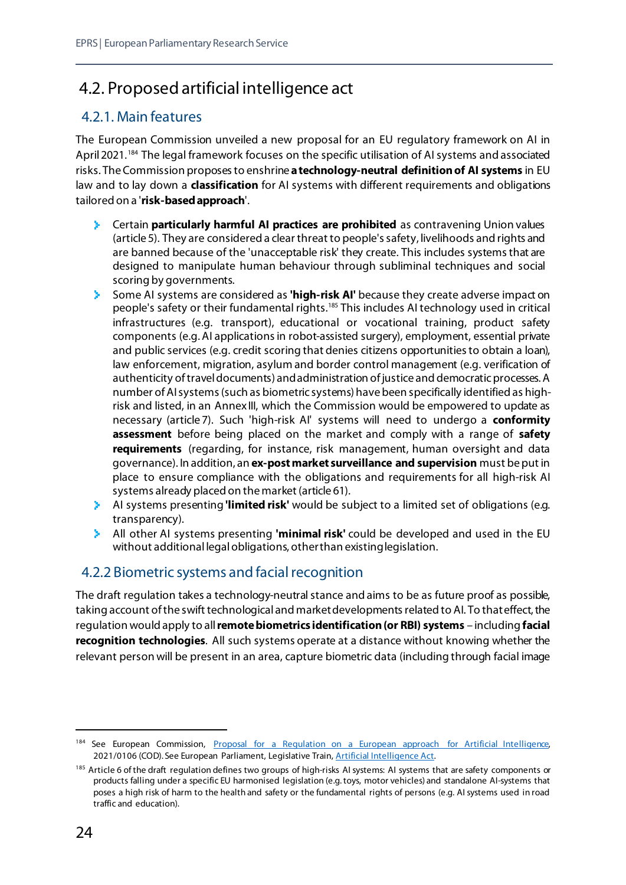## <span id="page-29-0"></span>4.2. Proposed artificial intelligence act

#### <span id="page-29-1"></span>4.2.1. Main features

The European Commission unveiled a new proposal for an EU regulatory framework on AI in April 2021.<sup>[184](#page-29-3)</sup> The legal framework focuses on the specific utilisation of AI systems and associated risks. The Commission proposes to enshrine **a technology-neutral definition of AI systems** in EU law and to lay down a **classification** for AI systems with different requirements and obligations tailored on a '**risk-based approach**'.

- Certain **particularly harmful AI practices are prohibited** as contravening Union values (article 5). They are considered a clear threat to people'ssafety, livelihoods and rights and are banned because of the 'unacceptable risk' they create. This includes systems that are designed to manipulate human behaviour through subliminal techniques and social scoring by governments.
- s. Some AI systems are considered as **'high-risk AI'** because they create adverse impact on people's safety or their fundamental rights.<sup>[185](#page-29-4)</sup> This includes AI technology used in critical infrastructures (e.g. transport), educational or vocational training, product safety components (e.g. AI applicationsin robot-assisted surgery), employment, essential private and public services (e.g. credit scoring that denies citizens opportunities to obtain a loan), law enforcement, migration, asylum and border control management (e.g. verification of authenticity of travel documents) and administration of justice and democratic processes. A number of AI systems (such as biometric systems) have been specifically identified as highrisk and listed, in an AnnexIII, which the Commission would be empowered to update as necessary (article 7). Such 'high-risk AI' systems will need to undergo a **conformity assessment** before being placed on the market and comply with a range of **safety requirements** (regarding, for instance, risk management, human oversight and data governance). In addition, an **ex-post market surveillance and supervision** must be put in place to ensure compliance with the obligations and requirements for all high-risk AI systems already placed on the market (article 61).
- AI systems presenting **'limited risk'** would be subject to a limited set of obligations (e.g. transparency).
- All other AI systems presenting **'minimal risk'** could be developed and used in the EU without additional legal obligations, otherthan existing legislation.

#### <span id="page-29-2"></span>4.2.2 Biometric systems and facial recognition

The draft regulation takes a technology-neutral stance and aims to be as future proof as possible, taking account of the swift technological and market developments related to AI. To that effect, the regulation would apply to all **remote biometrics identification (or RBI) systems** – including **facial recognition technologies**. All such systems operate at a distance without knowing whether the relevant person will be present in an area, capture biometric data (including through facial image

<span id="page-29-3"></span><sup>184</sup> See European Commission, Proposal for a Regulation on a European approach for Artificial Intelligence, 2021/0106 (COD). See European Parliament, Legislative Train[, Artificial Intelligence Act.](https://www.europarl.europa.eu/legislative-train/theme-a-europe-fit-for-the-digital-age/file-regulation-on-artificial-intelligence)

<span id="page-29-4"></span><sup>&</sup>lt;sup>185</sup> Article 6 of the draft regulation defines two groups of high-risks AI systems: AI systems that are safety components or products falling under a specific EU harmonised legislation (e.g. toys, motor vehicles) and standalone AI-systems that poses a high risk of harm to the health and safety or the fundamental rights of persons (e.g. AI systems used in road traffic and education).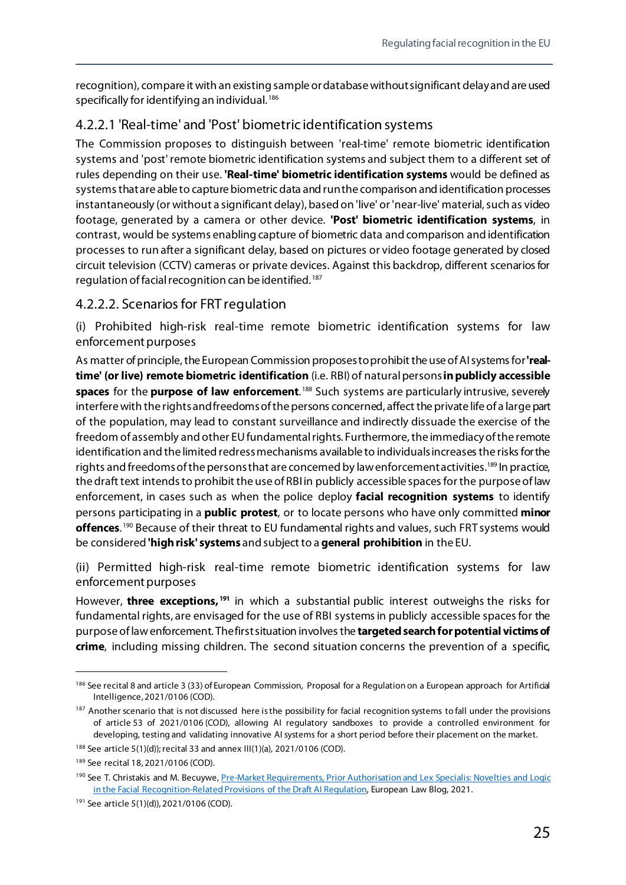recognition), compare it with an existing sample or database without significant delay and are used specifically for identifying an individual. [186](#page-30-0)

#### 4.2.2.1 'Real-time' and 'Post' biometric identification systems

The Commission proposes to distinguish between 'real-time' remote biometric identification systems and 'post' remote biometric identification systems and subject them to a different set of rules depending on their use. **'Real-time' biometric identification systems** would be defined as systems that are able to capture biometric data and run the comparison and identification processes instantaneously (or without a significant delay), based on 'live' or 'near-live' material, such as video footage, generated by a camera or other device. **'Post' biometric identification systems**, in contrast, would be systems enabling capture of biometric data and comparison and identification processes to run after a significant delay, based on pictures or video footage generated by closed circuit television (CCTV) cameras or private devices. Against this backdrop, different scenarios for regulation of facial recognition can be identified. [187](#page-30-1)

#### 4.2.2.2. Scenarios for FRT regulation

(i) Prohibited high-risk real-time remote biometric identification systems for law enforcement purposes

As matter of principle, the European Commission proposes to prohibit the use of AI systems for **'realtime' (or live) remote biometric identification** (i.e. RBI) of natural persons**in publicly accessible spaces** for the **purpose of law enforcement**. [188](#page-30-2) Such systems are particularly intrusive, severely interfere with the rights and freedoms of the persons concerned, affect the private life of a large part of the population, may lead to constant surveillance and indirectly dissuade the exercise of the freedom of assembly and other EU fundamental rights. Furthermore, the immediacy of the remote identification and the limited redress mechanisms available to individuals increases the risks for the rights and freedoms of the persons that are concerned by law enforcement activities.<sup>189</sup> In practice, the draft text intends to prohibit the use of RBIin publicly accessible spaces for the purpose of law enforcement, in cases such as when the police deploy **facial recognition systems** to identify persons participating in a **public protest**, or to locate persons who have only committed **minor offences**. [190](#page-30-4) Because of their threat to EU fundamental rights and values, such FRT systems would be considered **'high risk' systems** and subject to a **general prohibition** in the EU.

(ii) Permitted high-risk real-time remote biometric identification systems for law enforcement purposes

However, **three exceptions, [191](#page-30-5)** in which a substantial public interest outweighs the risks for fundamental rights, are envisaged for the use of RBI systems in publicly accessible spaces for the purpose of law enforcement. The first situation involves the **targeted search for potential victims of crime**, including missing children. The second situation concerns the prevention of a specific,

<span id="page-30-0"></span><sup>&</sup>lt;sup>186</sup> See recital 8 and article 3 (33) of European Commission, Proposal for a Regulation on a European approach for Artificial Intelligence, 2021/0106 (COD).

<span id="page-30-1"></span><sup>&</sup>lt;sup>187</sup> Another scenario that is not discussed here is the possibility for facial recognition systems to fall under the provisions of article 53 of 2021/0106 (COD), allowing AI regulatory sandboxes to provide a controlled environment for developing, testing and validating innovative AI systems for a short period before their placement on the market.

<span id="page-30-2"></span><sup>188</sup> See article 5(1)(d)); recital 33 and annex III(1)(a), 2021/0106 (COD).

<span id="page-30-3"></span><sup>189</sup> See recital 18, 2021/0106 (COD).

<span id="page-30-4"></span><sup>&</sup>lt;sup>190</sup> See T. Christakis and M. Becuywe, Pre-Market Requirements, Prior Authorisation and Lex Specialis: Novelties and Logic [in the Facial Recognition-Related Provisions of the Draft AI Regulation,](https://europeanlawblog.eu/2021/05/04/pre-market-requirements-prior-authorisation-and-lex-specialis-novelties-and-logic-in-the-facial-recognition-related-provisions-of-the-draft-ai-regulation/) European Law Blog, 2021.

<span id="page-30-5"></span><sup>191</sup> See article 5(1)(d)), 2021/0106 (COD).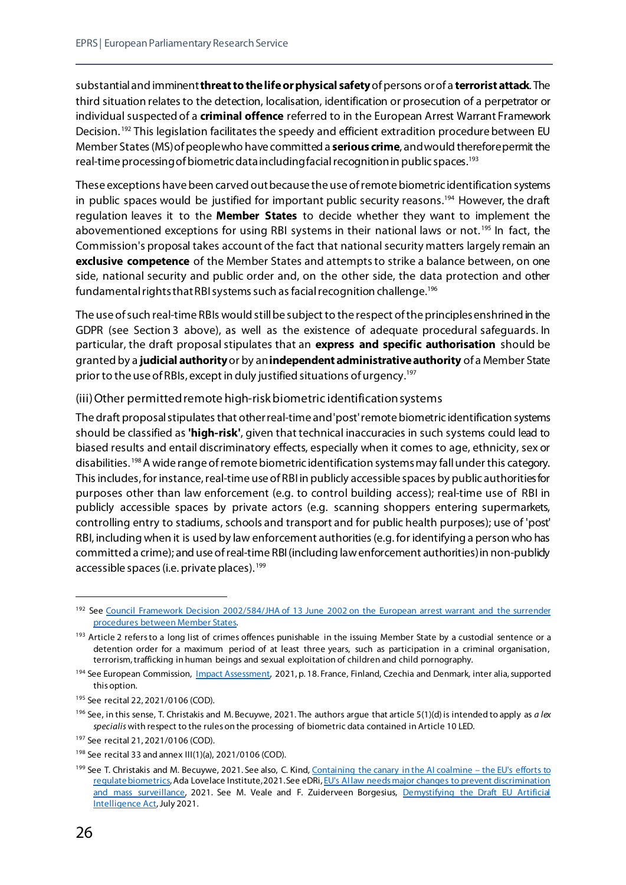substantial and imminent **threat to the life or physical safety** of persons or of a **terrorist attack**. The third situation relates to the detection, localisation, identification or prosecution of a perpetrator or individual suspected of a **criminal offence** referred to in the European Arrest Warrant Framework Decision.<sup>[192](#page-31-0)</sup> This legislation facilitates the speedy and efficient extradition procedure between EU Member States (MS) of people who have committed a **serious crime**, and would therefore permit the real-time processing of biometric data including facial recognition in public spaces.[193](#page-31-1)

These exceptions have been carved out because the use of remote biometric identification systems in public spaces would be justified for important public security reasons. [194](#page-31-2) However, the draft regulation leaves it to the **Member States** to decide whether they want to implement the abovementioned exceptions for using RBI systems in their national laws or not.<sup>[195](#page-31-3)</sup> In fact, the Commission's proposal takes account of the fact that national security matters largely remain an **exclusive competence** of the Member States and attempts to strike a balance between, on one side, national security and public order and, on the other side, the data protection and other fundamental rights that RBI systems such as facial recognition challenge[.196](#page-31-4)

The use of such real-time RBIs would still be subject to the respect of the principles enshrined in the GDPR (see Section 3 above), as well as the existence of adequate procedural safeguards. In particular, the draft proposal stipulates that an **express and specific authorisation** should be granted by a **judicial authority** or by an**independent administrative authority** of a Member State prior to the use of RBIs, except in duly justified situations of urgency.<sup>197</sup>

#### (iii) Other permitted remote high-risk biometric identification systems

The draft proposal stipulates that other real-time and 'post'remote biometric identification systems should be classified as **'high-risk'**, given that technical inaccuracies in such systems could lead to biased results and entail discriminatory effects, especially when it comes to age, ethnicity, sex or disabilities. [198](#page-31-6)A wide range of remote biometric identification systems may fall under this category. This includes, for instance, real-time use of RBI in publicly accessible spaces by public authorities for purposes other than law enforcement (e.g. to control building access); real-time use of RBI in publicly accessible spaces by private actors (e.g. scanning shoppers entering supermarkets, controlling entry to stadiums, schools and transport and for public health purposes); use of 'post' RBI, including when it is used by law enforcement authorities (e.g. for identifying a person who has committed a crime); and use of real-time RBI (including law enforcement authorities)in non-publicly accessible spaces (i.e. private places).<sup>[199](#page-31-7)</sup>

<span id="page-31-0"></span><sup>&</sup>lt;sup>192</sup> See Council Framework Decision 2002/584/JHA of 13 June 2002 on the European arrest warrant and the surrender [procedures between Member States.](https://eur-lex.europa.eu/legal-content/EN/TXT/?uri=celex%3A32002F0584) 

<span id="page-31-1"></span><sup>&</sup>lt;sup>193</sup> Article 2 refers to a long list of crimes offences punishable in the issuing Member State by a custodial sentence or a detention order for a maximum period of at least three years, such as participation in a criminal organisation, terrorism, trafficking in human beings and sexual exploitation of children and child pornography.

<span id="page-31-2"></span><sup>&</sup>lt;sup>194</sup> See European Commission, *Impact Assessment*, 2021, p. 18. France, Finland, Czechia and Denmark, inter alia, supported this option.

<span id="page-31-3"></span><sup>195</sup> See recital 22, 2021/0106 (COD).

<span id="page-31-4"></span><sup>196</sup> See, in this sense, T. Christakis and M. Becuywe, 2021. The authors argue that article 5(1)(d) is intended to apply as *a lex specialis* with respect to the rules on the processing of biometric data contained in Article 10 LED.

<span id="page-31-5"></span><sup>197</sup> See recital 21, 2021/0106 (COD).

<span id="page-31-6"></span><sup>198</sup> See recital 33 and annex III(1)(a), 2021/0106 (COD).

<span id="page-31-7"></span><sup>199</sup> See T. Christakis and M. Becuywe, 2021. See also, C. Kind[, Containing the canary in the AI coalmine –](https://www.adalovelaceinstitute.org/blog/canary-ai-coalmine-eu-regulate-biometrics/) the EU's efforts to [regulate biometrics,](https://www.adalovelaceinstitute.org/blog/canary-ai-coalmine-eu-regulate-biometrics/) Ada Lovelace Institute, 2021. See eDRi[, EU's AI law needs major changes to prevent discrimination](https://edri.org/our-work/eus-ai-law-needs-major-changes-to-prevent-discrimination-and-mass-surveillance/)  [and mass surveillance,](https://edri.org/our-work/eus-ai-law-needs-major-changes-to-prevent-discrimination-and-mass-surveillance/) 2021. See M. Veale and F. Zuiderveen Borgesius, Demystifying the Draft EU Artificial [Intelligence Act,](https://osf.io/preprints/socarxiv/38p5f) July 2021.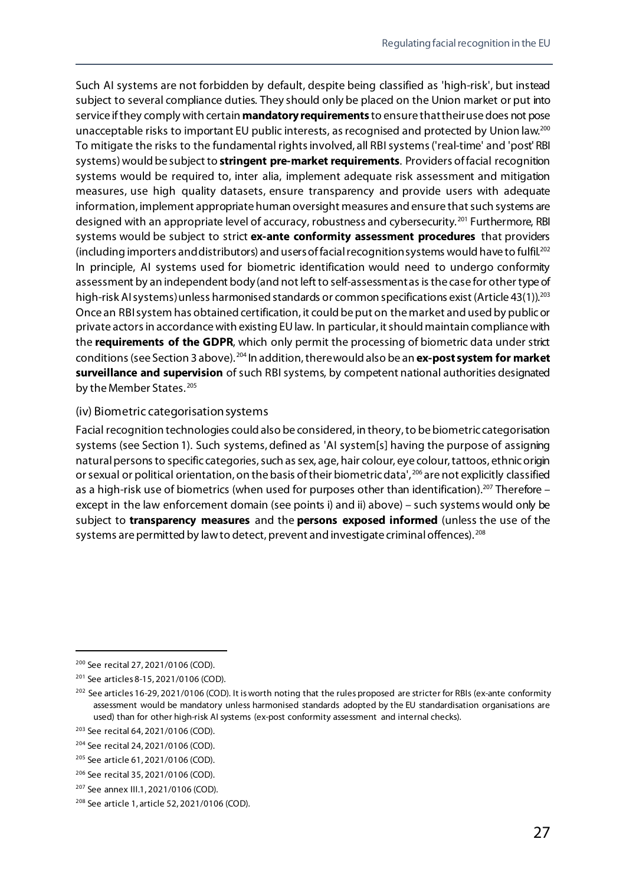Such AI systems are not forbidden by default, despite being classified as 'high-risk', but instead subject to several compliance duties. They should only be placed on the Union market or put into service if they comply with certain **mandatory requirements** to ensure that their use does not pose unacceptable risks to important EU public interests, as recognised and protected by Union law.<sup>[200](#page-32-0)</sup> To mitigate the risks to the fundamental rights involved, all RBI systems ('real-time' and 'post' RBI systems) would be subject to **stringent pre-market requirements**. Providers of facial recognition systems would be required to, inter alia, implement adequate risk assessment and mitigation measures, use high quality datasets, ensure transparency and provide users with adequate information, implement appropriate human oversight measures and ensure that such systems are designed with an appropriate level of accuracy, robustness and cybersecurity.<sup>[201](#page-32-1)</sup> Furthermore, RBI systems would be subject to strict **ex-ante conformity assessment procedures** that providers (including importers and distributors) and users of facial recognition systems would have to fulfil.[202](#page-32-2) In principle, AI systems used for biometric identification would need to undergo conformity assessment by an independent body (and not left to self-assessment as is the case for other type of high-risk AI systems) unless harmonised standards or common specifications exist (Article 43(1)).<sup>[203](#page-32-3)</sup> Once an RBI system has obtained certification, it could be put on the market and used by public or private actors in accordance with existing EU law. In particular, it should maintain compliance with the **requirements of the GDPR**, which only permit the processing of biometric data under strict conditions (see Section 3 above). [204](#page-32-4) In addition, there would also be an **ex-post system for market surveillance and supervision** of such RBI systems, by competent national authorities designated by the Member States.<sup>[205](#page-32-5)</sup>

#### (iv) Biometric categorisation systems

Facial recognition technologies could also be considered, in theory, to be biometric categorisation systems (see Section 1). Such systems, defined as 'AI system[s] having the purpose of assigning natural persons to specific categories, such as sex, age, hair colour, eye colour, tattoos, ethnic origin or sexual or political orientation, on the basis of their biometric data', [206](#page-32-6) are not explicitly classified as a high-risk use of biometrics (when used for purposes other than identification).<sup>207</sup> Therefore – except in the law enforcement domain (see points i) and ii) above) – such systems would only be subject to **transparency measures** and the **persons exposed informed** (unless the use of the systems are permitted by law to detect, prevent and investigate criminal offences).<sup>[208](#page-32-8)</sup>

<span id="page-32-0"></span> <sup>200</sup> See recital 27, 2021/0106 (COD).

<span id="page-32-1"></span><sup>201</sup> See articles 8-15, 2021/0106 (COD).

<span id="page-32-2"></span> $202$  See articles 16-29, 2021/0106 (COD). It is worth noting that the rules proposed are stricter for RBIs (ex-ante conformity assessment would be mandatory unless harmonised standards adopted by the EU standardisation organisations are used) than for other high-risk AI systems (ex-post conformity assessment and internal checks).

<span id="page-32-3"></span><sup>203</sup> See recital 64, 2021/0106 (COD).

<span id="page-32-4"></span><sup>204</sup> See recital 24, 2021/0106 (COD).

<span id="page-32-5"></span><sup>205</sup> See article 61, 2021/0106 (COD).

<span id="page-32-6"></span><sup>206</sup> See recital 35, 2021/0106 (COD).

<span id="page-32-7"></span><sup>207</sup> See annex III.1, 2021/0106 (COD).

<span id="page-32-8"></span><sup>208</sup> See article 1, article 52, 2021/0106 (COD).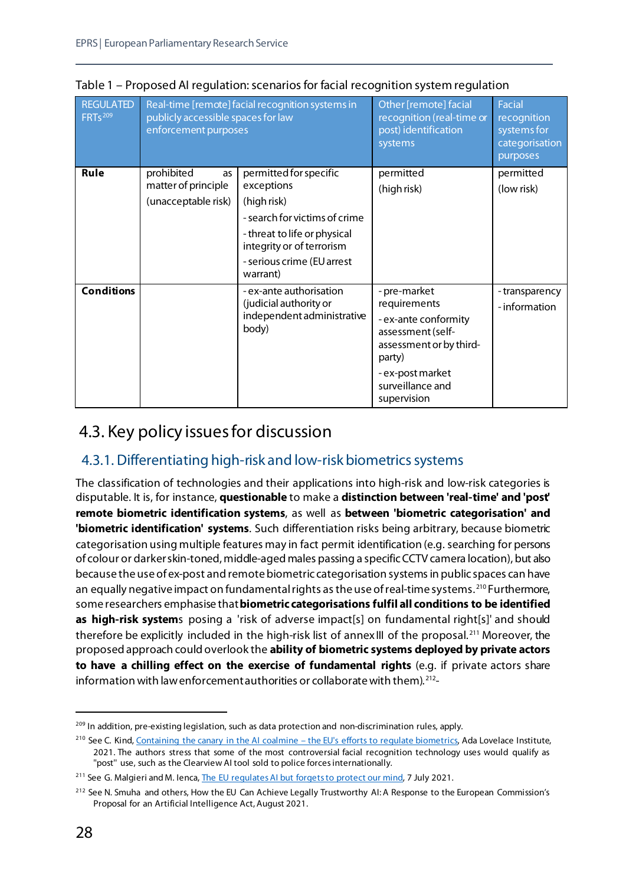| <b>REGULATED</b><br><b>FRTs</b> 209 | Real-time [remote] facial recognition systems in<br>publicly accessible spaces for law<br>enforcement purposes |                                                                                                                                                                                             | Other [remote] facial<br>recognition (real-time or<br>post) identification<br>systems                                                                                 | <b>Facial</b><br>recognition<br>systems for<br>categorisation<br>purposes |
|-------------------------------------|----------------------------------------------------------------------------------------------------------------|---------------------------------------------------------------------------------------------------------------------------------------------------------------------------------------------|-----------------------------------------------------------------------------------------------------------------------------------------------------------------------|---------------------------------------------------------------------------|
| Rule                                | prohibited<br>as<br>matter of principle<br>(unacceptable risk)                                                 | permitted for specific<br>exceptions<br>(high risk)<br>- search for victims of crime<br>- threat to life or physical<br>integrity or of terrorism<br>- serious crime (EU arrest<br>warrant) | permitted<br>(high risk)                                                                                                                                              | permitted<br>(low risk)                                                   |
| <b>Conditions</b>                   |                                                                                                                | - ex-ante authorisation<br>(judicial authority or<br>independent administrative<br>body)                                                                                                    | - pre-market<br>requirements<br>- ex-ante conformity<br>assessment (self-<br>assessment or by third-<br>party)<br>- ex-post market<br>surveillance and<br>supervision | - transparency<br>- information                                           |

Table 1 – Proposed AI regulation: scenarios for facial recognition system regulation

## <span id="page-33-0"></span>4.3. Key policy issues for discussion

#### <span id="page-33-1"></span>4.3.1. Differentiating high-risk and low-risk biometrics systems

The classification of technologies and their applications into high-risk and low-risk categories is disputable. It is, for instance, **questionable** to make a **distinction between 'real-time' and 'post' remote biometric identification systems**, as well as **between 'biometric categorisation' and 'biometric identification' systems**. Such differentiation risks being arbitrary, because biometric categorisation using multiple features may in fact permit identification (e.g. searching for persons of colour or darker skin-toned, middle-aged males passing a specific CCTV camera location), but also because the use of ex-post and remote biometric categorisation systems in public spaces can have an equally negative impact on fundamental rights as the use of real-time systems.<sup>[210](#page-33-3)</sup> Furthermore, some researchers emphasise that **biometric categorisations fulfil all conditions to be identified as high-risk system**s posing a 'risk of adverse impact[s] on fundamental right[s]' and should therefore be explicitly included in the high-risk list of annex III of the proposal.<sup>[211](#page-33-4)</sup> Moreover, the proposed approach could overlook the **ability of biometric systems deployed by private actors to have a chilling effect on the exercise of fundamental rights** (e.g. if private actors share information with law enforcement authorities or collaborate with them). [212](#page-33-5)-

<span id="page-33-2"></span><sup>&</sup>lt;sup>209</sup> In addition, pre-existing legislation, such as data protection and non-discrimination rules, apply.

<span id="page-33-3"></span><sup>&</sup>lt;sup>210</sup> See C. Kind[, Containing the canary in the AI coalmine –](https://www.adalovelaceinstitute.org/blog/canary-ai-coalmine-eu-regulate-biometrics/) the EU's efforts to regulate biometrics, Ada Lovelace Institute, 2021. The authors stress that some of the most controversial facial recognition technology uses would qualify as ''post'' use, such as the Clearview AI tool sold to police forces internationally.

<span id="page-33-4"></span><sup>&</sup>lt;sup>211</sup> See G. Malgieri and M. Ienc[a, The EU regulates AI but forgets to protect our mind,](https://europeanlawblog.eu/2021/07/07/the-eu-regulates-ai-but-forgets-to-protect-our-mind/) 7 July 2021.

<span id="page-33-5"></span><sup>&</sup>lt;sup>212</sup> See N. Smuha and others, How the EU Can Achieve Legally Trustworthy AI: A Response to the European Commission's Proposal for an Artificial Intelligence Act, August 2021.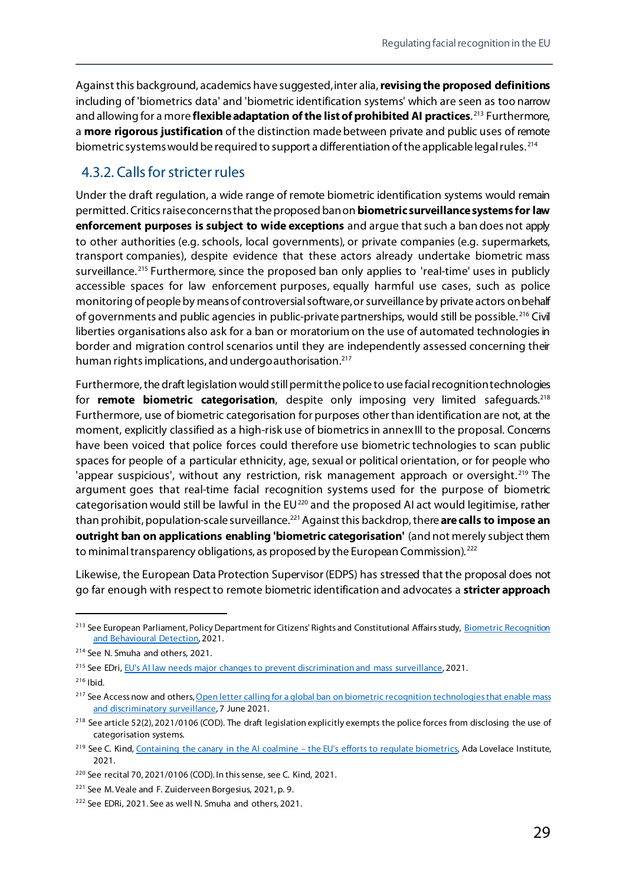Against this background, academics have suggested, inter alia, **revisingthe proposed definitions** including of 'biometrics data' and 'biometric identification systems' which are seen as too narrow and allowing for a more **flexible adaptation of the list of prohibited AI practices**. [213](#page-34-1) Furthermore, a **more rigorous justification** of the distinction made between private and public uses of remote biometric systems would be required to support a differentiation of the applicable legal rules.<sup>[214](#page-34-2)</sup>

#### <span id="page-34-0"></span>4.3.2. Calls for stricter rules

Under the draft regulation, a wide range of remote biometric identification systems would remain permitted. Critics raise concerns that the proposed ban on **biometric surveillance systems for law enforcement purposes is subject to wide exceptions** and argue that such a ban does not apply to other authorities (e.g. schools, local governments), or private companies (e.g. supermarkets, transport companies), despite evidence that these actors already undertake biometric mass surveillance.<sup>[215](#page-34-3)</sup> Furthermore, since the proposed ban only applies to 'real-time' uses in publicly accessible spaces for law enforcement purposes, equally harmful use cases, such as police monitoring of people by means of controversial software,or surveillance by private actors on behalf of governments and public agencies in public-private partnerships, would still be possible. [216](#page-34-4) Civil liberties organisations also ask for a ban or moratorium on the use of automated technologies in border and migration control scenarios until they are independently assessed concerning their human rights implications, and undergo authorisation. [217](#page-34-5)

Furthermore, the draft legislation would still permit the police to use facial recognition technologies for **remote biometric categorisation**, despite only imposing very limited safequards.<sup>[218](#page-34-6)</sup> Furthermore, use of biometric categorisation for purposes other than identification are not, at the moment, explicitly classified as a high-risk use of biometrics in annexIII to the proposal. Concerns have been voiced that police forces could therefore use biometric technologies to scan public spaces for people of a particular ethnicity, age, sexual or political orientation, or for people who 'appear suspicious', without any restriction, risk management approach or oversight.<sup>[219](#page-34-7)</sup> The argument goes that real-time facial recognition systems used for the purpose of biometric categorisation would still be lawful in the EU<sup>[220](#page-34-8)</sup> and the proposed AI act would legitimise, rather than prohibit, population-scale surveillance.<sup>[221](#page-34-9)</sup> Against this backdrop, there are calls to impose an **outright ban on applications enabling 'biometric categorisation'** (and not merely subject them to minimal transparency obligations, as proposed by the European Commission).<sup>[222](#page-34-10)</sup>

Likewise, the European Data Protection Supervisor (EDPS) has stressed that the proposal does not go far enough with respect to remote biometric identification and advocates a **stricter approach** 

<span id="page-34-1"></span><sup>&</sup>lt;sup>213</sup> See European Parliament, Policy Department for Citizens' Rights and Constitutional Affairs study, **Biometric Recognition** [and Behavioural Detection,](https://www.europarl.europa.eu/RegData/etudes/STUD/2021/696968/IPOL_STU(2021)696968_EN.pdf) 2021.

<span id="page-34-2"></span><sup>214</sup> See N. Smuha and others, 2021.

<span id="page-34-3"></span><sup>&</sup>lt;sup>215</sup> See EDri[, EU's AI law needs major changes to prevent discrimination and mass surveillance,](https://edri.org/our-work/eus-ai-law-needs-major-changes-to-prevent-discrimination-and-mass-surveillance/) 2021.

<span id="page-34-4"></span> $216$  Ibid.

<span id="page-34-5"></span><sup>&</sup>lt;sup>217</sup> See Access now and others, Open letter calling for a global ban on biometric recognition technologies that enable mass [and discriminatory surveillance,](https://www.accessnow.org/cms/assets/uploads/2021/06/BanBS-Statement-English.pdf) 7 June 2021.

<span id="page-34-6"></span><sup>&</sup>lt;sup>218</sup> See article 52(2), 2021/0106 (COD). The draft legislation explicitly exempts the police forces from disclosing the use of categorisation systems.

<span id="page-34-7"></span> $219$  See C. Kind, Containing the canary in the AI coalmine – [the EU's efforts to regulate biometrics,](https://www.adalovelaceinstitute.org/blog/canary-ai-coalmine-eu-regulate-biometrics/) Ada Lovelace Institute, 2021.

<span id="page-34-8"></span><sup>220</sup> See recital 70, 2021/0106 (COD). In this sense, see C. Kind, 2021.

<span id="page-34-9"></span><sup>221</sup> See M. Veale and F. Zuiderveen Borgesius, 2021, p. 9.

<span id="page-34-10"></span><sup>&</sup>lt;sup>222</sup> See EDRi, 2021. See as well N. Smuha and others, 2021.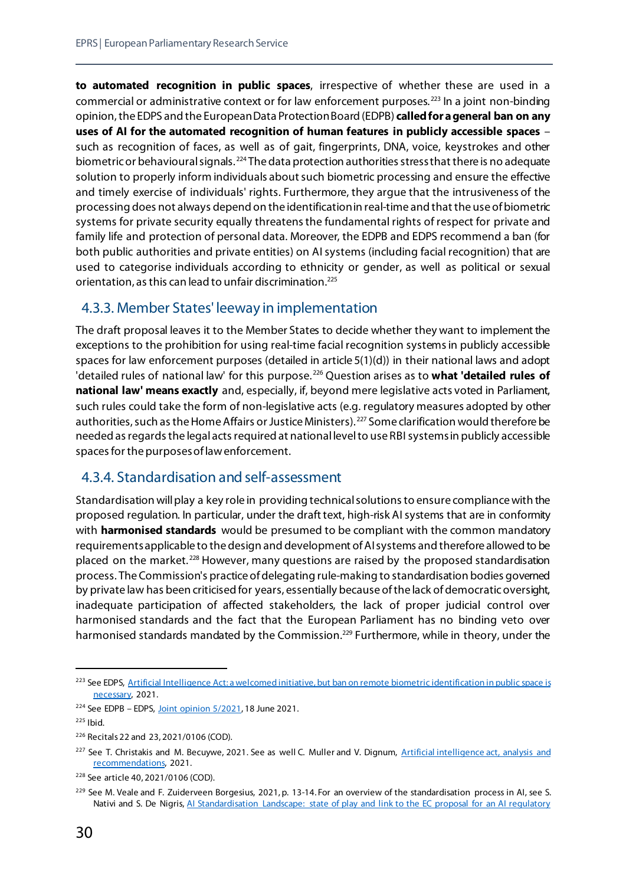**to automated recognition in public spaces**, irrespective of whether these are used in a commercial or administrative context or for law enforcement purposes. [223](#page-35-2) In a joint non-binding opinion, the EDPS and the European Data Protection Board (EDPB) **called for a general ban on any uses of AI for the automated recognition of human features in publicly accessible spaces** – such as recognition of faces, as well as of gait, fingerprints, DNA, voice, keystrokes and other biometric or behavioural signals. [224](#page-35-3) The data protection authorities stress that there is no adequate solution to properly inform individuals about such biometric processing and ensure the effective and timely exercise of individuals' rights. Furthermore, they argue that the intrusiveness of the processing does not always depend on the identification in real-time and that the use of biometric systems for private security equally threatens the fundamental rights of respect for private and family life and protection of personal data. Moreover, the EDPB and EDPS recommend a ban (for both public authorities and private entities) on AI systems (including facial recognition) that are used to categorise individuals according to ethnicity or gender, as well as political or sexual orientation, as this can lead to unfair discrimination[.225](#page-35-4)

#### <span id="page-35-0"></span>4.3.3. Member States' leeway in implementation

The draft proposal leaves it to the Member States to decide whether they want to implement the exceptions to the prohibition for using real-time facial recognition systems in publicly accessible spaces for law enforcement purposes (detailed in article 5(1)(d)) in their national laws and adopt 'detailed rules of national law' for this purpose. [226](#page-35-5) Question arises as to **what 'detailed rules of national law' means exactly** and, especially, if, beyond mere legislative acts voted in Parliament, such rules could take the form of non-legislative acts (e.g. regulatory measures adopted by other authorities, such as the Home Affairs or Justice Ministers). <sup>[227](#page-35-6)</sup> Some clarification would therefore be needed as regards the legal acts required at national level to use RBI systems in publicly accessible spaces for the purposesof law enforcement.

#### <span id="page-35-1"></span>4.3.4. Standardisation and self-assessment

Standardisation will play a key role in providing technical solutions to ensure compliance with the proposed regulation. In particular, under the draft text, high-risk AI systems that are in conformity with **harmonised standards** would be presumed to be compliant with the common mandatory requirements applicable to the design and development of AI systems and therefore allowed to be placed on the market. [228](#page-35-7) However, many questions are raised by the proposed standardisation process. The Commission's practice of delegating rule-making to standardisation bodies governed by private law has been criticised for years, essentially because of the lack of democratic oversight, inadequate participation of affected stakeholders, the lack of proper judicial control over harmonised standards and the fact that the European Parliament has no binding veto over harmonised standards mandated by the Commission.<sup>[229](#page-35-8)</sup> Furthermore, while in theory, under the

<span id="page-35-2"></span><sup>&</sup>lt;sup>223</sup> See EDPS, Artificial Intelligence Act: a welcomed initiative, but ban on remote biometric identification in public space is [necessary,](https://edps.europa.eu/press-publications/press-news/press-releases/2021/artificial-intelligence-act-welcomed-initiative_en) 2021.

<span id="page-35-3"></span><sup>&</sup>lt;sup>224</sup> See EDPB – EDPS, Joint opinion  $5/2021$ , 18 June 2021.

<span id="page-35-4"></span> $225$  Ibid.

<span id="page-35-5"></span><sup>226</sup> Recitals 22 and 23, 2021/0106 (COD).

<span id="page-35-6"></span><sup>&</sup>lt;sup>227</sup> See T. Christakis and M. Becuywe, 2021. See as well C. Muller and V. Dignum, Artificial intelligence act, analysis and [recommendations,](https://media-exp1.licdn.com/dms/document/C4D1FAQEJgNQmjjkLWg/feedshare-document-pdf-analyzed/0/1629281524912?e=1630396800&v=beta&t=z0ChJ3tP_8Yy2YQ8kRTcnaOMcSVJBSDByr13IepSqxw) 2021.

<span id="page-35-7"></span><sup>228</sup> See article 40, 2021/0106 (COD).

<span id="page-35-8"></span><sup>&</sup>lt;sup>229</sup> See M. Veale and F. Zuiderveen Borgesius, 2021, p. 13-14. For an overview of the standardisation process in AI, see S. Nativi and S. De Nigris, AI Standardisation Landscape: state of play and link to the EC proposal for an AI regulatory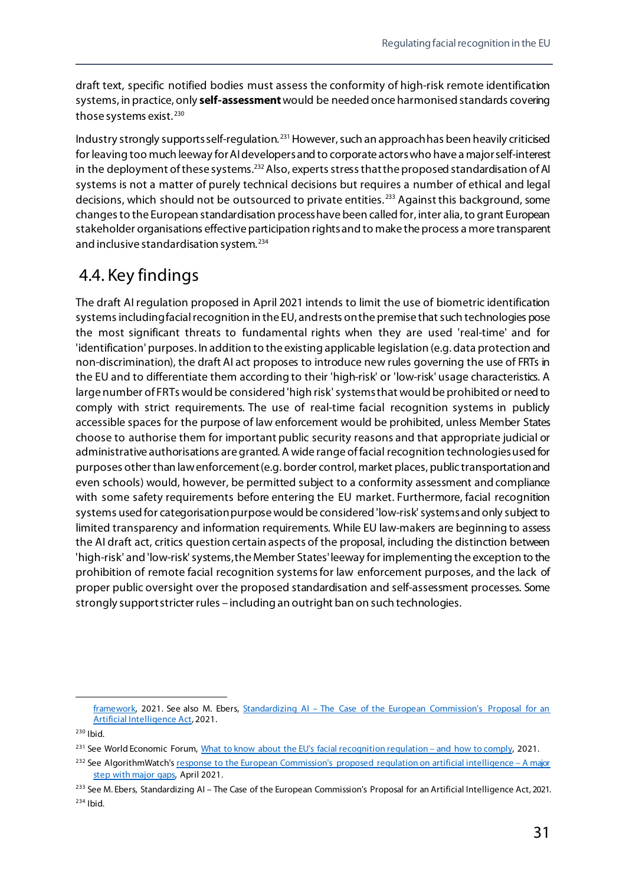draft text, specific notified bodies must assess the conformity of high-risk remote identification systems, in practice, only **self-assessment**would be needed once harmonised standards covering those systems exist.<sup>[230](#page-36-1)</sup>

Industry strongly supports self-regulation.<sup>[231](#page-36-2)</sup> However, such an approach has been heavily criticised for leaving too much leeway forAI developers and to corporate actors who have a majorself-interest in the deployment of these systems.<sup>[232](#page-36-3)</sup> Also, experts stress that the proposed standardisation of AI systems is not a matter of purely technical decisions but requires a number of ethical and legal decisions, which should not be outsourced to private entities. [233](#page-36-4) Against this background, some changes to the European standardisation process have been called for, inter alia,to grant European stakeholder organisations effective participation rights and to make the process a more transparent and inclusive standardisation system. [234](#page-36-5)

## <span id="page-36-0"></span>4.4. Key findings

The draft AI regulation proposed in April 2021 intends to limit the use of biometric identification systems including facial recognition in the EU, and rests on the premise that such technologies pose the most significant threats to fundamental rights when they are used 'real-time' and for 'identification' purposes. In addition to the existing applicable legislation (e.g. data protection and non-discrimination), the draft AI act proposes to introduce new rules governing the use of FRTs in the EU and to differentiate them according to their 'high-risk' or 'low-risk' usage characteristics. A large number of FRTs would be considered 'high risk' systems that would be prohibited or need to comply with strict requirements. The use of real-time facial recognition systems in publicly accessible spaces for the purpose of law enforcement would be prohibited, unless Member States choose to authorise them for important public security reasons and that appropriate judicial or administrative authorisations are granted. A wide range of facial recognition technologies used for purposes other than law enforcement (e.g. border control, market places, public transportation and even schools) would, however, be permitted subject to a conformity assessment and compliance with some safety requirements before entering the EU market. Furthermore, facial recognition systems used for categorisation purpose would be considered 'low-risk'systems and only subject to limited transparency and information requirements. While EU law-makers are beginning to assess the AI draft act, critics question certain aspects of the proposal, including the distinction between 'high-risk' and 'low-risk'systems, the Member States'leeway for implementing the exception to the prohibition of remote facial recognition systems for law enforcement purposes, and the lack of proper public oversight over the proposed standardisation and self-assessment processes. Some strongly support stricter rules – including an outright ban on such technologies.

[framework,](https://publications.jrc.ec.europa.eu/repository/handle/JRC125952) 2021. See also M. Ebers, Standardizing AI – The Case of the European Commission's Proposal for an [Artificial Intelligence Act,](https://media-exp1.licdn.com/dms/document/C4D1FAQESUXWj_sQLrA/feedshare-document-pdf-analyzed/0/1628493770638?e=1630400400&v=beta&t=eEwfF4g_EjoBv43SGfGMI8Ed_PqOeQFmD0NZyAgOJ7Y) 2021.

<span id="page-36-1"></span><sup>230</sup> Ibid.

<span id="page-36-2"></span><sup>&</sup>lt;sup>231</sup> See World Economic Forum[, What to know about the EU's facial recognition regulation –](https://www.weforum.org/agenda/2021/04/facial-recognition-regulation-eu-european-union-ec-ai-artificial-intelligence-machine-learning-risk-management-compliance-technology-providers?utm_source=twitter&utm_medium=social_scheduler&utm_term=Artificial+Intelligence&utm_content=23/04/2021+17:45) and how to comply, 2021.

<span id="page-36-3"></span><sup>&</sup>lt;sup>232</sup> See AlgorithmWatch'[s response to the European Commission's proposed regulation on artificial intelligence –](https://algorithmwatch.org/en/response-to-eu-ai-regulation-proposal-2021/) A major [step with major gaps,](https://algorithmwatch.org/en/response-to-eu-ai-regulation-proposal-2021/) April 2021.

<span id="page-36-5"></span><span id="page-36-4"></span><sup>&</sup>lt;sup>233</sup> See M. Ebers, Standardizing AI – The Case of the European Commission's Proposal for an Artificial Intelligence Act, 2021.  $234$  Ibid.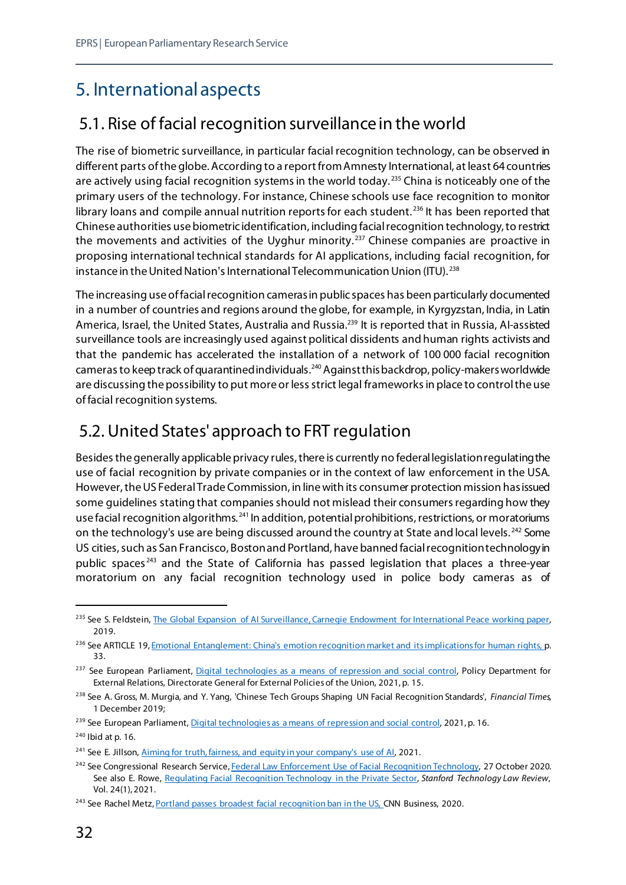## <span id="page-37-0"></span>5. International aspects

## <span id="page-37-1"></span>5.1. Rise of facial recognition surveillance in the world

The rise of biometric surveillance, in particular facial recognition technology, can be observed in different parts of the globe. According to a report from Amnesty International, at least 64 countries are actively using facial recognition systems in the world today.<sup>[235](#page-37-3)</sup> China is noticeably one of the primary users of the technology. For instance, Chinese schools use face recognition to monitor library loans and compile annual nutrition reports for each student.<sup>[236](#page-37-4)</sup> It has been reported that Chinese authorities use biometric identification, including facial recognition technology,to restrict the movements and activities of the Uyghur minority.<sup>[237](#page-37-5)</sup> Chinese companies are proactive in proposing international technical standards for AI applications, including facial recognition, for instance in the United Nation's International Telecommunication Union (ITU). [238](#page-37-6)

The increasing use of facial recognition cameras in public spaces has been particularly documented in a number of countries and regions around the globe, for example, in Kyrgyzstan, India, in Latin America, Israel, the United States, Australia and Russia.<sup>239</sup> It is reported that in Russia, AI-assisted surveillance tools are increasingly used against political dissidents and human rights activists and that the pandemic has accelerated the installation of a network of 100 000 facial recognition cameras to keep track of quarantined individuals.<sup>[240](#page-37-8)</sup> Against this backdrop, policy-makers worldwide are discussing the possibility to put more or less strict legal frameworks in place to control the use of facial recognition systems.

## <span id="page-37-2"></span>5.2. United States' approach to FRT regulation

Besides the generally applicable privacy rules, there is currently no federal legislation regulating the use of facial recognition by private companies or in the context of law enforcement in the USA. However, the US Federal Trade Commission, in line with its consumer protection mission has issued some guidelines stating that companies should not mislead their consumers regarding how they use facial recognition algorithms. [241](#page-37-9) In addition, potential prohibitions, restrictions, or moratoriums on the technology's use are being discussed around the country at State and local levels.<sup>[242](#page-37-10)</sup> Some US cities,such as San Francisco, Boston and Portland, have banned facial recognition technology in public spaces<sup>[243](#page-37-11)</sup> and the State of California has passed legislation that places a three-year moratorium on any facial recognition technology used in police body cameras as of

<span id="page-37-3"></span><sup>&</sup>lt;sup>235</sup> See S. Feldstein[, The Global Expansion of AI Surveillance, Carnegie Endowment for International](https://carnegieendowment.org/files/WP-Feldstein-AISurveillance_final1.pdf) Peace working paper, 2019.

<span id="page-37-4"></span><sup>&</sup>lt;sup>236</sup> See ARTICLE 19, *Emotional Entanglement: China's emotion recognition market and its implications for human rights, p.* 33.

<span id="page-37-5"></span><sup>&</sup>lt;sup>237</sup> See European Parliament[, Digital technologies as a means of repression and social control,](https://www.europarl.europa.eu/RegData/etudes/STUD/2021/653636/EXPO_STU(2021)653636_EN.pdf) Policy Department for External Relations, Directorate General for External Policies of the Union, 2021, p. 15.

<span id="page-37-6"></span><sup>238</sup> See A. Gross, M. Murgia, and Y. Yang, 'Chinese Tech Groups Shaping UN Facial Recognition Standards', *Financial Times*, 1 December 2019;

<span id="page-37-7"></span><sup>&</sup>lt;sup>239</sup> See European Parliament[, Digital technologies as a means of repression and social control,](https://www.europarl.europa.eu/RegData/etudes/STUD/2021/653636/EXPO_STU(2021)653636_EN.pdf) 2021, p. 16.

<span id="page-37-8"></span><sup>240</sup> Ibid at p. 16.

<span id="page-37-9"></span><sup>&</sup>lt;sup>241</sup> See E. Jillson, Aiming for truth, fairness, and equity in your company's use of Al, 2021.

<span id="page-37-10"></span><sup>&</sup>lt;sup>242</sup> See Congressional Research Servic[e, Federal Law Enforcement Use of Facial Recognition Technology,](https://fas.org/sgp/crs/misc/R46586.pdf) 27 October 2020. See also E. Rowe, [Regulating Facial Recognition Technology in the Private Sector,](https://law.stanford.edu/publications/regulating-facial-recognition-technology-in-the-private-sector/) *Stanford Technology Law Review*, Vol. 24(1), 2021.

<span id="page-37-11"></span><sup>&</sup>lt;sup>243</sup> See Rachel Metz[, Portland passes broadest facial recognition ban in the US,](https://edition.cnn.com/2020/09/09/tech/portland-facial-recognition-ban/index.html) CNN Business, 2020.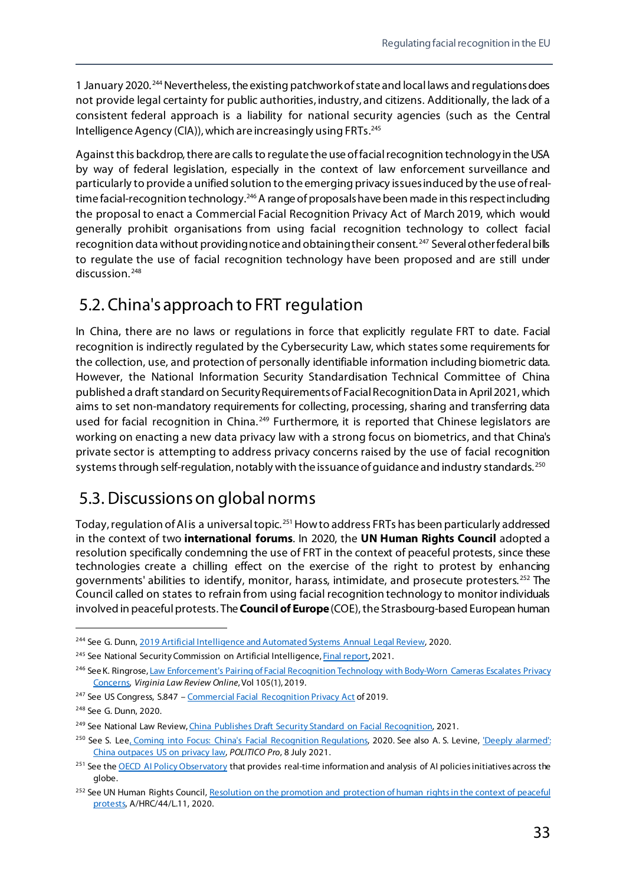1 January 2020. [244](#page-38-2)Nevertheless,the existing patchwork of state and local laws and regulations does not provide legal certainty for public authorities, industry, and citizens. Additionally, the lack of a consistent federal approach is a liability for national security agencies (such as the Central Intelligence Agency (CIA)), which are increasingly using FRTs.[245](#page-38-3)

Against this backdrop, there are calls to regulate the use of facial recognition technology in the USA by way of federal legislation, especially in the context of law enforcement surveillance and particularly to provide a unified solution to the emerging privacy issuesinduced by the use of realtime facial-recognition technology.<sup>246</sup> A range of proposals have been made in this respect including the proposal to enact a Commercial Facial Recognition Privacy Act of March 2019, which would generally prohibit organisations from using facial recognition technology to collect facial recognition data without providing notice and obtaining their consent.<sup>[247](#page-38-5)</sup> Several other federal bills to regulate the use of facial recognition technology have been proposed and are still under discussion.<sup>[248](#page-38-6)</sup>

## <span id="page-38-0"></span>5.2. China's approach to FRT regulation

In China, there are no laws or regulations in force that explicitly regulate FRT to date. Facial recognition is indirectly regulated by the Cybersecurity Law, which states some requirements for the collection, use, and protection of personally identifiable information including biometric data. However, the National Information Security Standardisation Technical Committee of China published a draft standard on Security Requirements of Facial Recognition Data in April2021, which aims to set non-mandatory requirements for collecting, processing, sharing and transferring data used for facial recognition in China.<sup>[249](#page-38-7)</sup> Furthermore, it is reported that Chinese legislators are working on enacting a new data privacy law with a strong focus on biometrics, and that China's private sector is attempting to address privacy concerns raised by the use of facial recognition systems through self-regulation, notably with the issuance of guidance and industry standards.<sup>[250](#page-38-8)</sup>

## <span id="page-38-1"></span>5.3. Discussions on global norms

Today, regulation of AI is a universal topic.<sup>[251](#page-38-9)</sup> How to address FRTs has been particularly addressed in the context of two **international forums**. In 2020, the **UN Human Rights Council** adopted a resolution specifically condemning the use of FRT in the context of peaceful protests, since these technologies create a chilling effect on the exercise of the right to protest by enhancing governments' abilities to identify, monitor, harass, intimidate, and prosecute protesters. [252](#page-38-10) The Council called on states to refrain from using facial recognition technology to monitor individuals involved in peaceful protests. The **Council of Europe** (COE), the Strasbourg-based European human

<span id="page-38-2"></span><sup>&</sup>lt;sup>244</sup> See G. Dunn[, 2019 Artificial Intelligence and Automated Systems Annual Legal Review,](https://www.gibsondunn.com/wp-content/uploads/2020/02/2019-artificial-intelligence-and-automated-systems-annual-legal-review.pdf) 2020.

<span id="page-38-3"></span><sup>&</sup>lt;sup>245</sup> See National Security Commission on Artificial Intelligenc[e, Final report](https://www.nscai.gov/wp-content/uploads/2021/03/Full-Report-Digital-1.pdf), 2021.

<span id="page-38-4"></span><sup>246</sup> See K. Ringrose, Law Enforcement's Pairing of Facial Recognition Technology with Body-Worn Cameras Escalates Privacy [Concerns,](https://heinonline.org/HOL/P?h=hein.journals/inbrf105&i=57) *Virginia Law Review Online*, Vol 105(1), 2019.

<span id="page-38-5"></span><sup>247</sup> See US Congress, S.847 – [Commercial Facial Recognition Privacy Act](https://www.congress.gov/bill/116th-congress/senate-bill/847) of 2019.

<span id="page-38-6"></span><sup>248</sup> See G. Dunn, 2020.

<span id="page-38-7"></span><sup>&</sup>lt;sup>249</sup> See National Law Review[, China Publishes Draft Security Standard on Facial Recognition,](https://www.natlawreview.com/article/china-publishes-draft-security-standard-facial-recognition) 2021.

<span id="page-38-8"></span><sup>&</sup>lt;sup>250</sup> See S. Le[e, Coming into Focus: China's Facial Recognition Regulations,](https://www.csis.org/blogs/trustee-china-hand/coming-focus-chinas-facial-recognition-regulations) 2020. See also A. S. Levine, 'Deeply alarmed': [China outpaces US on privacy law,](https://pro.politico.eu/news/deeply-alarmed-china-outpaces-us-privacy-law) *POLITICO Pro*, 8 July 2021.

<span id="page-38-9"></span><sup>&</sup>lt;sup>251</sup> See th[e OECD AI Policy Observatory](https://oecd.ai/) that provides real-time information and analysis of AI policies initiatives across the globe.

<span id="page-38-10"></span><sup>&</sup>lt;sup>252</sup> See UN Human Rights Council, Resolution on the promotion and protection of human rights in the context of peaceful [protests,](https://ap.ohchr.org/documents/dpage_e.aspx?si=A/HRC/44/L.11) A/HRC/44/L.11, 2020.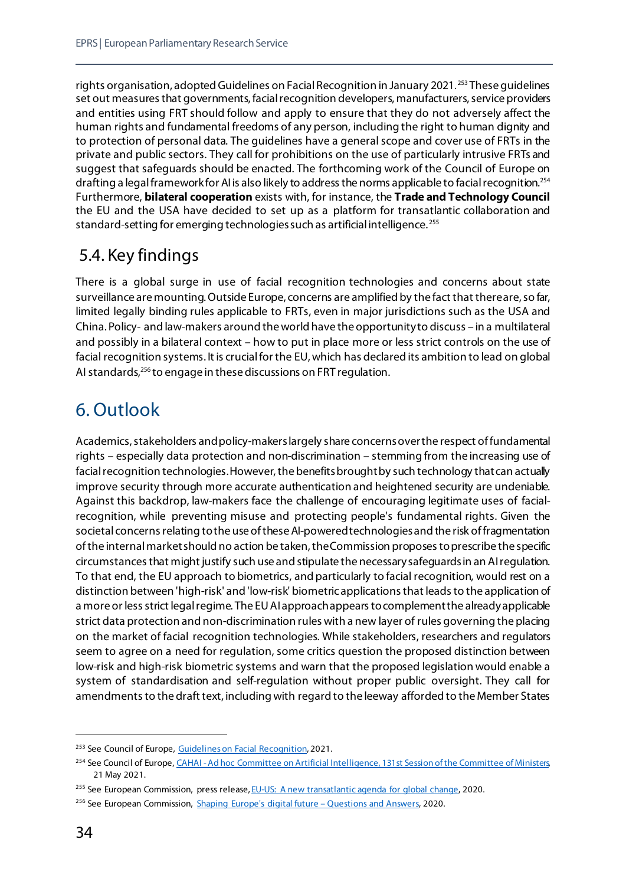rights organisation, adopted Guidelines on Facial Recognition in January 2021. [253](#page-39-2) These guidelines set out measures that governments, facial recognition developers, manufacturers, service providers and entities using FRT should follow and apply to ensure that they do not adversely affect the human rights and fundamental freedoms of any person, including the right to human dignity and to protection of personal data. The guidelines have a general scope and cover use of FRTs in the private and public sectors. They call for prohibitions on the use of particularly intrusive FRTs and suggest that safeguards should be enacted. The forthcoming work of the Council of Europe on drafting a legal framework for AI is also likely to address the norms applicable to facial recognition.<sup>[254](#page-39-3)</sup> Furthermore, **bilateral cooperation** exists with, for instance, the **Trade and Technology Council** the EU and the USA have decided to set up as a platform for transatlantic collaboration and standard-setting for emerging technologies such as artificial intelligence. [255](#page-39-4) 

## <span id="page-39-0"></span>5.4. Key findings

There is a global surge in use of facial recognition technologies and concerns about state surveillance are mounting. Outside Europe, concerns are amplified by the fact that there are, so far, limited legally binding rules applicable to FRTs, even in major jurisdictions such as the USA and China. Policy- and law-makers around the world have the opportunity to discuss – in a multilateral and possibly in a bilateral context – how to put in place more or less strict controls on the use of facial recognition systems. It is crucial for the EU, which has declared its ambition to lead on global AI standards,<sup>[256](#page-39-5)</sup> to engage in these discussions on FRT regulation.

## <span id="page-39-1"></span>6. Outlook

Academics, stakeholders and policy-makers largely share concerns over the respect of fundamental rights – especially data protection and non-discrimination – stemming from the increasing use of facial recognition technologies. However, the benefits brought by such technology that can actually improve security through more accurate authentication and heightened security are undeniable. Against this backdrop, law-makers face the challenge of encouraging legitimate uses of facialrecognition, while preventing misuse and protecting people's fundamental rights. Given the societal concerns relating to the use of these AI-powered technologies and the risk of fragmentation of the internal market should no action be taken, the Commission proposes to prescribe the specific circumstances that might justify such use and stipulate the necessary safeguards in an AI regulation. To that end, the EU approach to biometrics, and particularly to facial recognition, would rest on a distinction between 'high-risk' and 'low-risk' biometric applications that leads to the application of a more or less strict legal regime. The EU AI approach appears to complement the already applicable strict data protection and non-discrimination rules with a new layer of rules governing the placing on the market of facial recognition technologies. While stakeholders, researchers and regulators seem to agree on a need for regulation, some critics question the proposed distinction between low-risk and high-risk biometric systems and warn that the proposed legislation would enable a system of standardisation and self-regulation without proper public oversight. They call for amendments to the draft text, including with regard to the leeway afforded to the Member States

<span id="page-39-2"></span><sup>&</sup>lt;sup>253</sup> See Council of Europe[, Guidelines on Facial Recognition,](https://rm.coe.int/guidelines-on-facial-recognition/1680a134f3) 2021.

<span id="page-39-3"></span><sup>&</sup>lt;sup>254</sup> See Council of Europe, CAHAI - Ad hoc Committee on Artificial Intelligence, 131st Session of the Committee of Ministers 21 May 2021.

<span id="page-39-4"></span><sup>&</sup>lt;sup>255</sup> See European Commission, press release[, EU-US: A new transatlantic agenda for global change,](https://ec.europa.eu/commission/presscorner/detail/en/IP_20_2279) 2020.

<span id="page-39-5"></span><sup>&</sup>lt;sup>256</sup> See European Commission, [Shaping Europe's digital future –](https://ec.europa.eu/commission/presscorner/detail/en/qanda_20_264) Questions and Answers, 2020.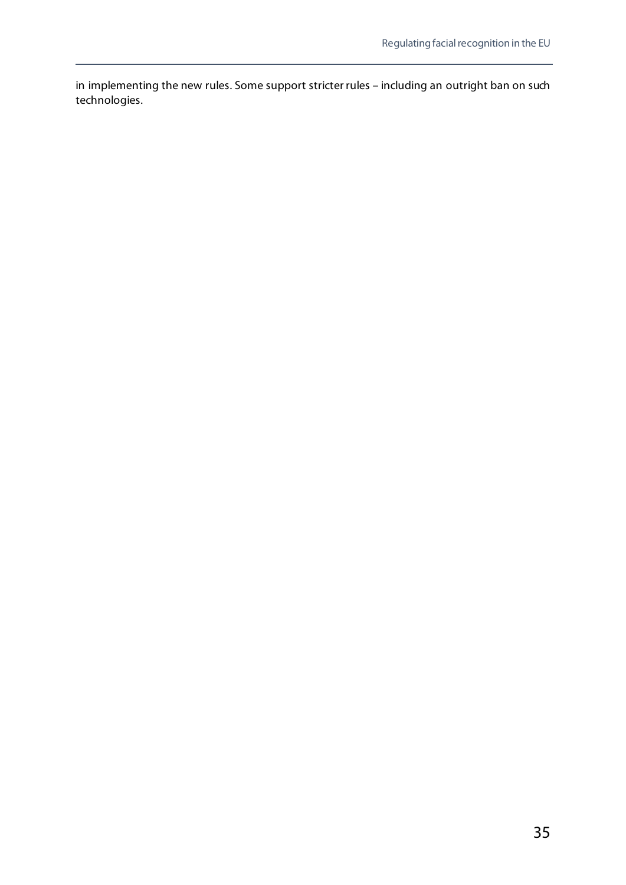in implementing the new rules. Some support stricter rules – including an outright ban on such technologies.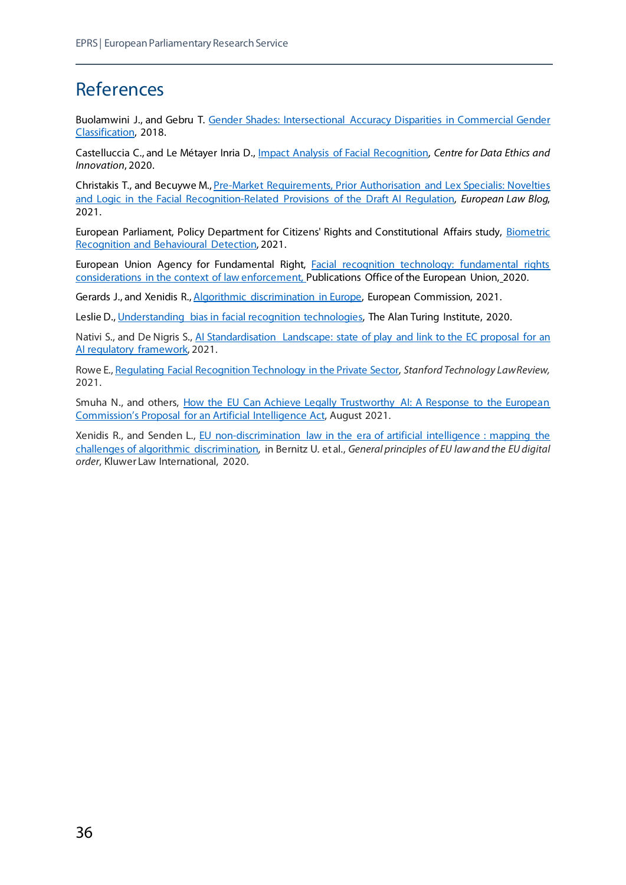## <span id="page-41-0"></span>References

Buolamwini J., and Gebru T. [Gender Shades: Intersectional Accuracy Disparities in Commercial Gender](http://proceedings.mlr.press/v81/buolamwini18a/buolamwini18a.pdf)  [Classification,](http://proceedings.mlr.press/v81/buolamwini18a/buolamwini18a.pdf) 2018.

Castelluccia C., and Le Métayer Inria D., [Impact Analysis of Facial Recognition,](https://hal.inria.fr/hal-02480647/document) *Centre for Data Ethics and Innovation*, 2020.

Christakis T., and Becuywe M.[, Pre-Market Requirements, Prior Authorisation and Lex Specialis: Novelties](https://europeanlawblog.eu/2021/05/04/pre-market-requirements-prior-authorisation-and-lex-specialis-novelties-and-logic-in-the-facial-recognition-related-provisions-of-the-draft-ai-regulation/)  and Logic in [the Facial Recognition-Related Provisions of the Draft AI Regulation,](https://europeanlawblog.eu/2021/05/04/pre-market-requirements-prior-authorisation-and-lex-specialis-novelties-and-logic-in-the-facial-recognition-related-provisions-of-the-draft-ai-regulation/) *European Law Blog*, 2021.

European Parliament, Policy Department for Citizens' Rights and Constitutional Affairs study, [Biometric](https://www.europarl.europa.eu/RegData/etudes/STUD/2021/696968/IPOL_STU(2021)696968_EN.pdf)  [Recognition and Behavioural Detection,](https://www.europarl.europa.eu/RegData/etudes/STUD/2021/696968/IPOL_STU(2021)696968_EN.pdf) 2021.

European Union Agency for Fundamental Right, [Facial recognition technology: fundamental rights](https://fra.europa.eu/sites/default/files/fra_uploads/fra-2019-facial-recognition-technology-focus-paper-1_en.pdf)  [considerations in the context of law enforcement,](https://fra.europa.eu/sites/default/files/fra_uploads/fra-2019-facial-recognition-technology-focus-paper-1_en.pdf) Publications Office of the European Union, 2020.

Gerards J., and Xenidis R.[, Algorithmic discrimination in Europe,](https://op.europa.eu/en/publication-detail/-/publication/082f1dbc-821d-11eb-9ac9-01aa75ed71a1) European Commission, 2021.

Leslie D.[, Understanding bias in facial recognition technologies,](https://zenodo.org/record/4050457#.YH7RdTHivD4) The Alan Turing Institute, 2020.

Nativi S., and De Nigris S., AI Standardisation Landscape: state of play and link to the EC proposal for an [AI regulatory framework,](https://publications.jrc.ec.europa.eu/repository/handle/JRC125952) 2021.

Rowe E.[, Regulating Facial Recognition Technology in the Private Sector,](https://law.stanford.edu/publications/regulating-facial-recognition-technology-in-the-private-sector/) *Stanford Technology Law Review,* 2021.

Smuha N., and others, How the EU Can Achieve Legally Trustworthy AI: A Response to the European [Commission's Proposal for an Artificial Intelligence Act,](https://papers.ssrn.com/sol3/papers.cfm?abstract_id=3899991) August 2021.

Xenidis R., and Senden L., [EU non-discrimination law in the era of artificial intelligence : mapping the](https://cadmus.eui.eu/handle/1814/65845)  [challenges of algorithmic discrimination,](https://cadmus.eui.eu/handle/1814/65845) in Bernitz U. et al., *General principles of EU law and the EU digital order*, Kluwer Law International, 2020.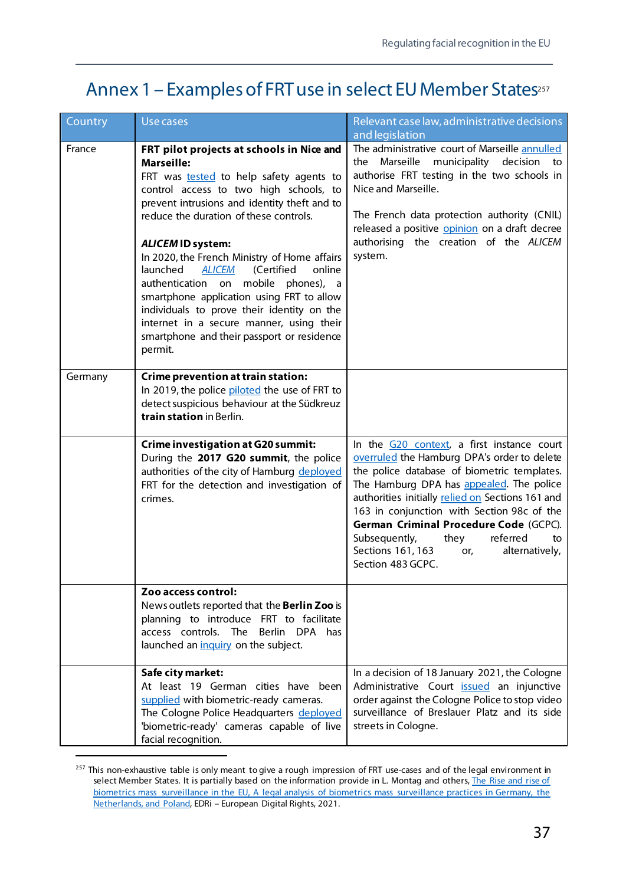## <span id="page-42-0"></span>Annex 1 – Examples of FRT use in select EU Member States<sup>257</sup>

| Country | Use cases                                                                                                                                                                                                                                                                                                                                                                                                                                                                                                                                                                                                                | Relevant case law, administrative decisions<br>and legislation                                                                                                                                                                                                                                                                                                                                                                                 |
|---------|--------------------------------------------------------------------------------------------------------------------------------------------------------------------------------------------------------------------------------------------------------------------------------------------------------------------------------------------------------------------------------------------------------------------------------------------------------------------------------------------------------------------------------------------------------------------------------------------------------------------------|------------------------------------------------------------------------------------------------------------------------------------------------------------------------------------------------------------------------------------------------------------------------------------------------------------------------------------------------------------------------------------------------------------------------------------------------|
| France  | FRT pilot projects at schools in Nice and<br><b>Marseille:</b><br>FRT was tested to help safety agents to<br>control access to two high schools, to<br>prevent intrusions and identity theft and to<br>reduce the duration of these controls.<br><b>ALICEM ID system:</b><br>In 2020, the French Ministry of Home affairs<br>launched<br>online<br><b>ALICEM</b><br>(Certified<br>mobile phones), a<br>authentication on<br>smartphone application using FRT to allow<br>individuals to prove their identity on the<br>internet in a secure manner, using their<br>smartphone and their passport or residence<br>permit. | The administrative court of Marseille annulled<br>Marseille<br>municipality<br>decision<br>the<br>to<br>authorise FRT testing in the two schools in<br>Nice and Marseille.<br>The French data protection authority (CNIL)<br>released a positive opinion on a draft decree<br>authorising the creation of the ALICEM<br>system.                                                                                                                |
| Germany | <b>Crime prevention at train station:</b><br>In 2019, the police piloted the use of FRT to<br>detect suspicious behaviour at the Südkreuz<br>train station in Berlin.                                                                                                                                                                                                                                                                                                                                                                                                                                                    |                                                                                                                                                                                                                                                                                                                                                                                                                                                |
|         | <b>Crime investigation at G20 summit:</b><br>During the 2017 G20 summit, the police<br>authorities of the city of Hamburg deployed<br>FRT for the detection and investigation of<br>crimes.                                                                                                                                                                                                                                                                                                                                                                                                                              | In the G20 context, a first instance court<br>overruled the Hamburg DPA's order to delete<br>the police database of biometric templates.<br>The Hamburg DPA has appealed. The police<br>authorities initially relied on Sections 161 and<br>163 in conjunction with Section 98c of the<br>German Criminal Procedure Code (GCPC).<br>referred<br>Subsequently,<br>they<br>to<br>Sections 161, 163<br>alternatively,<br>or,<br>Section 483 GCPC. |
|         | Zoo access control:<br>News outlets reported that the Berlin Zoo is<br>planning to introduce FRT to facilitate<br>access controls. The Berlin DPA has<br>launched an inquiry on the subject.                                                                                                                                                                                                                                                                                                                                                                                                                             |                                                                                                                                                                                                                                                                                                                                                                                                                                                |
|         | Safe city market:<br>At least 19 German cities have been<br>supplied with biometric-ready cameras.<br>The Cologne Police Headquarters deployed<br>'biometric-ready' cameras capable of live<br>facial recognition.                                                                                                                                                                                                                                                                                                                                                                                                       | In a decision of 18 January 2021, the Cologne<br>Administrative Court <b>issued</b> an injunctive<br>order against the Cologne Police to stop video<br>surveillance of Breslauer Platz and its side<br>streets in Cologne.                                                                                                                                                                                                                     |

<span id="page-42-1"></span><sup>&</sup>lt;sup>257</sup> This non-exhaustive table is only meant to give a rough impression of FRT use-cases and of the legal environment in select Member States. It is partially based on the information provide in L. Montag and others, The Rise and rise of [biometrics mass surveillance in the EU, A legal analysis of biometrics mass surveillance practices in Germany, the](https://edri.org/wp-content/uploads/2021/07/EDRI_RISE_REPORT.pdf)  [Netherlands, and Poland,](https://edri.org/wp-content/uploads/2021/07/EDRI_RISE_REPORT.pdf) EDRi – European Digital Rights, 2021.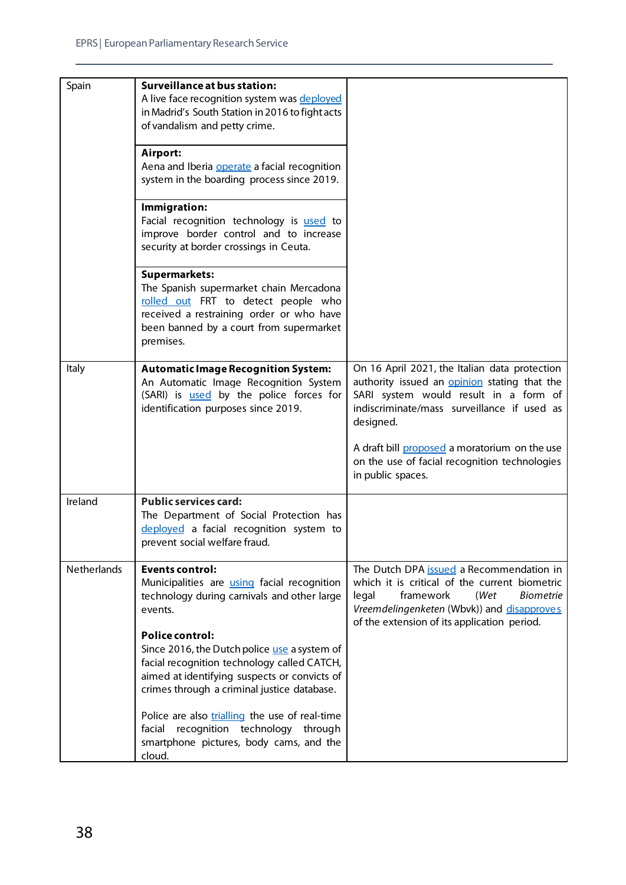| Spain       | <b>Surveillance at bus station:</b>                                                               |                                                                                           |
|-------------|---------------------------------------------------------------------------------------------------|-------------------------------------------------------------------------------------------|
|             | A live face recognition system was deployed                                                       |                                                                                           |
|             | in Madrid's South Station in 2016 to fight acts                                                   |                                                                                           |
|             | of vandalism and petty crime.                                                                     |                                                                                           |
|             |                                                                                                   |                                                                                           |
|             | Airport:                                                                                          |                                                                                           |
|             | Aena and Iberia operate a facial recognition                                                      |                                                                                           |
|             | system in the boarding process since 2019.                                                        |                                                                                           |
|             | Immigration:                                                                                      |                                                                                           |
|             | Facial recognition technology is used to                                                          |                                                                                           |
|             | improve border control and to increase                                                            |                                                                                           |
|             | security at border crossings in Ceuta.                                                            |                                                                                           |
|             |                                                                                                   |                                                                                           |
|             | <b>Supermarkets:</b><br>The Spanish supermarket chain Mercadona                                   |                                                                                           |
|             | rolled out FRT to detect people who                                                               |                                                                                           |
|             | received a restraining order or who have                                                          |                                                                                           |
|             | been banned by a court from supermarket                                                           |                                                                                           |
|             | premises.                                                                                         |                                                                                           |
|             |                                                                                                   |                                                                                           |
| Italy       | <b>Automatic Image Recognition System:</b>                                                        | On 16 April 2021, the Italian data protection                                             |
|             | An Automatic Image Recognition System                                                             | authority issued an <b>opinion</b> stating that the                                       |
|             | (SARI) is <b>used</b> by the police forces for<br>identification purposes since 2019.             | SARI system would result in a form of<br>indiscriminate/mass surveillance if used as      |
|             |                                                                                                   | designed.                                                                                 |
|             |                                                                                                   |                                                                                           |
|             |                                                                                                   | A draft bill proposed a moratorium on the use                                             |
|             |                                                                                                   | on the use of facial recognition technologies                                             |
|             |                                                                                                   | in public spaces.                                                                         |
| Ireland     | <b>Public services card:</b>                                                                      |                                                                                           |
|             | The Department of Social Protection has                                                           |                                                                                           |
|             | deployed a facial recognition system to                                                           |                                                                                           |
|             | prevent social welfare fraud.                                                                     |                                                                                           |
|             |                                                                                                   |                                                                                           |
| Netherlands | <b>Events control:</b>                                                                            | The Dutch DPA issued a Recommendation in<br>which it is critical of the current biometric |
|             | Municipalities are <i>using</i> facial recognition<br>technology during carnivals and other large | framework<br>(Wet<br><b>Biometrie</b><br>legal                                            |
|             | events.                                                                                           | Vreemdelingenketen (Wbvk)) and disapproves                                                |
|             |                                                                                                   | of the extension of its application period.                                               |
|             | <b>Police control:</b>                                                                            |                                                                                           |
|             | Since 2016, the Dutch police use a system of                                                      |                                                                                           |
|             | facial recognition technology called CATCH,                                                       |                                                                                           |
|             | aimed at identifying suspects or convicts of                                                      |                                                                                           |
|             | crimes through a criminal justice database.                                                       |                                                                                           |
|             | Police are also trialling the use of real-time                                                    |                                                                                           |
|             | facial recognition technology through                                                             |                                                                                           |
|             | smartphone pictures, body cams, and the                                                           |                                                                                           |
|             | cloud.                                                                                            |                                                                                           |